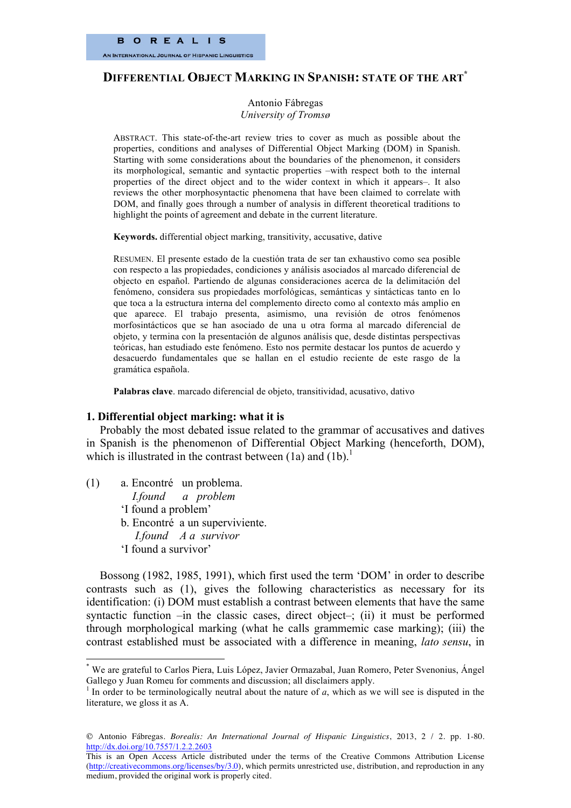# **DIFFERENTIAL OBJECT MARKING IN SPANISH: STATE OF THE ART\***

Antonio Fábregas *University of Tromsø*

ABSTRACT. This state-of-the-art review tries to cover as much as possible about the properties, conditions and analyses of Differential Object Marking (DOM) in Spanish. Starting with some considerations about the boundaries of the phenomenon, it considers its morphological, semantic and syntactic properties –with respect both to the internal properties of the direct object and to the wider context in which it appears–. It also reviews the other morphosyntactic phenomena that have been claimed to correlate with DOM, and finally goes through a number of analysis in different theoretical traditions to highlight the points of agreement and debate in the current literature.

**Keywords.** differential object marking, transitivity, accusative, dative

RESUMEN. El presente estado de la cuestión trata de ser tan exhaustivo como sea posible con respecto a las propiedades, condiciones y análisis asociados al marcado diferencial de objecto en español. Partiendo de algunas consideraciones acerca de la delimitación del fenómeno, considera sus propiedades morfológicas, semánticas y sintácticas tanto en lo que toca a la estructura interna del complemento directo como al contexto más amplio en que aparece. El trabajo presenta, asimismo, una revisión de otros fenómenos morfosintácticos que se han asociado de una u otra forma al marcado diferencial de objeto, y termina con la presentación de algunos análisis que, desde distintas perspectivas teóricas, han estudiado este fenómeno. Esto nos permite destacar los puntos de acuerdo y desacuerdo fundamentales que se hallan en el estudio reciente de este rasgo de la gramática española.

**Palabras clave**. marcado diferencial de objeto, transitividad, acusativo, dativo

#### **1. Differential object marking: what it is**

Probably the most debated issue related to the grammar of accusatives and datives in Spanish is the phenomenon of Differential Object Marking (henceforth, DOM), which is illustrated in the contrast between  $(1a)$  and  $(1b)$ .<sup>1</sup>

(1) a. Encontré un problema. *I.found a problem* 'I found a problem' b. Encontré a un superviviente. *I.found A a survivor* 'I found a survivor'

Bossong (1982, 1985, 1991), which first used the term 'DOM' in order to describe contrasts such as (1), gives the following characteristics as necessary for its identification: (i) DOM must establish a contrast between elements that have the same syntactic function –in the classic cases, direct object–; (ii) it must be performed through morphological marking (what he calls grammemic case marking); (iii) the contrast established must be associated with a difference in meaning, *lato sensu*, in

 <sup>\*</sup> We are grateful to Carlos Piera, Luis López, Javier Ormazabal, Juan Romero, Peter Svenonius, Ángel Gallego y Juan Romeu for comments and discussion; all disclaimers apply.

<sup>&</sup>lt;sup>1</sup> In order to be terminologically neutral about the nature of  $a$ , which as we will see is disputed in the literature, we gloss it as A.

Antonio Fábregas. *Borealis: An International Journal of Hispanic Linguistics*, 2013, 2 / 2. pp. 1-80. http://dx.doi.org/10.7557/1.2.2.2603

This is an Open Access Article distributed under the terms of the Creative Commons Attribution License (http://creativecommons.org/licenses/by/3.0), which permits unrestricted use, distribution, and reproduction in any medium, provided the original work is properly cited.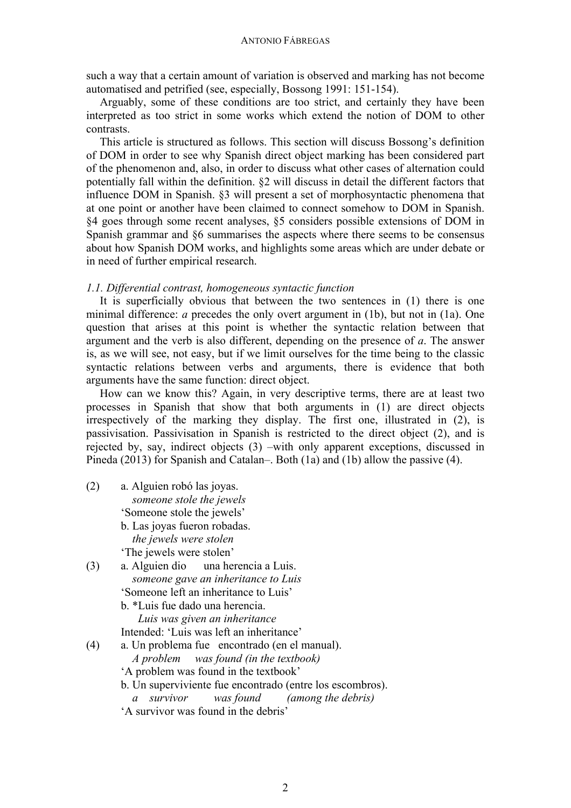such a way that a certain amount of variation is observed and marking has not become automatised and petrified (see, especially, Bossong 1991: 151-154).

Arguably, some of these conditions are too strict, and certainly they have been interpreted as too strict in some works which extend the notion of DOM to other contrasts.

This article is structured as follows. This section will discuss Bossong's definition of DOM in order to see why Spanish direct object marking has been considered part of the phenomenon and, also, in order to discuss what other cases of alternation could potentially fall within the definition. §2 will discuss in detail the different factors that influence DOM in Spanish. §3 will present a set of morphosyntactic phenomena that at one point or another have been claimed to connect somehow to DOM in Spanish. §4 goes through some recent analyses, §5 considers possible extensions of DOM in Spanish grammar and §6 summarises the aspects where there seems to be consensus about how Spanish DOM works, and highlights some areas which are under debate or in need of further empirical research.

## *1.1. Differential contrast, homogeneous syntactic function*

It is superficially obvious that between the two sentences in (1) there is one minimal difference: *a* precedes the only overt argument in (1b), but not in (1a). One question that arises at this point is whether the syntactic relation between that argument and the verb is also different, depending on the presence of *a*. The answer is, as we will see, not easy, but if we limit ourselves for the time being to the classic syntactic relations between verbs and arguments, there is evidence that both arguments have the same function: direct object.

How can we know this? Again, in very descriptive terms, there are at least two processes in Spanish that show that both arguments in (1) are direct objects irrespectively of the marking they display. The first one, illustrated in (2), is passivisation. Passivisation in Spanish is restricted to the direct object (2), and is rejected by, say, indirect objects (3) –with only apparent exceptions, discussed in Pineda (2013) for Spanish and Catalan–. Both (1a) and (1b) allow the passive (4).

- (2) a. Alguien robó las joyas. *someone stole the jewels* 'Someone stole the jewels' b. Las joyas fueron robadas. *the jewels were stolen* 'The jewels were stolen'
- (3) a. Alguien dio una herencia a Luis. *someone gave an inheritance to Luis* 'Someone left an inheritance to Luis'
	- b. \*Luis fue dado una herencia. *Luis was given an inheritance*
	- Intended: 'Luis was left an inheritance'
- (4) a. Un problema fue encontrado (en el manual).
	- *A problem was found (in the textbook)*
	- 'A problem was found in the textbook'
	- b. Un superviviente fue encontrado (entre los escombros).
		- *a survivor was found (among the debris)*
	- 'A survivor was found in the debris'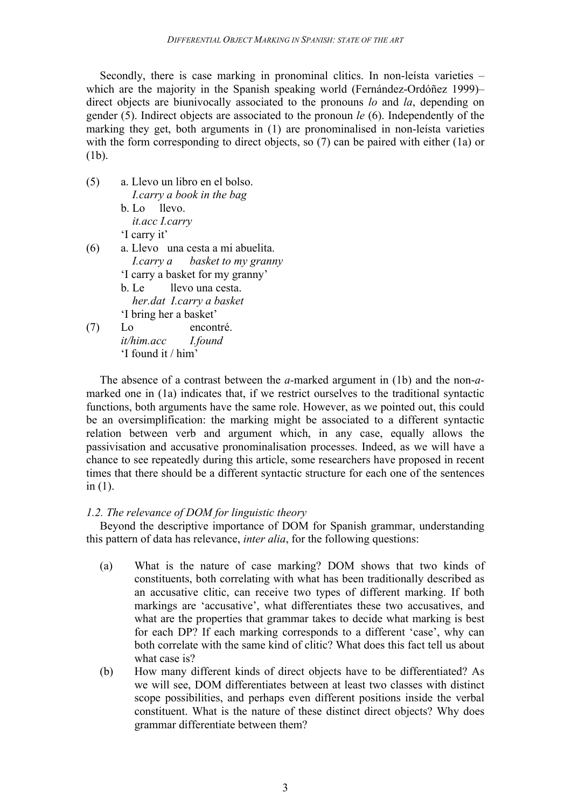Secondly, there is case marking in pronominal clitics. In non-leísta varieties – which are the majority in the Spanish speaking world (Fernández-Ordóñez 1999)– direct objects are biunivocally associated to the pronouns *lo* and *la*, depending on gender (5). Indirect objects are associated to the pronoun *le* (6). Independently of the marking they get, both arguments in (1) are pronominalised in non-leísta varieties with the form corresponding to direct objects, so (7) can be paired with either (1a) or (1b).

(5) a. Llevo un libro en el bolso. *I.carry a book in the bag* b. Lo llevo. *it.acc I.carry* 'I carry it' (6) a. Llevo una cesta a mi abuelita. *I.carry a basket to my granny* 'I carry a basket for my granny' b. Le llevo una cesta. *her.dat I.carry a basket* 'I bring her a basket' (7) Lo encontré. *it/him.acc I.found*

'I found it / him'

The absence of a contrast between the *a-*marked argument in (1b) and the non-*a*marked one in (1a) indicates that, if we restrict ourselves to the traditional syntactic functions, both arguments have the same role. However, as we pointed out, this could be an oversimplification: the marking might be associated to a different syntactic relation between verb and argument which, in any case, equally allows the passivisation and accusative pronominalisation processes. Indeed, as we will have a chance to see repeatedly during this article, some researchers have proposed in recent times that there should be a different syntactic structure for each one of the sentences in  $(1)$ .

# *1.2. The relevance of DOM for linguistic theory*

Beyond the descriptive importance of DOM for Spanish grammar, understanding this pattern of data has relevance, *inter alia*, for the following questions:

- (a) What is the nature of case marking? DOM shows that two kinds of constituents, both correlating with what has been traditionally described as an accusative clitic, can receive two types of different marking. If both markings are 'accusative', what differentiates these two accusatives, and what are the properties that grammar takes to decide what marking is best for each DP? If each marking corresponds to a different 'case', why can both correlate with the same kind of clitic? What does this fact tell us about what case is?
- (b) How many different kinds of direct objects have to be differentiated? As we will see, DOM differentiates between at least two classes with distinct scope possibilities, and perhaps even different positions inside the verbal constituent. What is the nature of these distinct direct objects? Why does grammar differentiate between them?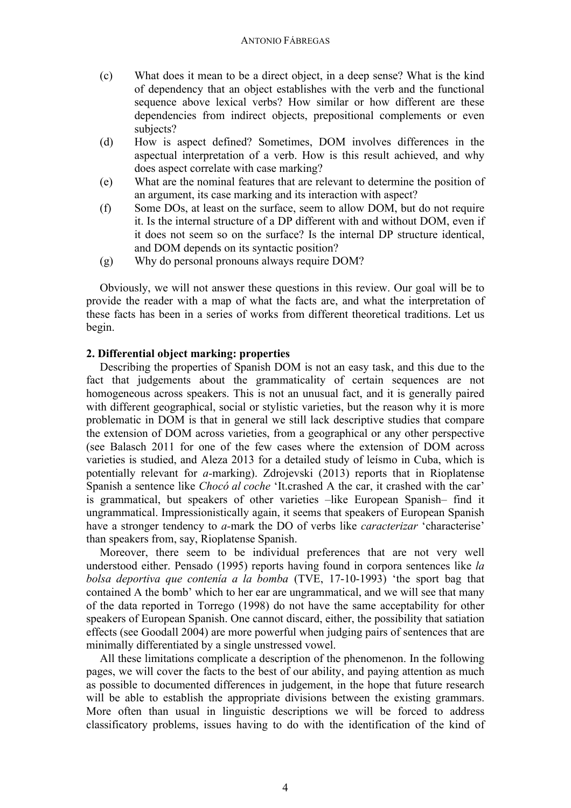- (c) What does it mean to be a direct object, in a deep sense? What is the kind of dependency that an object establishes with the verb and the functional sequence above lexical verbs? How similar or how different are these dependencies from indirect objects, prepositional complements or even subjects?
- (d) How is aspect defined? Sometimes, DOM involves differences in the aspectual interpretation of a verb. How is this result achieved, and why does aspect correlate with case marking?
- (e) What are the nominal features that are relevant to determine the position of an argument, its case marking and its interaction with aspect?
- (f) Some DOs, at least on the surface, seem to allow DOM, but do not require it. Is the internal structure of a DP different with and without DOM, even if it does not seem so on the surface? Is the internal DP structure identical, and DOM depends on its syntactic position?
- (g) Why do personal pronouns always require DOM?

Obviously, we will not answer these questions in this review. Our goal will be to provide the reader with a map of what the facts are, and what the interpretation of these facts has been in a series of works from different theoretical traditions. Let us begin.

## **2. Differential object marking: properties**

Describing the properties of Spanish DOM is not an easy task, and this due to the fact that judgements about the grammaticality of certain sequences are not homogeneous across speakers. This is not an unusual fact, and it is generally paired with different geographical, social or stylistic varieties, but the reason why it is more problematic in DOM is that in general we still lack descriptive studies that compare the extension of DOM across varieties, from a geographical or any other perspective (see Balasch 2011 for one of the few cases where the extension of DOM across varieties is studied, and Aleza 2013 for a detailed study of leísmo in Cuba, which is potentially relevant for *a-*marking). Zdrojevski (2013) reports that in Rioplatense Spanish a sentence like *Chocó al coche* 'It.crashed A the car, it crashed with the car' is grammatical, but speakers of other varieties –like European Spanish– find it ungrammatical. Impressionistically again, it seems that speakers of European Spanish have a stronger tendency to *a-*mark the DO of verbs like *caracterizar* 'characterise' than speakers from, say, Rioplatense Spanish.

Moreover, there seem to be individual preferences that are not very well understood either. Pensado (1995) reports having found in corpora sentences like *la bolsa deportiva que contenía a la bomba* (TVE, 17-10-1993) 'the sport bag that contained A the bomb' which to her ear are ungrammatical, and we will see that many of the data reported in Torrego (1998) do not have the same acceptability for other speakers of European Spanish. One cannot discard, either, the possibility that satiation effects (see Goodall 2004) are more powerful when judging pairs of sentences that are minimally differentiated by a single unstressed vowel.

All these limitations complicate a description of the phenomenon. In the following pages, we will cover the facts to the best of our ability, and paying attention as much as possible to documented differences in judgement, in the hope that future research will be able to establish the appropriate divisions between the existing grammars. More often than usual in linguistic descriptions we will be forced to address classificatory problems, issues having to do with the identification of the kind of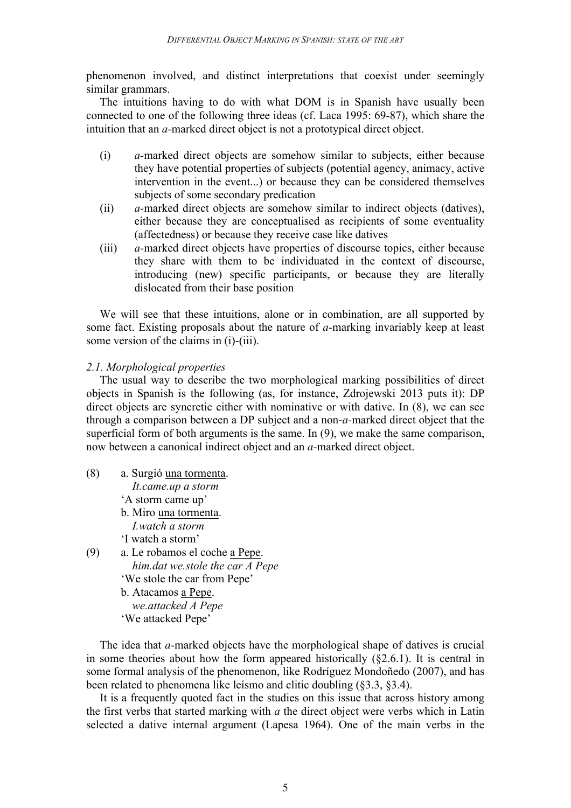phenomenon involved, and distinct interpretations that coexist under seemingly similar grammars.

The intuitions having to do with what DOM is in Spanish have usually been connected to one of the following three ideas (cf. Laca 1995: 69-87), which share the intuition that an *a-*marked direct object is not a prototypical direct object.

- (i) *a-*marked direct objects are somehow similar to subjects, either because they have potential properties of subjects (potential agency, animacy, active intervention in the event...) or because they can be considered themselves subjects of some secondary predication
- (ii) *a-*marked direct objects are somehow similar to indirect objects (datives), either because they are conceptualised as recipients of some eventuality (affectedness) or because they receive case like datives
- (iii) *a-*marked direct objects have properties of discourse topics, either because they share with them to be individuated in the context of discourse, introducing (new) specific participants, or because they are literally dislocated from their base position

We will see that these intuitions, alone or in combination, are all supported by some fact. Existing proposals about the nature of *a-*marking invariably keep at least some version of the claims in (i)-(iii).

# *2.1. Morphological properties*

The usual way to describe the two morphological marking possibilities of direct objects in Spanish is the following (as, for instance, Zdrojewski 2013 puts it): DP direct objects are syncretic either with nominative or with dative. In (8), we can see through a comparison between a DP subject and a non-*a-*marked direct object that the superficial form of both arguments is the same. In (9), we make the same comparison, now between a canonical indirect object and an *a-*marked direct object.

- (8) a. Surgió una tormenta. *It.came.up a storm* 'A storm came up' b. Miro una tormenta. *I.watch a storm* 'I watch a storm' (9) a. Le robamos el coche a Pepe. *him.dat we.stole the car A Pepe* 'We stole the car from Pepe' b. Atacamos a Pepe. *we.attacked A Pepe*
	- 'We attacked Pepe'

The idea that *a-*marked objects have the morphological shape of datives is crucial in some theories about how the form appeared historically  $(\S2.6.1)$ . It is central in some formal analysis of the phenomenon, like Rodríguez Mondoñedo (2007), and has been related to phenomena like leísmo and clitic doubling (§3.3, §3.4).

It is a frequently quoted fact in the studies on this issue that across history among the first verbs that started marking with *a* the direct object were verbs which in Latin selected a dative internal argument (Lapesa 1964). One of the main verbs in the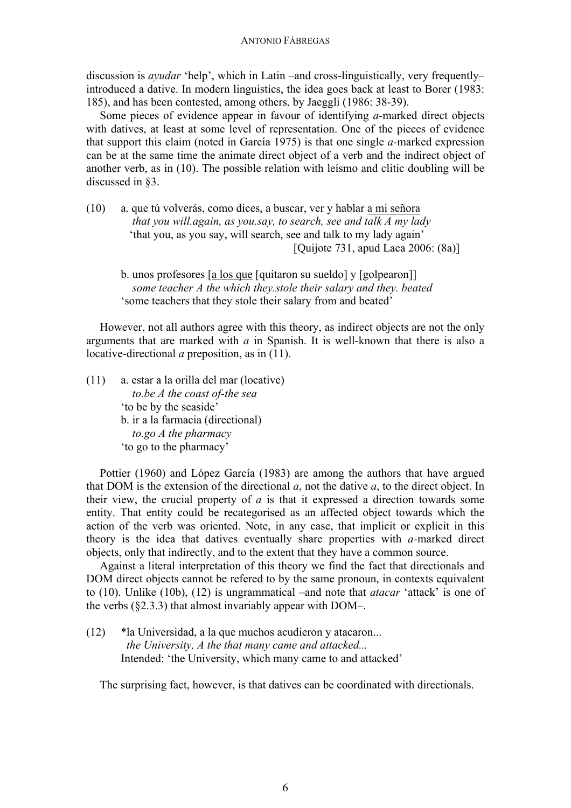discussion is *ayudar* 'help', which in Latin –and cross-linguistically, very frequently– introduced a dative. In modern linguistics, the idea goes back at least to Borer (1983: 185), and has been contested, among others, by Jaeggli (1986: 38-39).

Some pieces of evidence appear in favour of identifying *a-*marked direct objects with datives, at least at some level of representation. One of the pieces of evidence that support this claim (noted in García 1975) is that one single *a-*marked expression can be at the same time the animate direct object of a verb and the indirect object of another verb, as in (10). The possible relation with leísmo and clitic doubling will be discussed in §3.

- (10) a. que tú volverás, como dices, a buscar, ver y hablar a mi señora  *that you will.again, as you.say, to search, see and talk A my lady* 'that you, as you say, will search, see and talk to my lady again' [Quijote 731, apud Laca 2006: (8a)]
	- b. unos profesores [a los que [quitaron su sueldo] y [golpearon]] *some teacher A the which they.stole their salary and they. beated* 'some teachers that they stole their salary from and beated'

However, not all authors agree with this theory, as indirect objects are not the only arguments that are marked with *a* in Spanish. It is well-known that there is also a locative-directional *a* preposition, as in (11).

(11) a. estar a la orilla del mar (locative) *to.be A the coast of-the sea* 'to be by the seaside' b. ir a la farmacia (directional) *to.go A the pharmacy* 'to go to the pharmacy'

Pottier (1960) and López García (1983) are among the authors that have argued that DOM is the extension of the directional *a*, not the dative *a*, to the direct object. In their view, the crucial property of *a* is that it expressed a direction towards some entity. That entity could be recategorised as an affected object towards which the action of the verb was oriented. Note, in any case, that implicit or explicit in this theory is the idea that datives eventually share properties with *a-*marked direct objects, only that indirectly, and to the extent that they have a common source.

Against a literal interpretation of this theory we find the fact that directionals and DOM direct objects cannot be refered to by the same pronoun, in contexts equivalent to (10). Unlike (10b), (12) is ungrammatical –and note that *atacar* 'attack' is one of the verbs  $(\S2.3.3)$  that almost invariably appear with DOM–.

(12) \*la Universidad, a la que muchos acudieron y atacaron... *the University, A the that many came and attacked...* Intended: 'the University, which many came to and attacked'

The surprising fact, however, is that datives can be coordinated with directionals.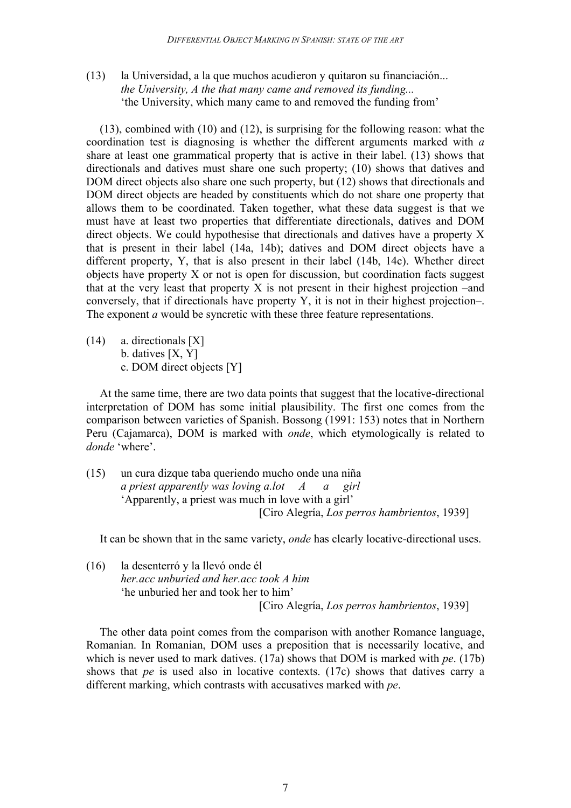(13) la Universidad, a la que muchos acudieron y quitaron su financiación... *the University, A the that many came and removed its funding...* 'the University, which many came to and removed the funding from'

(13), combined with (10) and (12), is surprising for the following reason: what the coordination test is diagnosing is whether the different arguments marked with *a* share at least one grammatical property that is active in their label. (13) shows that directionals and datives must share one such property; (10) shows that datives and DOM direct objects also share one such property, but (12) shows that directionals and DOM direct objects are headed by constituents which do not share one property that allows them to be coordinated. Taken together, what these data suggest is that we must have at least two properties that differentiate directionals, datives and DOM direct objects. We could hypothesise that directionals and datives have a property X that is present in their label (14a, 14b); datives and DOM direct objects have a different property, Y, that is also present in their label (14b, 14c). Whether direct objects have property X or not is open for discussion, but coordination facts suggest that at the very least that property X is not present in their highest projection –and conversely, that if directionals have property Y, it is not in their highest projection–. The exponent *a* would be syncretic with these three feature representations.

(14) a. directionals [X] b. datives [X, Y] c. DOM direct objects [Y]

At the same time, there are two data points that suggest that the locative-directional interpretation of DOM has some initial plausibility. The first one comes from the comparison between varieties of Spanish. Bossong (1991: 153) notes that in Northern Peru (Cajamarca), DOM is marked with *onde*, which etymologically is related to *donde* 'where'.

(15) un cura dizque taba queriendo mucho onde una niña *a priest apparently was loving a.lot A a girl* 'Apparently, a priest was much in love with a girl' [Ciro Alegría, *Los perros hambrientos*, 1939]

It can be shown that in the same variety, *onde* has clearly locative-directional uses.

(16) la desenterró y la llevó onde él *her.acc unburied and her.acc took A him* 'he unburied her and took her to him' [Ciro Alegría, *Los perros hambrientos*, 1939]

The other data point comes from the comparison with another Romance language, Romanian. In Romanian, DOM uses a preposition that is necessarily locative, and which is never used to mark datives. (17a) shows that DOM is marked with *pe*. (17b) shows that *pe* is used also in locative contexts. (17c) shows that datives carry a different marking, which contrasts with accusatives marked with *pe*.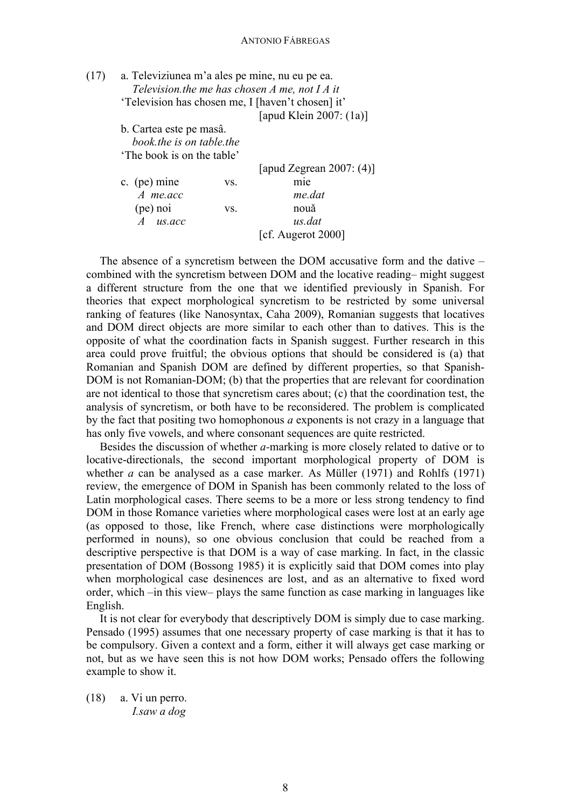| (17) | a. Televiziunea m'a ales pe mine, nu eu pe ea.    |
|------|---------------------------------------------------|
|      | Television the me has chosen $A$ me, not $IA$ it  |
|      | 'Television has chosen me, I [haven't chosen] it' |
|      | $F = 11771 : 20077 41$                            |

[apud Klein 2007: (1a)]

b. Cartea este pe masâ. *book.the is on table.the* 'The book is on the table'

|                          |     | [apud Zegrean 2007: $(4)$ ] |
|--------------------------|-----|-----------------------------|
| c. (pe) mine             | VS. | mie                         |
| $A$ me.acc               |     | me.dat                      |
| (pe) noi                 | VS. | nouă                        |
| us.acc<br>$\overline{A}$ |     | us.dat                      |
|                          |     | [cf. Augerot 2000]          |

The absence of a syncretism between the DOM accusative form and the dative – combined with the syncretism between DOM and the locative reading– might suggest a different structure from the one that we identified previously in Spanish. For theories that expect morphological syncretism to be restricted by some universal ranking of features (like Nanosyntax, Caha 2009), Romanian suggests that locatives and DOM direct objects are more similar to each other than to datives. This is the opposite of what the coordination facts in Spanish suggest. Further research in this area could prove fruitful; the obvious options that should be considered is (a) that Romanian and Spanish DOM are defined by different properties, so that Spanish-DOM is not Romanian-DOM; (b) that the properties that are relevant for coordination are not identical to those that syncretism cares about; (c) that the coordination test, the analysis of syncretism, or both have to be reconsidered. The problem is complicated by the fact that positing two homophonous *a* exponents is not crazy in a language that has only five vowels, and where consonant sequences are quite restricted.

Besides the discussion of whether *a-*marking is more closely related to dative or to locative-directionals, the second important morphological property of DOM is whether *a* can be analysed as a case marker. As Müller (1971) and Rohlfs (1971) review, the emergence of DOM in Spanish has been commonly related to the loss of Latin morphological cases. There seems to be a more or less strong tendency to find DOM in those Romance varieties where morphological cases were lost at an early age (as opposed to those, like French, where case distinctions were morphologically performed in nouns), so one obvious conclusion that could be reached from a descriptive perspective is that DOM is a way of case marking. In fact, in the classic presentation of DOM (Bossong 1985) it is explicitly said that DOM comes into play when morphological case desinences are lost, and as an alternative to fixed word order, which –in this view– plays the same function as case marking in languages like English.

It is not clear for everybody that descriptively DOM is simply due to case marking. Pensado (1995) assumes that one necessary property of case marking is that it has to be compulsory. Given a context and a form, either it will always get case marking or not, but as we have seen this is not how DOM works; Pensado offers the following example to show it.

(18) a. Vi un perro. *I.saw a dog*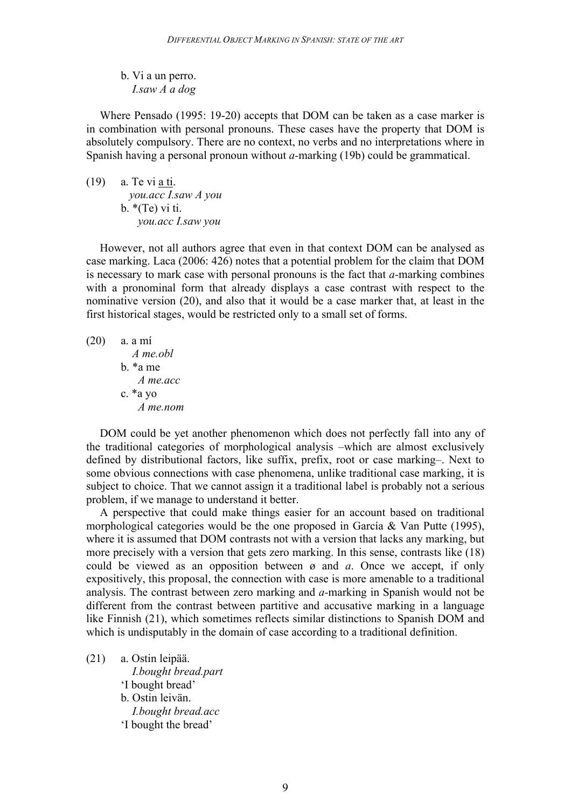b. Vi a un perro. *I.saw A a dog*

Where Pensado (1995: 19-20) accepts that DOM can be taken as a case marker is in combination with personal pronouns. These cases have the property that DOM is absolutely compulsory. There are no context, no verbs and no interpretations where in Spanish having a personal pronoun without *a-*marking (19b) could be grammatical.

(19) a. Te vi a ti. *you.acc I.saw A you* b.  $*(Te)$  vi ti. *you.acc I.saw you*

However, not all authors agree that even in that context DOM can be analysed as case marking. Laca (2006: 426) notes that a potential problem for the claim that DOM is necessary to mark case with personal pronouns is the fact that *a-*marking combines with a pronominal form that already displays a case contrast with respect to the nominative version (20), and also that it would be a case marker that, at least in the first historical stages, would be restricted only to a small set of forms.

(20) a. a mí *A me.obl* b. \*a me *A me.acc* c. \*a yo *A me.nom*

DOM could be yet another phenomenon which does not perfectly fall into any of the traditional categories of morphological analysis –which are almost exclusively defined by distributional factors, like suffix, prefix, root or case marking–. Next to some obvious connections with case phenomena, unlike traditional case marking, it is subject to choice. That we cannot assign it a traditional label is probably not a serious problem, if we manage to understand it better.

A perspective that could make things easier for an account based on traditional morphological categories would be the one proposed in García & Van Putte (1995), where it is assumed that DOM contrasts not with a version that lacks any marking, but more precisely with a version that gets zero marking. In this sense, contrasts like (18) could be viewed as an opposition between ø and *a*. Once we accept, if only expositively, this proposal, the connection with case is more amenable to a traditional analysis. The contrast between zero marking and *a-*marking in Spanish would not be different from the contrast between partitive and accusative marking in a language like Finnish (21), which sometimes reflects similar distinctions to Spanish DOM and which is undisputably in the domain of case according to a traditional definition.

(21) a. Ostin leipää.

 *I.bought bread.part* 'I bought bread' b. Ostin leivän. *I.bought bread.acc* 'I bought the bread'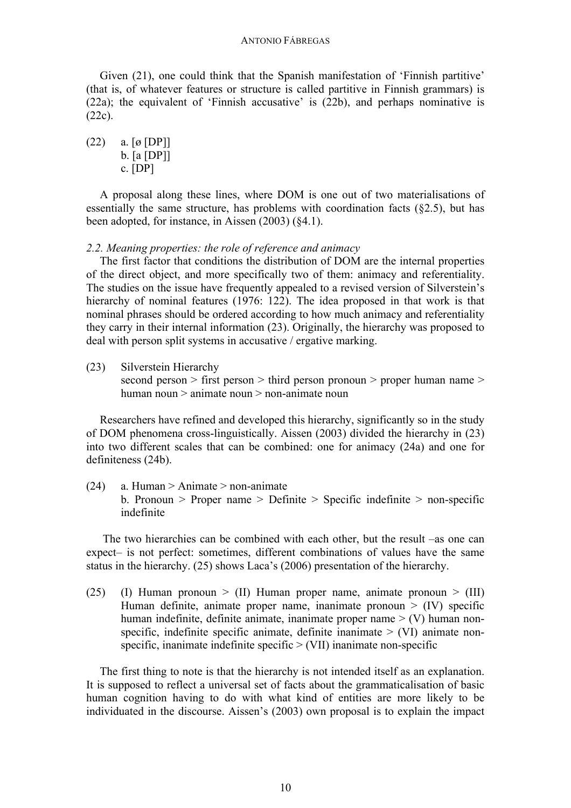Given (21), one could think that the Spanish manifestation of 'Finnish partitive' (that is, of whatever features or structure is called partitive in Finnish grammars) is (22a); the equivalent of 'Finnish accusative' is (22b), and perhaps nominative is (22c).

 $(22)$  a. [ø [DP]] b. [a [DP]] c. [DP]

A proposal along these lines, where DOM is one out of two materialisations of essentially the same structure, has problems with coordination facts (§2.5), but has been adopted, for instance, in Aissen (2003) (§4.1).

*2.2. Meaning properties: the role of reference and animacy*

The first factor that conditions the distribution of DOM are the internal properties of the direct object, and more specifically two of them: animacy and referentiality. The studies on the issue have frequently appealed to a revised version of Silverstein's hierarchy of nominal features (1976: 122). The idea proposed in that work is that nominal phrases should be ordered according to how much animacy and referentiality they carry in their internal information (23). Originally, the hierarchy was proposed to deal with person split systems in accusative / ergative marking.

(23) Silverstein Hierarchy

second person > first person > third person pronoun > proper human name > human noun > animate noun > non-animate noun

Researchers have refined and developed this hierarchy, significantly so in the study of DOM phenomena cross-linguistically. Aissen (2003) divided the hierarchy in (23) into two different scales that can be combined: one for animacy (24a) and one for definiteness (24b).

 $(24)$  a. Human > Animate > non-animate b. Pronoun  $>$  Proper name  $>$  Definite  $>$  Specific indefinite  $>$  non-specific indefinite

The two hierarchies can be combined with each other, but the result –as one can expect– is not perfect: sometimes, different combinations of values have the same status in the hierarchy. (25) shows Laca's (2006) presentation of the hierarchy.

(25) (I) Human pronoun  $>$  (II) Human proper name, animate pronoun  $>$  (III) Human definite, animate proper name, inanimate pronoun  $> (IV)$  specific human indefinite, definite animate, inanimate proper name  $>$  (V) human nonspecific, indefinite specific animate, definite inanimate  $>$  (VI) animate nonspecific, inanimate indefinite specific  $>$  (VII) inanimate non-specific

The first thing to note is that the hierarchy is not intended itself as an explanation. It is supposed to reflect a universal set of facts about the grammaticalisation of basic human cognition having to do with what kind of entities are more likely to be individuated in the discourse. Aissen's (2003) own proposal is to explain the impact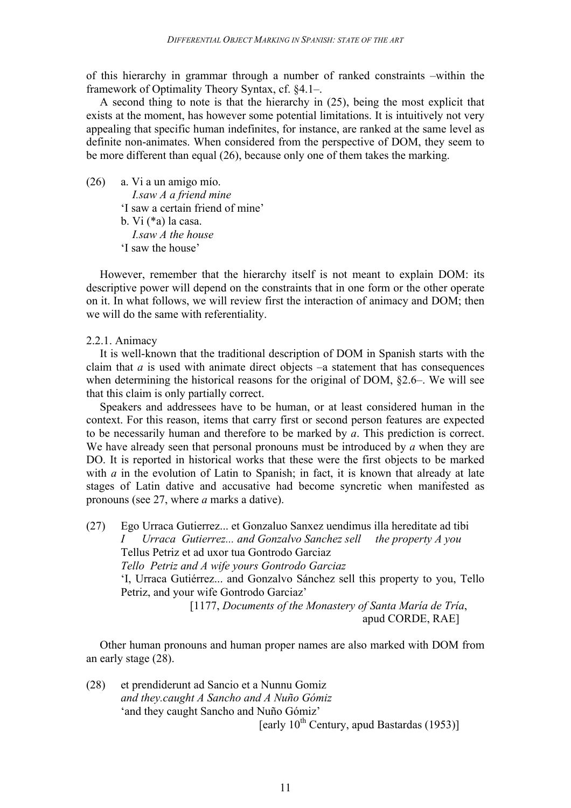of this hierarchy in grammar through a number of ranked constraints –within the framework of Optimality Theory Syntax, cf. §4.1–.

A second thing to note is that the hierarchy in (25), being the most explicit that exists at the moment, has however some potential limitations. It is intuitively not very appealing that specific human indefinites, for instance, are ranked at the same level as definite non-animates. When considered from the perspective of DOM, they seem to be more different than equal (26), because only one of them takes the marking.

(26) a. Vi a un amigo mío. *I.saw A a friend mine* 'I saw a certain friend of mine' b. Vi (\*a) la casa. *I.saw A the house* 'I saw the house'

However, remember that the hierarchy itself is not meant to explain DOM: its descriptive power will depend on the constraints that in one form or the other operate on it. In what follows, we will review first the interaction of animacy and DOM; then we will do the same with referentiality.

2.2.1. Animacy

It is well-known that the traditional description of DOM in Spanish starts with the claim that  $a$  is used with animate direct objects  $-a$  statement that has consequences when determining the historical reasons for the original of DOM, §2.6–. We will see that this claim is only partially correct.

Speakers and addressees have to be human, or at least considered human in the context. For this reason, items that carry first or second person features are expected to be necessarily human and therefore to be marked by *a*. This prediction is correct. We have already seen that personal pronouns must be introduced by *a* when they are DO. It is reported in historical works that these were the first objects to be marked with *a* in the evolution of Latin to Spanish; in fact, it is known that already at late stages of Latin dative and accusative had become syncretic when manifested as pronouns (see 27, where *a* marks a dative).

(27) Ego Urraca Gutierrez... et Gonzaluo Sanxez uendimus illa hereditate ad tibi *I Urraca Gutierrez... and Gonzalvo Sanchez sell the property A you* Tellus Petriz et ad uxor tua Gontrodo Garciaz *Tello Petriz and A wife yours Gontrodo Garciaz* 'I, Urraca Gutiérrez... and Gonzalvo Sánchez sell this property to you, Tello Petriz, and your wife Gontrodo Garciaz' [1177, *Documents of the Monastery of Santa María de Tría*,

apud CORDE, RAE]

Other human pronouns and human proper names are also marked with DOM from an early stage (28).

(28) et prendiderunt ad Sancio et a Nunnu Gomiz *and they.caught A Sancho and A Nuño Gómiz* 'and they caught Sancho and Nuño Gómiz'

[early  $10^{th}$  Century, apud Bastardas (1953)]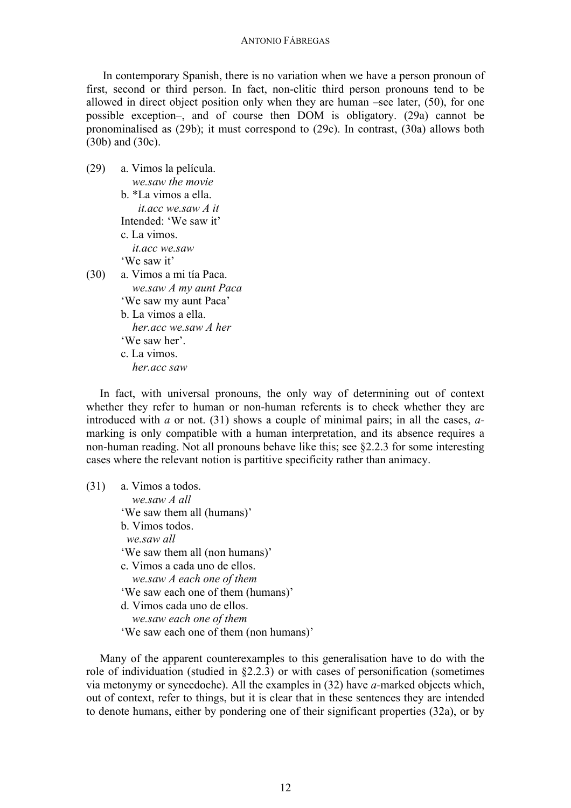In contemporary Spanish, there is no variation when we have a person pronoun of first, second or third person. In fact, non-clitic third person pronouns tend to be allowed in direct object position only when they are human –see later, (50), for one possible exception–, and of course then DOM is obligatory. (29a) cannot be pronominalised as (29b); it must correspond to (29c). In contrast, (30a) allows both (30b) and (30c).

- (29) a. Vimos la película. *we.saw the movie* b. \*La vimos a ella. *it.acc we.saw A it* Intended: 'We saw it' c. La vimos.  *it.acc we.saw* 'We saw it' (30) a. Vimos a mi tía Paca. *we.saw A my aunt Paca* 'We saw my aunt Paca'
	- b. La vimos a ella. *her.acc we.saw A her* 'We saw her'. c. La vimos. *her.acc saw*

In fact, with universal pronouns, the only way of determining out of context whether they refer to human or non-human referents is to check whether they are introduced with *a* or not. (31) shows a couple of minimal pairs; in all the cases, *a*marking is only compatible with a human interpretation, and its absence requires a non-human reading. Not all pronouns behave like this; see §2.2.3 for some interesting cases where the relevant notion is partitive specificity rather than animacy.

| (31) | a. Vimos a todos.                      |
|------|----------------------------------------|
|      | we.saw A all                           |
|      | 'We saw them all (humans)'             |
|      | b. Vimos todos.                        |
|      | we.saw all                             |
|      | 'We saw them all (non humans)'         |
|      | c. Vimos a cada uno de ellos.          |
|      | we.saw A each one of them              |
|      | 'We saw each one of them (humans)'     |
|      | d. Vimos cada uno de ellos.            |
|      | we.saw each one of them                |
|      | 'We saw each one of them (non humans)' |
|      |                                        |

Many of the apparent counterexamples to this generalisation have to do with the role of individuation (studied in §2.2.3) or with cases of personification (sometimes via metonymy or synecdoche). All the examples in (32) have *a-*marked objects which, out of context, refer to things, but it is clear that in these sentences they are intended to denote humans, either by pondering one of their significant properties (32a), or by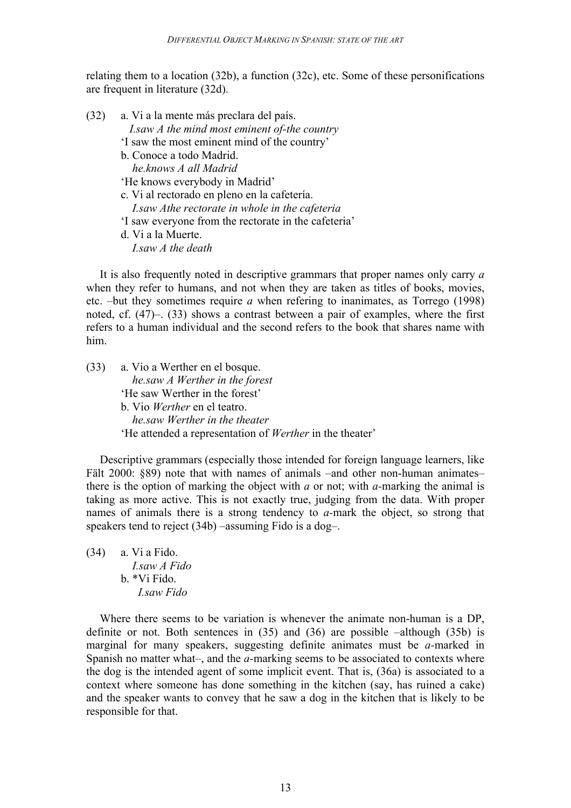relating them to a location (32b), a function (32c), etc. Some of these personifications are frequent in literature (32d).

- (32) a. Vi a la mente más preclara del país. *I.saw A the mind most eminent of-the country* 'I saw the most eminent mind of the country' b. Conoce a todo Madrid. *he.knows A all Madrid* 'He knows everybody in Madrid' c. Vi al rectorado en pleno en la cafetería.  *I.saw Athe rectorate in whole in the cafeteria* 'I saw everyone from the rectorate in the cafeteria'
	- d. Vi a la Muerte. *I.saw A the death*

It is also frequently noted in descriptive grammars that proper names only carry *a* when they refer to humans, and not when they are taken as titles of books, movies, etc. –but they sometimes require *a* when refering to inanimates, as Torrego (1998) noted, cf. (47)–. (33) shows a contrast between a pair of examples, where the first refers to a human individual and the second refers to the book that shares name with him.

| (33) | a. Vio a Werther en el bosque.                                  |
|------|-----------------------------------------------------------------|
|      | he.saw A Werther in the forest                                  |
|      | 'He saw Werther in the forest'                                  |
|      | b. Vio <i>Werther</i> en el teatro.                             |
|      | he saw Werther in the theater                                   |
|      | 'He attended a representation of <i>Werther</i> in the theater' |

Descriptive grammars (especially those intended for foreign language learners, like Fält 2000:  $889$ ) note that with names of animals –and other non-human animates– there is the option of marking the object with *a* or not; with *a-*marking the animal is taking as more active. This is not exactly true, judging from the data. With proper names of animals there is a strong tendency to *a-*mark the object, so strong that speakers tend to reject (34b) –assuming Fido is a dog–.

(34) a. Vi a Fido. *I.saw A Fido* b. \*Vi Fido.  *I.saw Fido*

Where there seems to be variation is whenever the animate non-human is a DP, definite or not. Both sentences in (35) and (36) are possible –although (35b) is marginal for many speakers, suggesting definite animates must be *a-*marked in Spanish no matter what–, and the *a-*marking seems to be associated to contexts where the dog is the intended agent of some implicit event. That is, (36a) is associated to a context where someone has done something in the kitchen (say, has ruined a cake) and the speaker wants to convey that he saw a dog in the kitchen that is likely to be responsible for that.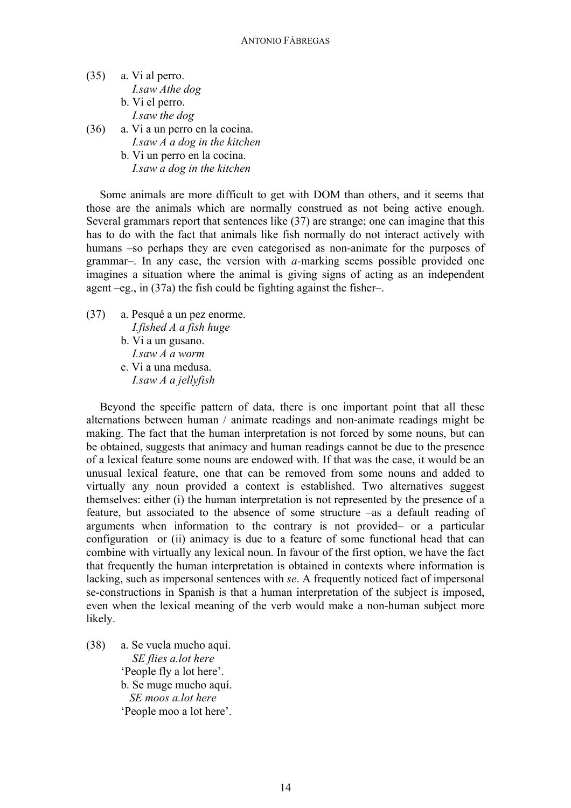- (35) a. Vi al perro. *I.saw Athe dog* b. Vi el perro. *I.saw the dog* (36) a. Vi a un perro en la cocina.
	- *I.saw A a dog in the kitchen*
		- b. Vi un perro en la cocina. *I.saw a dog in the kitchen*

Some animals are more difficult to get with DOM than others, and it seems that those are the animals which are normally construed as not being active enough. Several grammars report that sentences like (37) are strange; one can imagine that this has to do with the fact that animals like fish normally do not interact actively with humans –so perhaps they are even categorised as non-animate for the purposes of grammar–. In any case, the version with *a-*marking seems possible provided one imagines a situation where the animal is giving signs of acting as an independent agent –eg., in (37a) the fish could be fighting against the fisher–.

- (37) a. Pesqué a un pez enorme. *I.fished A a fish huge*
	- b. Vi a un gusano. *I.saw A a worm* c. Vi a una medusa. *I.saw A a jellyfish*

Beyond the specific pattern of data, there is one important point that all these alternations between human / animate readings and non-animate readings might be making. The fact that the human interpretation is not forced by some nouns, but can be obtained, suggests that animacy and human readings cannot be due to the presence of a lexical feature some nouns are endowed with. If that was the case, it would be an unusual lexical feature, one that can be removed from some nouns and added to virtually any noun provided a context is established. Two alternatives suggest themselves: either (i) the human interpretation is not represented by the presence of a feature, but associated to the absence of some structure –as a default reading of arguments when information to the contrary is not provided– or a particular configuration or (ii) animacy is due to a feature of some functional head that can combine with virtually any lexical noun. In favour of the first option, we have the fact that frequently the human interpretation is obtained in contexts where information is lacking, such as impersonal sentences with *se*. A frequently noticed fact of impersonal se-constructions in Spanish is that a human interpretation of the subject is imposed, even when the lexical meaning of the verb would make a non-human subject more likely.

(38) a. Se vuela mucho aquí. *SE flies a.lot here* 'People fly a lot here'. b. Se muge mucho aquí. *SE moos a.lot here* 'People moo a lot here'.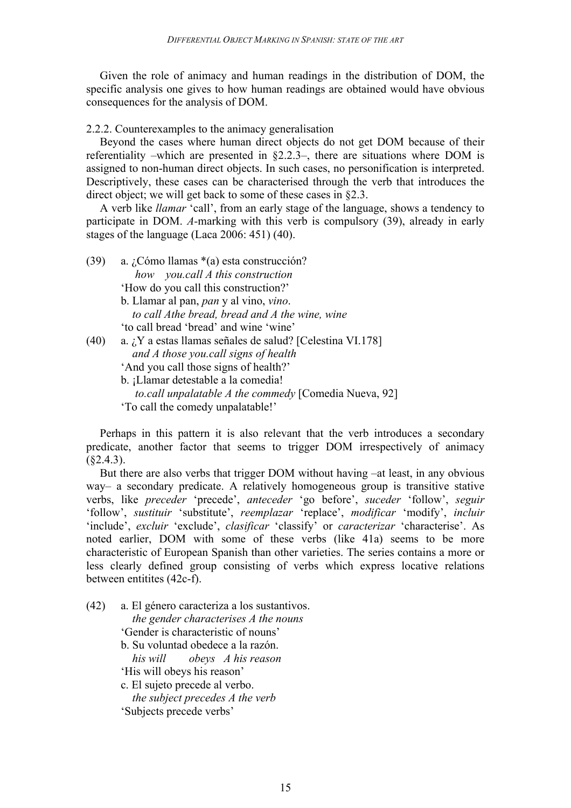Given the role of animacy and human readings in the distribution of DOM, the specific analysis one gives to how human readings are obtained would have obvious consequences for the analysis of DOM.

2.2.2. Counterexamples to the animacy generalisation

Beyond the cases where human direct objects do not get DOM because of their referentiality –which are presented in §2.2.3–, there are situations where DOM is assigned to non-human direct objects. In such cases, no personification is interpreted. Descriptively, these cases can be characterised through the verb that introduces the direct object; we will get back to some of these cases in §2.3.

A verb like *llamar* 'call', from an early stage of the language, shows a tendency to participate in DOM. *A-*marking with this verb is compulsory (39), already in early stages of the language (Laca 2006: 451) (40).

| (39) | a. ¿Cómo llamas $*(a)$ esta construcción?                 |
|------|-----------------------------------------------------------|
|      | how you.call A this construction                          |
|      | 'How do you call this construction?'                      |
|      | b. Llamar al pan, <i>pan</i> y al vino, <i>vino</i> .     |
|      | to call Athe bread, bread and A the wine, wine            |
|      | 'to call bread 'bread' and wine 'wine'                    |
| (40) | a. ¿Y a estas llamas señales de salud? [Celestina VI.178] |
|      | and A those you.call signs of health                      |
|      | 'And you call those signs of health?'                     |
|      | b. ¡Llamar detestable a la comedia!                       |
|      | to.call unpalatable A the commedy [Comedia Nueva, 92]     |
|      | 'To call the comedy unpalatable!'                         |

Perhaps in this pattern it is also relevant that the verb introduces a secondary predicate, another factor that seems to trigger DOM irrespectively of animacy  $(§2.4.3).$ 

But there are also verbs that trigger DOM without having –at least, in any obvious way– a secondary predicate. A relatively homogeneous group is transitive stative verbs, like *preceder* 'precede', *anteceder* 'go before', *suceder* 'follow', *seguir*  'follow', *sustituir* 'substitute', *reemplazar* 'replace', *modificar* 'modify', *incluir* 'include', *excluir* 'exclude', *clasificar* 'classify' or *caracterizar* 'characterise'. As noted earlier, DOM with some of these verbs (like 41a) seems to be more characteristic of European Spanish than other varieties. The series contains a more or less clearly defined group consisting of verbs which express locative relations between entitites (42c-f).

(42) a. El género caracteriza a los sustantivos. *the gender characterises A the nouns* 'Gender is characteristic of nouns' b. Su voluntad obedece a la razón. *his will obeys A his reason* 'His will obeys his reason' c. El sujeto precede al verbo.  *the subject precedes A the verb* 'Subjects precede verbs'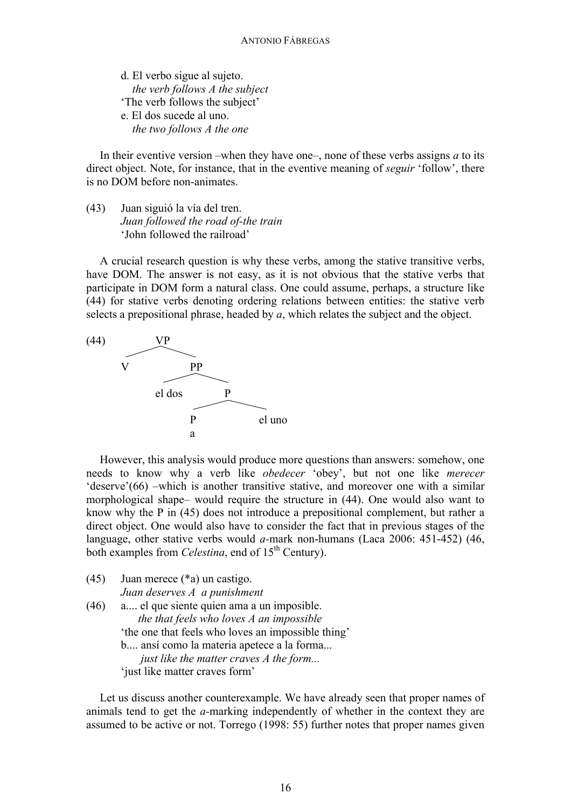d. El verbo sigue al sujeto. *the verb follows A the subject* 'The verb follows the subject' e. El dos sucede al uno. *the two follows A the one*

In their eventive version –when they have one–, none of these verbs assigns  $a$  to its direct object. Note, for instance, that in the eventive meaning of *seguir* 'follow', there is no DOM before non-animates.

(43) Juan siguió la vía del tren. *Juan followed the road of-the train* 'John followed the railroad'

A crucial research question is why these verbs, among the stative transitive verbs, have DOM. The answer is not easy, as it is not obvious that the stative verbs that participate in DOM form a natural class. One could assume, perhaps, a structure like (44) for stative verbs denoting ordering relations between entities: the stative verb selects a prepositional phrase, headed by *a*, which relates the subject and the object.



However, this analysis would produce more questions than answers: somehow, one needs to know why a verb like *obedecer* 'obey', but not one like *merecer* 'deserve'(66) –which is another transitive stative, and moreover one with a similar morphological shape– would require the structure in (44). One would also want to know why the P in (45) does not introduce a prepositional complement, but rather a direct object. One would also have to consider the fact that in previous stages of the language, other stative verbs would *a-*mark non-humans (Laca 2006: 451-452) (46, both examples from *Celestina*, end of 15<sup>th</sup> Century).

(45) Juan merece (\*a) un castigo. *Juan deserves A a punishment* (46) a.... el que siente quien ama a un imposible. *the that feels who loves A an impossible* 'the one that feels who loves an impossible thing' b.... ansí como la materia apetece a la forma... *just like the matter craves A the form...* 'just like matter craves form'

Let us discuss another counterexample. We have already seen that proper names of animals tend to get the *a-*marking independently of whether in the context they are assumed to be active or not. Torrego (1998: 55) further notes that proper names given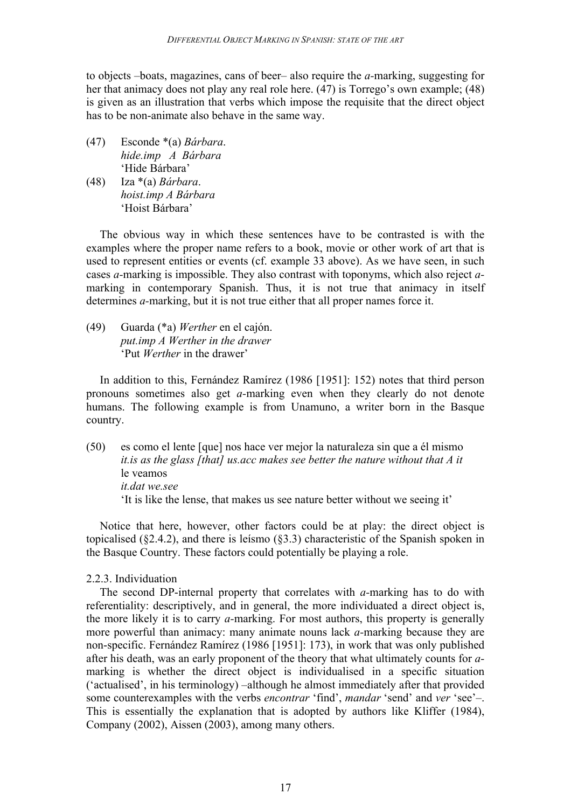to objects –boats, magazines, cans of beer– also require the *a-*marking, suggesting for her that animacy does not play any real role here. (47) is Torrego's own example; (48) is given as an illustration that verbs which impose the requisite that the direct object has to be non-animate also behave in the same way.

- (47) Esconde \*(a) *Bárbara*. *hide.imp A Bárbara* 'Hide Bárbara'
- (48) Iza \*(a) *Bárbara*. *hoist.imp A Bárbara* 'Hoist Bárbara'

The obvious way in which these sentences have to be contrasted is with the examples where the proper name refers to a book, movie or other work of art that is used to represent entities or events (cf. example 33 above). As we have seen, in such cases *a-*marking is impossible. They also contrast with toponyms, which also reject *a*marking in contemporary Spanish. Thus, it is not true that animacy in itself determines *a-*marking, but it is not true either that all proper names force it.

(49) Guarda (\*a) *Werther* en el cajón. *put.imp A Werther in the drawer* 'Put *Werther* in the drawer'

In addition to this, Fernández Ramírez (1986 [1951]: 152) notes that third person pronouns sometimes also get *a-*marking even when they clearly do not denote humans. The following example is from Unamuno, a writer born in the Basque country.

(50) es como el lente [que] nos hace ver mejor la naturaleza sin que a él mismo *it.is as the glass [that] us.acc makes see better the nature without that A it* le veamos *it.dat we.see* 'It is like the lense, that makes us see nature better without we seeing it'

Notice that here, however, other factors could be at play: the direct object is topicalised (§2.4.2), and there is leísmo (§3.3) characteristic of the Spanish spoken in the Basque Country. These factors could potentially be playing a role.

# 2.2.3. Individuation

The second DP-internal property that correlates with *a-*marking has to do with referentiality: descriptively, and in general, the more individuated a direct object is, the more likely it is to carry *a-*marking. For most authors, this property is generally more powerful than animacy: many animate nouns lack *a-*marking because they are non-specific. Fernández Ramírez (1986 [1951]: 173), in work that was only published after his death, was an early proponent of the theory that what ultimately counts for *a*marking is whether the direct object is individualised in a specific situation ('actualised', in his terminology) –although he almost immediately after that provided some counterexamples with the verbs *encontrar* 'find', *mandar* 'send' and *ver* 'see'–. This is essentially the explanation that is adopted by authors like Kliffer (1984), Company (2002), Aissen (2003), among many others.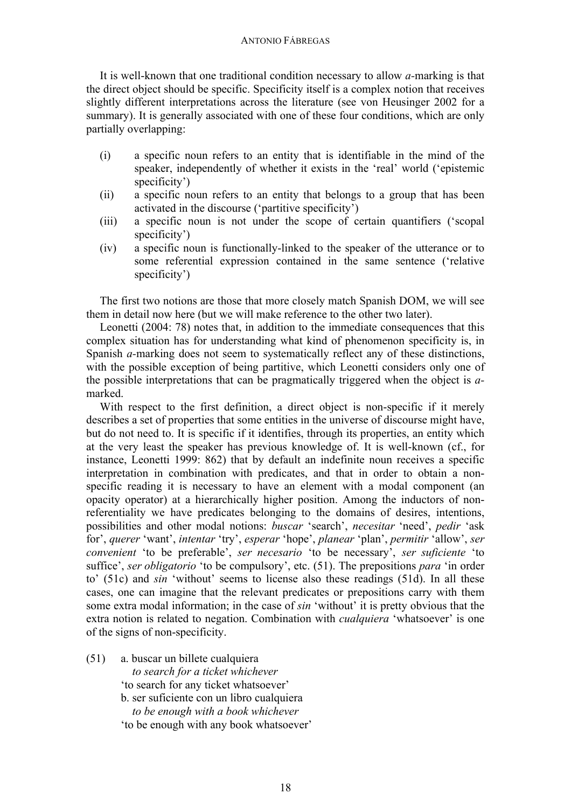It is well-known that one traditional condition necessary to allow *a-*marking is that the direct object should be specific. Specificity itself is a complex notion that receives slightly different interpretations across the literature (see von Heusinger 2002 for a summary). It is generally associated with one of these four conditions, which are only partially overlapping:

- (i) a specific noun refers to an entity that is identifiable in the mind of the speaker, independently of whether it exists in the 'real' world ('epistemic specificity')
- (ii) a specific noun refers to an entity that belongs to a group that has been activated in the discourse ('partitive specificity')
- (iii) a specific noun is not under the scope of certain quantifiers ('scopal specificity')
- (iv) a specific noun is functionally-linked to the speaker of the utterance or to some referential expression contained in the same sentence ('relative specificity')

The first two notions are those that more closely match Spanish DOM, we will see them in detail now here (but we will make reference to the other two later).

Leonetti (2004: 78) notes that, in addition to the immediate consequences that this complex situation has for understanding what kind of phenomenon specificity is, in Spanish *a-*marking does not seem to systematically reflect any of these distinctions, with the possible exception of being partitive, which Leonetti considers only one of the possible interpretations that can be pragmatically triggered when the object is *a*marked.

With respect to the first definition, a direct object is non-specific if it merely describes a set of properties that some entities in the universe of discourse might have, but do not need to. It is specific if it identifies, through its properties, an entity which at the very least the speaker has previous knowledge of. It is well-known (cf., for instance, Leonetti 1999: 862) that by default an indefinite noun receives a specific interpretation in combination with predicates, and that in order to obtain a nonspecific reading it is necessary to have an element with a modal component (an opacity operator) at a hierarchically higher position. Among the inductors of nonreferentiality we have predicates belonging to the domains of desires, intentions, possibilities and other modal notions: *buscar* 'search', *necesitar* 'need', *pedir* 'ask for', *querer* 'want', *intentar* 'try', *esperar* 'hope', *planear* 'plan', *permitir* 'allow', *ser convenient* 'to be preferable', *ser necesario* 'to be necessary', *ser suficiente* 'to suffice', *ser obligatorio* 'to be compulsory', etc. (51). The prepositions *para* 'in order to' (51c) and *sin* 'without' seems to license also these readings (51d). In all these cases, one can imagine that the relevant predicates or prepositions carry with them some extra modal information; in the case of *sin* 'without' it is pretty obvious that the extra notion is related to negation. Combination with *cualquiera* 'whatsoever' is one of the signs of non-specificity.

(51) a. buscar un billete cualquiera  *to search for a ticket whichever* 'to search for any ticket whatsoever' b. ser suficiente con un libro cualquiera  *to be enough with a book whichever* 'to be enough with any book whatsoever'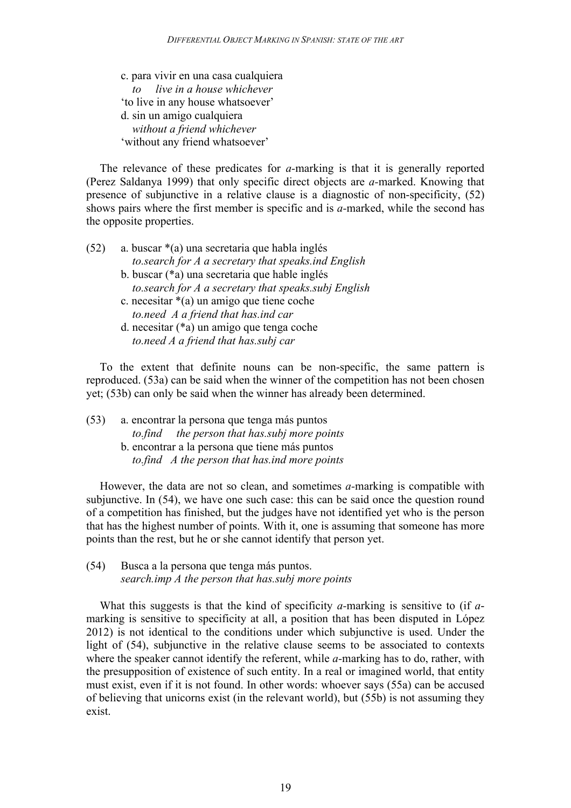c. para vivir en una casa cualquiera *to live in a house whichever* 'to live in any house whatsoever' d. sin un amigo cualquiera *without a friend whichever* 'without any friend whatsoever'

The relevance of these predicates for *a-*marking is that it is generally reported (Perez Saldanya 1999) that only specific direct objects are *a-*marked. Knowing that presence of subjunctive in a relative clause is a diagnostic of non-specificity, (52) shows pairs where the first member is specific and is *a-*marked, while the second has the opposite properties.

- (52) a. buscar \*(a) una secretaria que habla inglés *to.search for A a secretary that speaks.ind English* b. buscar (\*a) una secretaria que hable inglés *to.search for A a secretary that speaks.subj English* c. necesitar \*(a) un amigo que tiene coche *to.need A a friend that has.ind car*
	- d. necesitar (\*a) un amigo que tenga coche *to.need A a friend that has.subj car*

To the extent that definite nouns can be non-specific, the same pattern is reproduced. (53a) can be said when the winner of the competition has not been chosen yet; (53b) can only be said when the winner has already been determined.

(53) a. encontrar la persona que tenga más puntos *to.find the person that has.subj more points* b. encontrar a la persona que tiene más puntos *to.find A the person that has.ind more points*

However, the data are not so clean, and sometimes *a-*marking is compatible with subjunctive. In (54), we have one such case: this can be said once the question round of a competition has finished, but the judges have not identified yet who is the person that has the highest number of points. With it, one is assuming that someone has more points than the rest, but he or she cannot identify that person yet.

(54) Busca a la persona que tenga más puntos. *search.imp A the person that has.subj more points*

What this suggests is that the kind of specificity *a-*marking is sensitive to (if *a*marking is sensitive to specificity at all, a position that has been disputed in López 2012) is not identical to the conditions under which subjunctive is used. Under the light of (54), subjunctive in the relative clause seems to be associated to contexts where the speaker cannot identify the referent, while *a*-marking has to do, rather, with the presupposition of existence of such entity. In a real or imagined world, that entity must exist, even if it is not found. In other words: whoever says (55a) can be accused of believing that unicorns exist (in the relevant world), but (55b) is not assuming they exist.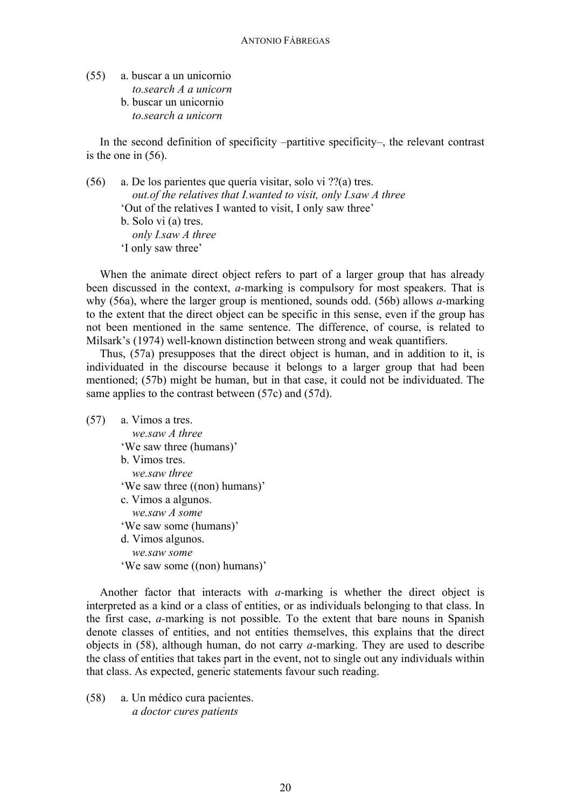(55) a. buscar a un unicornio *to.search A a unicorn* b. buscar un unicornio *to.search a unicorn*

In the second definition of specificity –partitive specificity–, the relevant contrast is the one in (56).

(56) a. De los parientes que quería visitar, solo vi ??(a) tres. *out.of the relatives that I.wanted to visit, only I.saw A three* 'Out of the relatives I wanted to visit, I only saw three' b. Solo vi (a) tres. *only I.saw A three* 'I only saw three'

When the animate direct object refers to part of a larger group that has already been discussed in the context, *a-*marking is compulsory for most speakers. That is why (56a), where the larger group is mentioned, sounds odd. (56b) allows *a-*marking to the extent that the direct object can be specific in this sense, even if the group has not been mentioned in the same sentence. The difference, of course, is related to Milsark's (1974) well-known distinction between strong and weak quantifiers.

Thus, (57a) presupposes that the direct object is human, and in addition to it, is individuated in the discourse because it belongs to a larger group that had been mentioned; (57b) might be human, but in that case, it could not be individuated. The same applies to the contrast between (57c) and (57d).

(57) a. Vimos a tres. *we.saw A three* 'We saw three (humans)' b. Vimos tres. *we.saw three* 'We saw three ((non) humans)' c. Vimos a algunos. *we.saw A some* 'We saw some (humans)' d. Vimos algunos. *we.saw some*  'We saw some ((non) humans)'

Another factor that interacts with *a-*marking is whether the direct object is interpreted as a kind or a class of entities, or as individuals belonging to that class. In the first case, *a-*marking is not possible. To the extent that bare nouns in Spanish denote classes of entities, and not entities themselves, this explains that the direct objects in (58), although human, do not carry *a-*marking. They are used to describe the class of entities that takes part in the event, not to single out any individuals within that class. As expected, generic statements favour such reading.

(58) a. Un médico cura pacientes. *a doctor cures patients*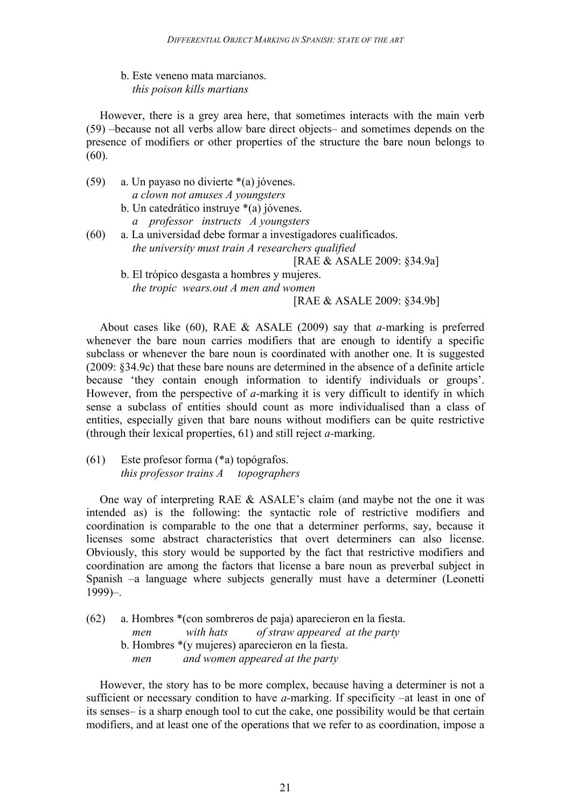b. Este veneno mata marcianos. *this poison kills martians*

However, there is a grey area here, that sometimes interacts with the main verb (59) –because not all verbs allow bare direct objects– and sometimes depends on the presence of modifiers or other properties of the structure the bare noun belongs to (60).

(59) a. Un payaso no divierte \*(a) jóvenes. *a clown not amuses A youngsters* b. Un catedrático instruye \*(a) jóvenes.

*a professor instructs A youngsters*

- (60) a. La universidad debe formar a investigadores cualificados. *the university must train A researchers qualified* [RAE & ASALE 2009: §34.9a]
	- b. El trópico desgasta a hombres y mujeres. *the tropic wears.out A men and women* [RAE & ASALE 2009: §34.9b]

About cases like (60), RAE & ASALE (2009) say that *a-*marking is preferred whenever the bare noun carries modifiers that are enough to identify a specific subclass or whenever the bare noun is coordinated with another one. It is suggested (2009: §34.9c) that these bare nouns are determined in the absence of a definite article because 'they contain enough information to identify individuals or groups'. However, from the perspective of *a-*marking it is very difficult to identify in which sense a subclass of entities should count as more individualised than a class of entities, especially given that bare nouns without modifiers can be quite restrictive (through their lexical properties, 61) and still reject *a-*marking.

(61) Este profesor forma (\*a) topógrafos. *this professor trains A topographers*

One way of interpreting RAE & ASALE's claim (and maybe not the one it was intended as) is the following: the syntactic role of restrictive modifiers and coordination is comparable to the one that a determiner performs, say, because it licenses some abstract characteristics that overt determiners can also license. Obviously, this story would be supported by the fact that restrictive modifiers and coordination are among the factors that license a bare noun as preverbal subject in Spanish –a language where subjects generally must have a determiner (Leonetti 1999)–.

(62) a. Hombres \*(con sombreros de paja) aparecieron en la fiesta.  *men with hats of straw appeared at the party* b. Hombres \*(y mujeres) aparecieron en la fiesta. *men and women appeared at the party*

However, the story has to be more complex, because having a determiner is not a sufficient or necessary condition to have *a-*marking. If specificity –at least in one of its senses– is a sharp enough tool to cut the cake, one possibility would be that certain modifiers, and at least one of the operations that we refer to as coordination, impose a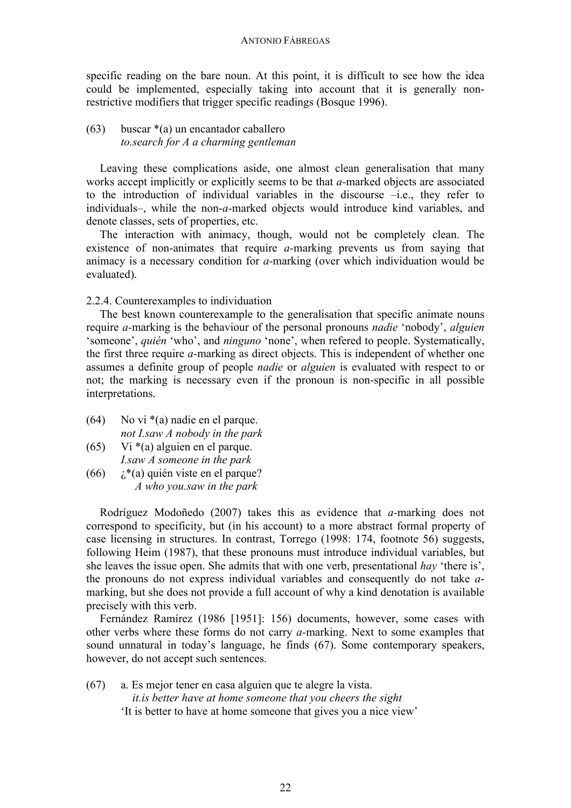specific reading on the bare noun. At this point, it is difficult to see how the idea could be implemented, especially taking into account that it is generally nonrestrictive modifiers that trigger specific readings (Bosque 1996).

(63) buscar \*(a) un encantador caballero *to.search for A a charming gentleman*

Leaving these complications aside, one almost clean generalisation that many works accept implicitly or explicitly seems to be that *a-*marked objects are associated to the introduction of individual variables in the discourse –i.e., they refer to individuals–, while the non-*a-*marked objects would introduce kind variables, and denote classes, sets of properties, etc.

The interaction with animacy, though, would not be completely clean. The existence of non-animates that require *a-*marking prevents us from saying that animacy is a necessary condition for *a-*marking (over which individuation would be evaluated).

2.2.4. Counterexamples to individuation

The best known counterexample to the generalisation that specific animate nouns require *a-*marking is the behaviour of the personal pronouns *nadie* 'nobody', *alguien* 'someone', *quién* 'who', and *ninguno* 'none', when refered to people. Systematically, the first three require *a-*marking as direct objects. This is independent of whether one assumes a definite group of people *nadie* or *alguien* is evaluated with respect to or not; the marking is necessary even if the pronoun is non-specific in all possible interpretations.

- (64) No vi  $*(a)$  nadie en el parque. *not I.saw A nobody in the park*
- (65) Vi \*(a) alguien en el parque. *I.saw A someone in the park*
- (66)  $\chi^*(a)$  quién viste en el parque? *A who you.saw in the park*

Rodríguez Modoñedo (2007) takes this as evidence that *a-*marking does not correspond to specificity, but (in his account) to a more abstract formal property of case licensing in structures. In contrast, Torrego (1998: 174, footnote 56) suggests, following Heim (1987), that these pronouns must introduce individual variables, but she leaves the issue open. She admits that with one verb, presentational *hay* 'there is', the pronouns do not express individual variables and consequently do not take *a*marking, but she does not provide a full account of why a kind denotation is available precisely with this verb.

Fernández Ramírez (1986 [1951]: 156) documents, however, some cases with other verbs where these forms do not carry *a-*marking. Next to some examples that sound unnatural in today's language, he finds (67). Some contemporary speakers, however, do not accept such sentences.

(67) a. Es mejor tener en casa alguien que te alegre la vista. *it.is better have at home someone that you cheers the sight* 'It is better to have at home someone that gives you a nice view'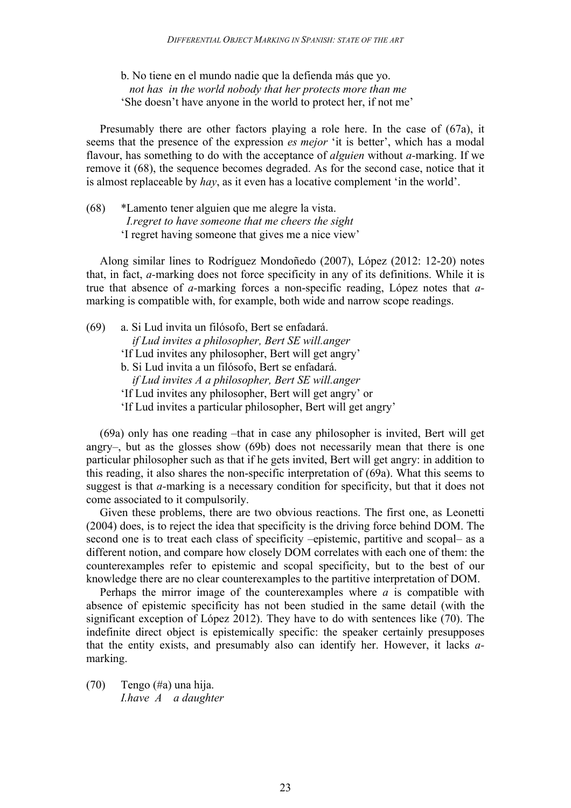b. No tiene en el mundo nadie que la defienda más que yo. *not has in the world nobody that her protects more than me* 'She doesn't have anyone in the world to protect her, if not me'

Presumably there are other factors playing a role here. In the case of (67a), it seems that the presence of the expression *es mejor* 'it is better', which has a modal flavour, has something to do with the acceptance of *alguien* without *a-*marking. If we remove it (68), the sequence becomes degraded. As for the second case, notice that it is almost replaceable by *hay*, as it even has a locative complement 'in the world'.

(68) \*Lamento tener alguien que me alegre la vista. *I.regret to have someone that me cheers the sight* 'I regret having someone that gives me a nice view'

Along similar lines to Rodríguez Mondoñedo (2007), López (2012: 12-20) notes that, in fact, *a-*marking does not force specificity in any of its definitions. While it is true that absence of *a-*marking forces a non-specific reading, López notes that *a*marking is compatible with, for example, both wide and narrow scope readings.

(69) a. Si Lud invita un filósofo, Bert se enfadará.  *if Lud invites a philosopher, Bert SE will.anger* 'If Lud invites any philosopher, Bert will get angry' b. Si Lud invita a un filósofo, Bert se enfadará.  *if Lud invites A a philosopher, Bert SE will.anger* 'If Lud invites any philosopher, Bert will get angry' or 'If Lud invites a particular philosopher, Bert will get angry'

(69a) only has one reading –that in case any philosopher is invited, Bert will get angry–, but as the glosses show (69b) does not necessarily mean that there is one particular philosopher such as that if he gets invited, Bert will get angry: in addition to this reading, it also shares the non-specific interpretation of (69a). What this seems to suggest is that *a-*marking is a necessary condition for specificity, but that it does not come associated to it compulsorily.

Given these problems, there are two obvious reactions. The first one, as Leonetti (2004) does, is to reject the idea that specificity is the driving force behind DOM. The second one is to treat each class of specificity –epistemic, partitive and scopal– as a different notion, and compare how closely DOM correlates with each one of them: the counterexamples refer to epistemic and scopal specificity, but to the best of our knowledge there are no clear counterexamples to the partitive interpretation of DOM.

Perhaps the mirror image of the counterexamples where *a* is compatible with absence of epistemic specificity has not been studied in the same detail (with the significant exception of López 2012). They have to do with sentences like (70). The indefinite direct object is epistemically specific: the speaker certainly presupposes that the entity exists, and presumably also can identify her. However, it lacks *a*marking.

(70) Tengo (#a) una hija. *I.have A a daughter*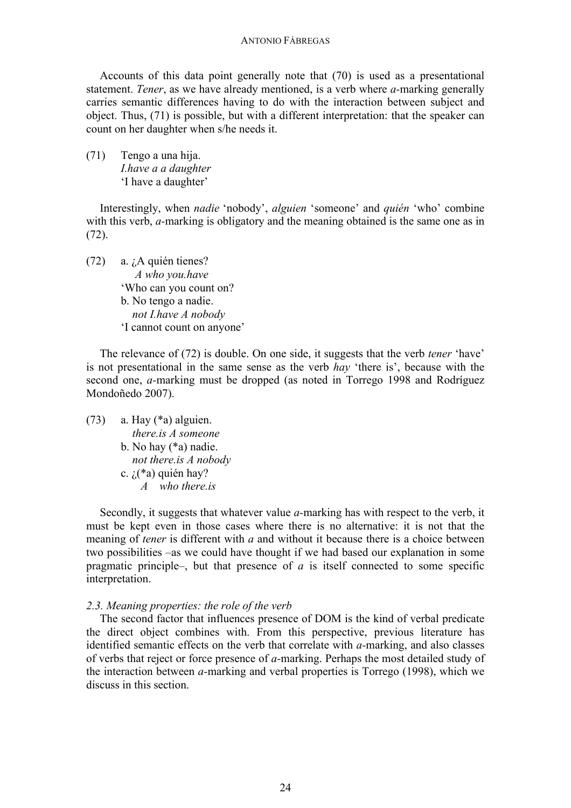Accounts of this data point generally note that (70) is used as a presentational statement. *Tener*, as we have already mentioned, is a verb where *a-*marking generally carries semantic differences having to do with the interaction between subject and object. Thus, (71) is possible, but with a different interpretation: that the speaker can count on her daughter when s/he needs it.

(71) Tengo a una hija. *I.have a a daughter* 'I have a daughter'

Interestingly, when *nadie* 'nobody', *alguien* 'someone' and *quién* 'who' combine with this verb, *a-*marking is obligatory and the meaning obtained is the same one as in (72).

(72) a. ¿A quién tienes? *A who you.have* 'Who can you count on? b. No tengo a nadie. *not I.have A nobody* 'I cannot count on anyone'

The relevance of (72) is double. On one side, it suggests that the verb *tener* 'have' is not presentational in the same sense as the verb *hay* 'there is', because with the second one, *a-*marking must be dropped (as noted in Torrego 1998 and Rodríguez Mondoñedo 2007).

 $(73)$  a. Hay  $(*a)$  alguien. *there.is A someone*  b. No hay (\*a) nadie. *not there.is A nobody* c.  $i$ (\*a) quién hay? *A who there.is*

Secondly, it suggests that whatever value *a-*marking has with respect to the verb, it must be kept even in those cases where there is no alternative: it is not that the meaning of *tener* is different with *a* and without it because there is a choice between two possibilities –as we could have thought if we had based our explanation in some pragmatic principle–, but that presence of *a* is itself connected to some specific interpretation.

#### *2.3. Meaning properties: the role of the verb*

The second factor that influences presence of DOM is the kind of verbal predicate the direct object combines with. From this perspective, previous literature has identified semantic effects on the verb that correlate with *a-*marking, and also classes of verbs that reject or force presence of *a-*marking. Perhaps the most detailed study of the interaction between *a-*marking and verbal properties is Torrego (1998), which we discuss in this section.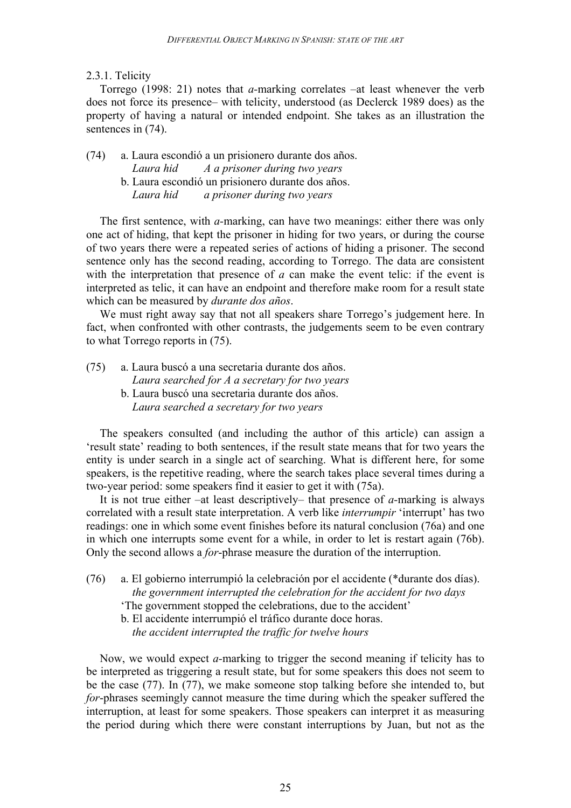# 2.3.1. Telicity

Torrego (1998: 21) notes that *a-*marking correlates –at least whenever the verb does not force its presence– with telicity, understood (as Declerck 1989 does) as the property of having a natural or intended endpoint. She takes as an illustration the sentences in  $(74)$ .

(74) a. Laura escondió a un prisionero durante dos años. *Laura hid A a prisoner during two years* b. Laura escondió un prisionero durante dos años. *Laura hid a prisoner during two years*

The first sentence, with *a-*marking, can have two meanings: either there was only one act of hiding, that kept the prisoner in hiding for two years, or during the course of two years there were a repeated series of actions of hiding a prisoner. The second sentence only has the second reading, according to Torrego. The data are consistent with the interpretation that presence of *a* can make the event telic: if the event is interpreted as telic, it can have an endpoint and therefore make room for a result state which can be measured by *durante dos años*.

We must right away say that not all speakers share Torrego's judgement here. In fact, when confronted with other contrasts, the judgements seem to be even contrary to what Torrego reports in (75).

(75) a. Laura buscó a una secretaria durante dos años. *Laura searched for A a secretary for two years*

b. Laura buscó una secretaria durante dos años. *Laura searched a secretary for two years*

The speakers consulted (and including the author of this article) can assign a 'result state' reading to both sentences, if the result state means that for two years the entity is under search in a single act of searching. What is different here, for some speakers, is the repetitive reading, where the search takes place several times during a two-year period: some speakers find it easier to get it with (75a).

It is not true either –at least descriptively– that presence of *a-*marking is always correlated with a result state interpretation. A verb like *interrumpir* 'interrupt' has two readings: one in which some event finishes before its natural conclusion (76a) and one in which one interrupts some event for a while, in order to let is restart again (76b). Only the second allows a *for*-phrase measure the duration of the interruption.

- (76) a. El gobierno interrumpió la celebración por el accidente (\*durante dos días).  *the government interrupted the celebration for the accident for two days*
	- 'The government stopped the celebrations, due to the accident'
	- b. El accidente interrumpió el tráfico durante doce horas.  *the accident interrupted the traffic for twelve hours*

Now, we would expect *a-*marking to trigger the second meaning if telicity has to be interpreted as triggering a result state, but for some speakers this does not seem to be the case (77). In (77), we make someone stop talking before she intended to, but *for*-phrases seemingly cannot measure the time during which the speaker suffered the interruption, at least for some speakers. Those speakers can interpret it as measuring the period during which there were constant interruptions by Juan, but not as the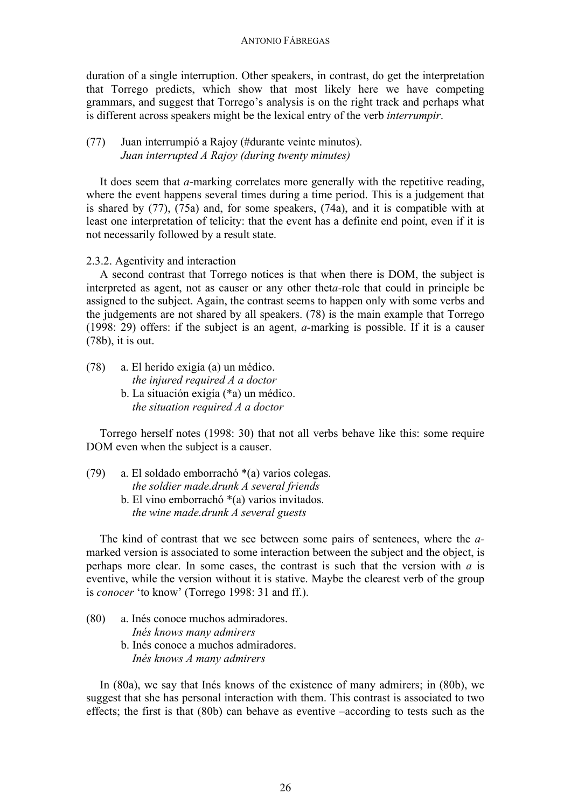duration of a single interruption. Other speakers, in contrast, do get the interpretation that Torrego predicts, which show that most likely here we have competing grammars, and suggest that Torrego's analysis is on the right track and perhaps what is different across speakers might be the lexical entry of the verb *interrumpir*.

# (77) Juan interrumpió a Rajoy (#durante veinte minutos). *Juan interrupted A Rajoy (during twenty minutes)*

It does seem that *a*-marking correlates more generally with the repetitive reading, where the event happens several times during a time period. This is a judgement that is shared by (77), (75a) and, for some speakers, (74a), and it is compatible with at least one interpretation of telicity: that the event has a definite end point, even if it is not necessarily followed by a result state.

2.3.2. Agentivity and interaction

A second contrast that Torrego notices is that when there is DOM, the subject is interpreted as agent, not as causer or any other thet*a-*role that could in principle be assigned to the subject. Again, the contrast seems to happen only with some verbs and the judgements are not shared by all speakers. (78) is the main example that Torrego (1998: 29) offers: if the subject is an agent, *a-*marking is possible. If it is a causer (78b), it is out.

(78) a. El herido exigía (a) un médico. *the injured required A a doctor* b. La situación exigía (\*a) un médico. *the situation required A a doctor* 

Torrego herself notes (1998: 30) that not all verbs behave like this: some require DOM even when the subject is a causer.

(79) a. El soldado emborrachó \*(a) varios colegas.  *the soldier made.drunk A several friends* b. El vino emborrachó \*(a) varios invitados. *the wine made.drunk A several guests*

The kind of contrast that we see between some pairs of sentences, where the *a*marked version is associated to some interaction between the subject and the object, is perhaps more clear. In some cases, the contrast is such that the version with *a* is eventive, while the version without it is stative. Maybe the clearest verb of the group is *conocer* 'to know' (Torrego 1998: 31 and ff.).

(80) a. Inés conoce muchos admiradores. *Inés knows many admirers* b. Inés conoce a muchos admiradores. *Inés knows A many admirers*

In (80a), we say that Inés knows of the existence of many admirers; in (80b), we suggest that she has personal interaction with them. This contrast is associated to two effects; the first is that (80b) can behave as eventive –according to tests such as the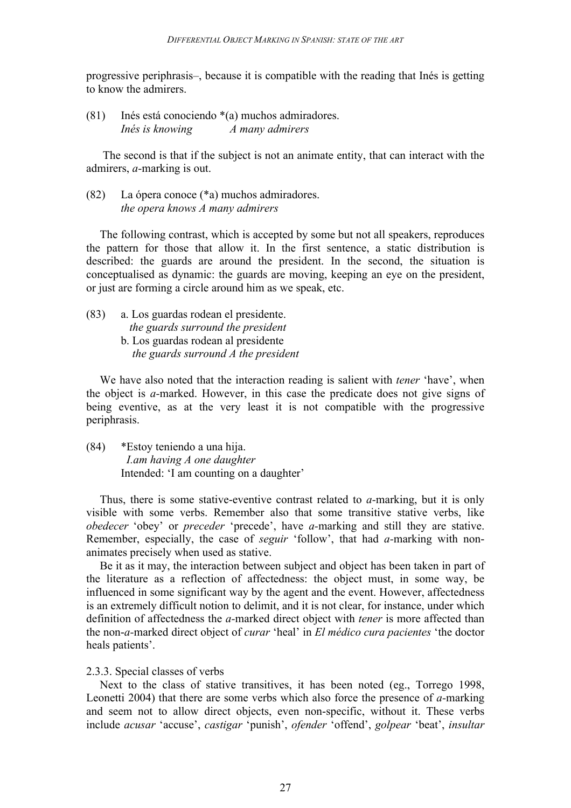progressive periphrasis–, because it is compatible with the reading that Inés is getting to know the admirers.

(81) Inés está conociendo \*(a) muchos admiradores. *Inés is knowing A many admirers*

The second is that if the subject is not an animate entity, that can interact with the admirers, *a-*marking is out.

(82) La ópera conoce (\*a) muchos admiradores. *the opera knows A many admirers*

The following contrast, which is accepted by some but not all speakers, reproduces the pattern for those that allow it. In the first sentence, a static distribution is described: the guards are around the president. In the second, the situation is conceptualised as dynamic: the guards are moving, keeping an eye on the president, or just are forming a circle around him as we speak, etc.

- (83) a. Los guardas rodean el presidente. *the guards surround the president* b. Los guardas rodean al presidente
	- *the guards surround A the president*

We have also noted that the interaction reading is salient with *tener* 'have', when the object is *a-*marked. However, in this case the predicate does not give signs of being eventive, as at the very least it is not compatible with the progressive periphrasis.

(84) \*Estoy teniendo a una hija. *I.am having A one daughter* Intended: 'I am counting on a daughter'

Thus, there is some stative-eventive contrast related to *a-*marking, but it is only visible with some verbs. Remember also that some transitive stative verbs, like *obedecer* 'obey' or *preceder* 'precede', have *a-*marking and still they are stative. Remember, especially, the case of *seguir* 'follow', that had *a-*marking with nonanimates precisely when used as stative.

Be it as it may, the interaction between subject and object has been taken in part of the literature as a reflection of affectedness: the object must, in some way, be influenced in some significant way by the agent and the event. However, affectedness is an extremely difficult notion to delimit, and it is not clear, for instance, under which definition of affectedness the *a-*marked direct object with *tener* is more affected than the non-*a-*marked direct object of *curar* 'heal' in *El médico cura pacientes* 'the doctor heals patients'.

## 2.3.3. Special classes of verbs

Next to the class of stative transitives, it has been noted (eg., Torrego 1998, Leonetti 2004) that there are some verbs which also force the presence of *a-*marking and seem not to allow direct objects, even non-specific, without it. These verbs include *acusar* 'accuse', *castigar* 'punish', *ofender* 'offend', *golpear* 'beat', *insultar*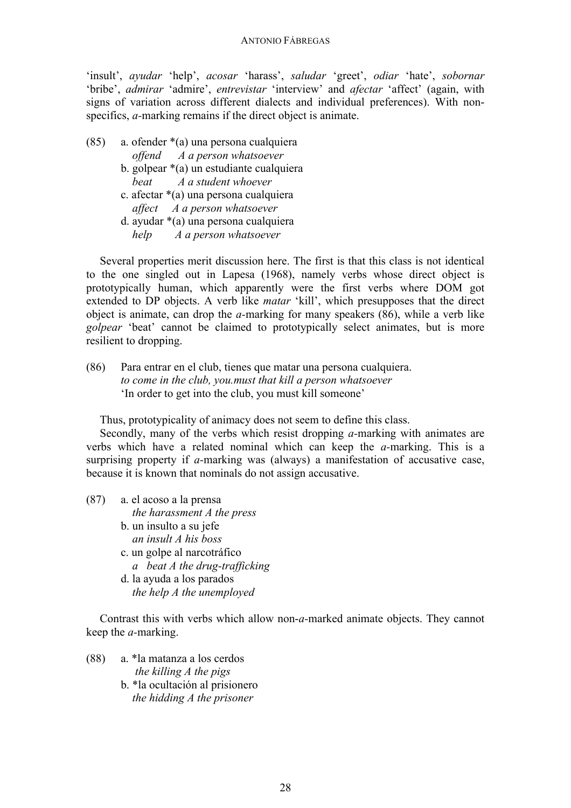'insult', *ayudar* 'help', *acosar* 'harass', *saludar* 'greet', *odiar* 'hate', *sobornar* 'bribe', *admirar* 'admire', *entrevistar* 'interview' and *afectar* 'affect' (again, with signs of variation across different dialects and individual preferences). With nonspecifics, *a*-marking remains if the direct object is animate.

- (85) a. ofender \*(a) una persona cualquiera  *offend A a person whatsoever* b. golpear \*(a) un estudiante cualquiera
	- *beat A a student whoever*
	- c. afectar \*(a) una persona cualquiera *affect A a person whatsoever*
	- d. ayudar \*(a) una persona cualquiera *help A a person whatsoever*

Several properties merit discussion here. The first is that this class is not identical to the one singled out in Lapesa (1968), namely verbs whose direct object is prototypically human, which apparently were the first verbs where DOM got extended to DP objects. A verb like *matar* 'kill', which presupposes that the direct object is animate, can drop the *a-*marking for many speakers (86), while a verb like *golpear* 'beat' cannot be claimed to prototypically select animates, but is more resilient to dropping.

(86) Para entrar en el club, tienes que matar una persona cualquiera. *to come in the club, you.must that kill a person whatsoever* 'In order to get into the club, you must kill someone'

Thus, prototypicality of animacy does not seem to define this class.

Secondly, many of the verbs which resist dropping *a-*marking with animates are verbs which have a related nominal which can keep the *a-*marking. This is a surprising property if *a-*marking was (always) a manifestation of accusative case, because it is known that nominals do not assign accusative.

- (87) a. el acoso a la prensa  *the harassment A the press*
	- b. un insulto a su jefe *an insult A his boss*
	- c. un golpe al narcotráfico *a beat A the drug-trafficking*
	- d. la ayuda a los parados *the help A the unemployed*

Contrast this with verbs which allow non-*a-*marked animate objects. They cannot keep the *a-*marking.

(88) a. \*la matanza a los cerdos *the killing A the pigs* b. \*la ocultación al prisionero *the hidding A the prisoner*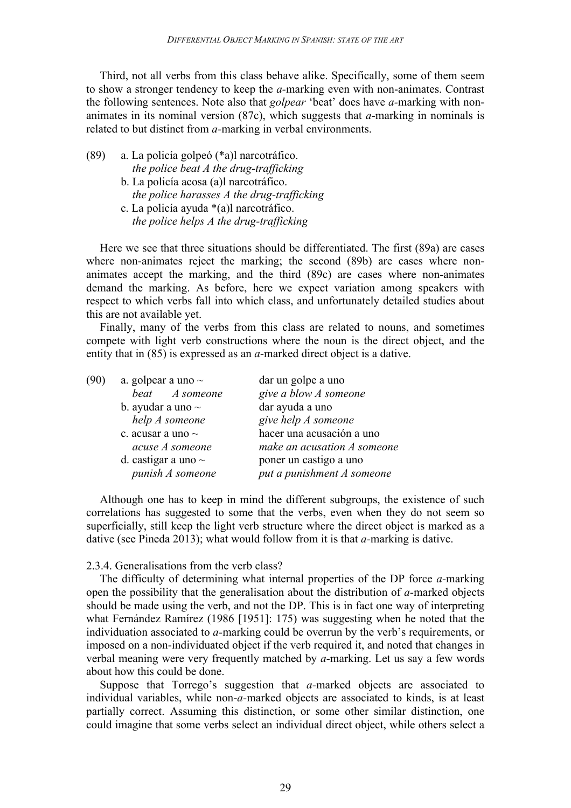Third, not all verbs from this class behave alike. Specifically, some of them seem to show a stronger tendency to keep the *a-*marking even with non-animates. Contrast the following sentences. Note also that *golpear* 'beat' does have *a-*marking with nonanimates in its nominal version (87c), which suggests that *a-*marking in nominals is related to but distinct from *a-*marking in verbal environments.

- (89) a. La policía golpeó (\*a)l narcotráfico.  *the police beat A the drug-trafficking* b. La policía acosa (a)l narcotráfico.
	- *the police harasses A the drug-trafficking* c. La policía ayuda \*(a)l narcotráfico.
	- *the police helps A the drug-trafficking*

Here we see that three situations should be differentiated. The first (89a) are cases where non-animates reject the marking; the second (89b) are cases where nonanimates accept the marking, and the third (89c) are cases where non-animates demand the marking. As before, here we expect variation among speakers with respect to which verbs fall into which class, and unfortunately detailed studies about this are not available yet.

Finally, many of the verbs from this class are related to nouns, and sometimes compete with light verb constructions where the noun is the direct object, and the entity that in (85) is expressed as an *a-*marked direct object is a dative.

| (90) | a. golpear a uno $\sim$  | dar un golpe a uno          |
|------|--------------------------|-----------------------------|
|      | beat A someone           | give a blow A someone       |
|      | b. ayudar a uno $\sim$   | dar ayuda a uno             |
|      | help A someone           | give help A someone         |
|      | c. acusar a uno $\sim$   | hacer una acusación a uno   |
|      | acuse A someone          | make an acusation A someone |
|      | d. castigar a uno $\sim$ | poner un castigo a uno      |
|      | punish A someone         | put a punishment A someone  |
|      |                          |                             |

Although one has to keep in mind the different subgroups, the existence of such correlations has suggested to some that the verbs, even when they do not seem so superficially, still keep the light verb structure where the direct object is marked as a dative (see Pineda 2013); what would follow from it is that *a-*marking is dative.

## 2.3.4. Generalisations from the verb class?

The difficulty of determining what internal properties of the DP force *a-*marking open the possibility that the generalisation about the distribution of *a-*marked objects should be made using the verb, and not the DP. This is in fact one way of interpreting what Fernández Ramírez (1986 [1951]: 175) was suggesting when he noted that the individuation associated to *a-*marking could be overrun by the verb's requirements, or imposed on a non-individuated object if the verb required it, and noted that changes in verbal meaning were very frequently matched by *a-*marking. Let us say a few words about how this could be done.

Suppose that Torrego's suggestion that *a-*marked objects are associated to individual variables, while non-*a-*marked objects are associated to kinds, is at least partially correct. Assuming this distinction, or some other similar distinction, one could imagine that some verbs select an individual direct object, while others select a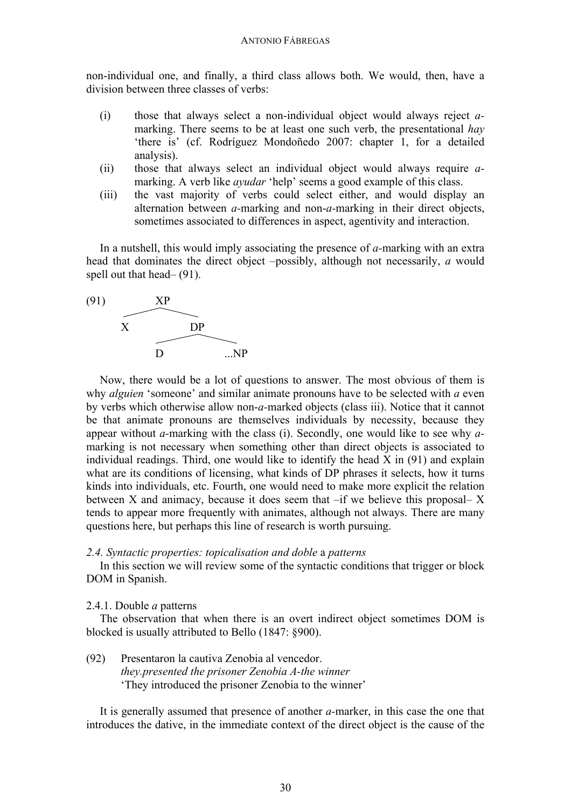non-individual one, and finally, a third class allows both. We would, then, have a division between three classes of verbs:

- (i) those that always select a non-individual object would always reject *a*marking. There seems to be at least one such verb, the presentational *hay* 'there is' (cf. Rodríguez Mondoñedo 2007: chapter 1, for a detailed analysis).
- (ii) those that always select an individual object would always require *a*marking. A verb like *ayudar* 'help' seems a good example of this class.
- (iii) the vast majority of verbs could select either, and would display an alternation between *a-*marking and non-*a-*marking in their direct objects, sometimes associated to differences in aspect, agentivity and interaction.

In a nutshell, this would imply associating the presence of *a-*marking with an extra head that dominates the direct object –possibly, although not necessarily, *a* would spell out that head– (91).



Now, there would be a lot of questions to answer. The most obvious of them is why *alguien* 'someone' and similar animate pronouns have to be selected with *a* even by verbs which otherwise allow non-*a-*marked objects (class iii). Notice that it cannot be that animate pronouns are themselves individuals by necessity, because they appear without *a-*marking with the class (i). Secondly, one would like to see why *a*marking is not necessary when something other than direct objects is associated to individual readings. Third, one would like to identify the head X in (91) and explain what are its conditions of licensing, what kinds of DP phrases it selects, how it turns kinds into individuals, etc. Fourth, one would need to make more explicit the relation between X and animacy, because it does seem that –if we believe this proposal– X tends to appear more frequently with animates, although not always. There are many questions here, but perhaps this line of research is worth pursuing.

## *2.4. Syntactic properties: topicalisation and doble* a *patterns*

In this section we will review some of the syntactic conditions that trigger or block DOM in Spanish.

# 2.4.1. Double *a* patterns

The observation that when there is an overt indirect object sometimes DOM is blocked is usually attributed to Bello (1847: §900).

(92) Presentaron la cautiva Zenobia al vencedor. *they.presented the prisoner Zenobia A-the winner* 'They introduced the prisoner Zenobia to the winner'

It is generally assumed that presence of another *a-*marker, in this case the one that introduces the dative, in the immediate context of the direct object is the cause of the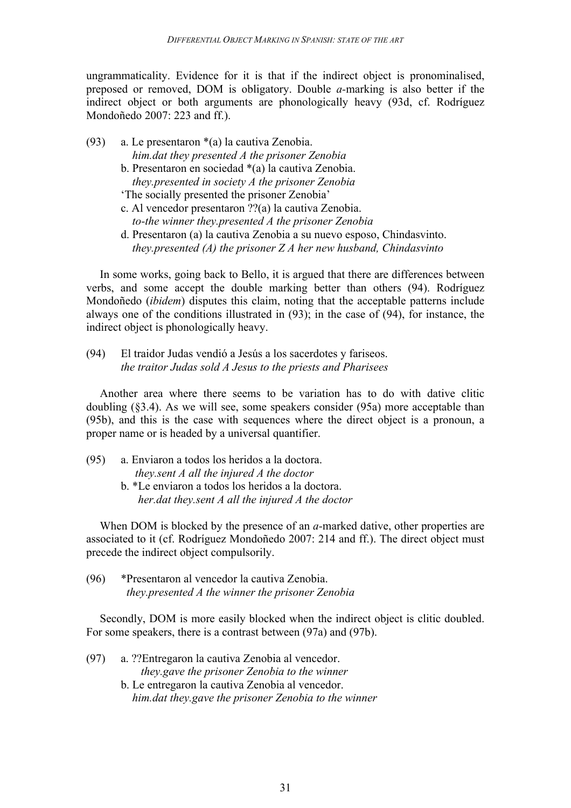ungrammaticality. Evidence for it is that if the indirect object is pronominalised, preposed or removed, DOM is obligatory. Double *a-*marking is also better if the indirect object or both arguments are phonologically heavy (93d, cf. Rodríguez Mondoñedo 2007: 223 and ff.).

- (93) a. Le presentaron \*(a) la cautiva Zenobia. *him.dat they presented A the prisoner Zenobia* b. Presentaron en sociedad \*(a) la cautiva Zenobia.
	- *they.presented in society A the prisoner Zenobia* 'The socially presented the prisoner Zenobia'
	- c. Al vencedor presentaron ??(a) la cautiva Zenobia. *to-the winner they.presented A the prisoner Zenobia*
	- d. Presentaron (a) la cautiva Zenobia a su nuevo esposo, Chindasvinto.  *they.presented (A) the prisoner Z A her new husband, Chindasvinto*

In some works, going back to Bello, it is argued that there are differences between verbs, and some accept the double marking better than others (94). Rodríguez Mondoñedo (*ibidem*) disputes this claim, noting that the acceptable patterns include always one of the conditions illustrated in (93); in the case of (94), for instance, the indirect object is phonologically heavy.

(94) El traidor Judas vendió a Jesús a los sacerdotes y fariseos. *the traitor Judas sold A Jesus to the priests and Pharisees*

Another area where there seems to be variation has to do with dative clitic doubling (§3.4). As we will see, some speakers consider (95a) more acceptable than (95b), and this is the case with sequences where the direct object is a pronoun, a proper name or is headed by a universal quantifier.

(95) a. Enviaron a todos los heridos a la doctora.  *they.sent A all the injured A the doctor* b. \*Le enviaron a todos los heridos a la doctora. *her.dat they.sent A all the injured A the doctor*

When DOM is blocked by the presence of an *a-*marked dative, other properties are associated to it (cf. Rodríguez Mondoñedo 2007: 214 and ff.). The direct object must precede the indirect object compulsorily.

(96) \*Presentaron al vencedor la cautiva Zenobia. *they.presented A the winner the prisoner Zenobia*

Secondly, DOM is more easily blocked when the indirect object is clitic doubled. For some speakers, there is a contrast between (97a) and (97b).

(97) a. ??Entregaron la cautiva Zenobia al vencedor. *they.gave the prisoner Zenobia to the winner* b. Le entregaron la cautiva Zenobia al vencedor.  *him.dat they.gave the prisoner Zenobia to the winner*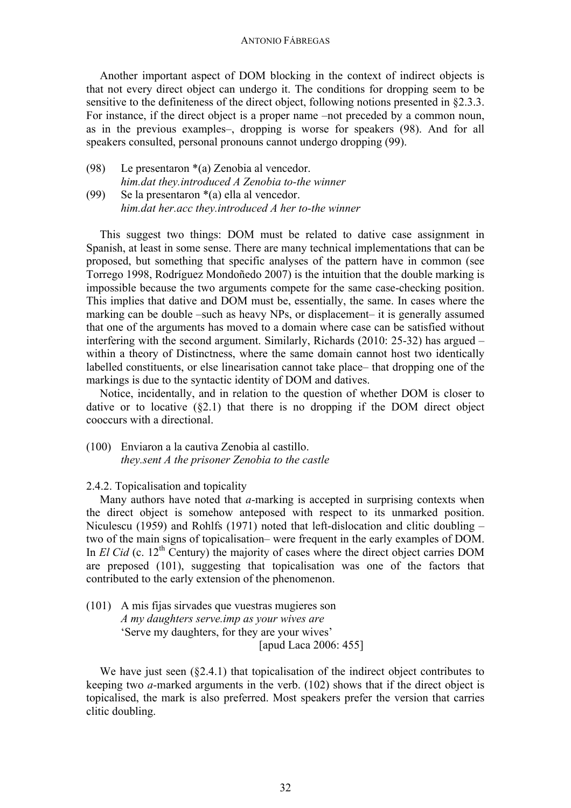Another important aspect of DOM blocking in the context of indirect objects is that not every direct object can undergo it. The conditions for dropping seem to be sensitive to the definiteness of the direct object, following notions presented in §2.3.3. For instance, if the direct object is a proper name –not preceded by a common noun, as in the previous examples–, dropping is worse for speakers (98). And for all speakers consulted, personal pronouns cannot undergo dropping (99).

(98) Le presentaron \*(a) Zenobia al vencedor. *him.dat they.introduced A Zenobia to-the winner* (99) Se la presentaron \*(a) ella al vencedor.

*him.dat her.acc they.introduced A her to-the winner*

This suggest two things: DOM must be related to dative case assignment in Spanish, at least in some sense. There are many technical implementations that can be proposed, but something that specific analyses of the pattern have in common (see Torrego 1998, Rodríguez Mondoñedo 2007) is the intuition that the double marking is impossible because the two arguments compete for the same case-checking position. This implies that dative and DOM must be, essentially, the same. In cases where the marking can be double –such as heavy NPs, or displacement– it is generally assumed that one of the arguments has moved to a domain where case can be satisfied without interfering with the second argument. Similarly, Richards (2010: 25-32) has argued – within a theory of Distinctness, where the same domain cannot host two identically labelled constituents, or else linearisation cannot take place– that dropping one of the markings is due to the syntactic identity of DOM and datives.

Notice, incidentally, and in relation to the question of whether DOM is closer to dative or to locative  $(\S 2.1)$  that there is no dropping if the DOM direct object cooccurs with a directional.

(100) Enviaron a la cautiva Zenobia al castillo. *they.sent A the prisoner Zenobia to the castle* 

2.4.2. Topicalisation and topicality

Many authors have noted that *a-*marking is accepted in surprising contexts when the direct object is somehow anteposed with respect to its unmarked position. Niculescu (1959) and Rohlfs (1971) noted that left-dislocation and clitic doubling – two of the main signs of topicalisation– were frequent in the early examples of DOM. In *El Cid* (c. 12<sup>th</sup> Century) the majority of cases where the direct object carries DOM are preposed (101), suggesting that topicalisation was one of the factors that contributed to the early extension of the phenomenon.

(101) A mis fijas sirvades que vuestras mugieres son *A my daughters serve.imp as your wives are* 'Serve my daughters, for they are your wives' [apud Laca 2006: 455]

We have just seen (§2.4.1) that topicalisation of the indirect object contributes to keeping two *a-*marked arguments in the verb. (102) shows that if the direct object is topicalised, the mark is also preferred. Most speakers prefer the version that carries clitic doubling.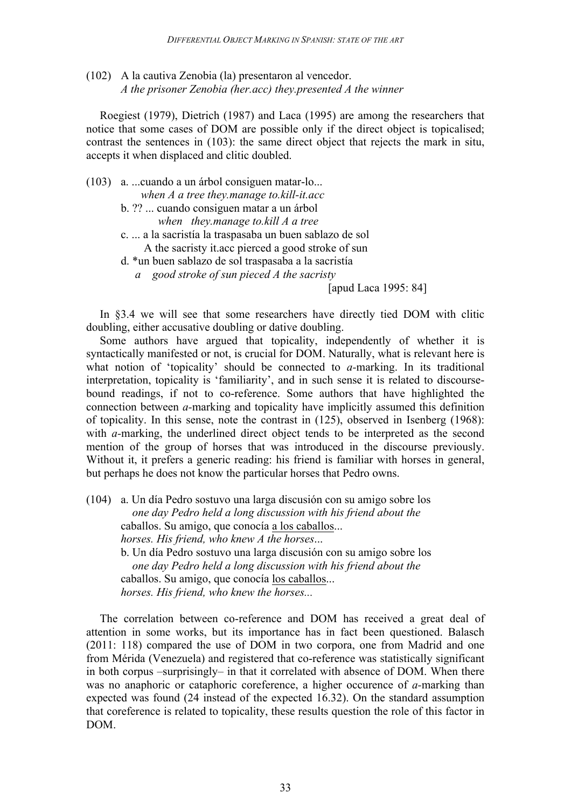(102) A la cautiva Zenobia (la) presentaron al vencedor. *A the prisoner Zenobia (her.acc) they.presented A the winner*

Roegiest (1979), Dietrich (1987) and Laca (1995) are among the researchers that notice that some cases of DOM are possible only if the direct object is topicalised; contrast the sentences in (103): the same direct object that rejects the mark in situ, accepts it when displaced and clitic doubled.

- (103) a. ...cuando a un árbol consiguen matar-lo... *when A a tree they.manage to.kill-it.acc*
	- b. ?? ... cuando consiguen matar a un árbol *when they.manage to.kill A a tree*
	- c. ... a la sacristía la traspasaba un buen sablazo de sol A the sacristy it.acc pierced a good stroke of sun
	- d. \*un buen sablazo de sol traspasaba a la sacristía
		- *a good stroke of sun pieced A the sacristy*

## [apud Laca 1995: 84]

In §3.4 we will see that some researchers have directly tied DOM with clitic doubling, either accusative doubling or dative doubling.

Some authors have argued that topicality, independently of whether it is syntactically manifested or not, is crucial for DOM. Naturally, what is relevant here is what notion of 'topicality' should be connected to *a-*marking. In its traditional interpretation, topicality is 'familiarity', and in such sense it is related to discoursebound readings, if not to co-reference. Some authors that have highlighted the connection between *a-*marking and topicality have implicitly assumed this definition of topicality. In this sense, note the contrast in (125), observed in Isenberg (1968): with *a*-marking, the underlined direct object tends to be interpreted as the second mention of the group of horses that was introduced in the discourse previously. Without it, it prefers a generic reading: his friend is familiar with horses in general, but perhaps he does not know the particular horses that Pedro owns.

(104) a. Un día Pedro sostuvo una larga discusión con su amigo sobre los *one day Pedro held a long discussion with his friend about the* caballos. Su amigo, que conocía a los caballos... *horses. His friend, who knew A the horses*... b. Un día Pedro sostuvo una larga discusión con su amigo sobre los *one day Pedro held a long discussion with his friend about the* caballos. Su amigo, que conocía los caballos... *horses. His friend, who knew the horses...*

The correlation between co-reference and DOM has received a great deal of attention in some works, but its importance has in fact been questioned. Balasch (2011: 118) compared the use of DOM in two corpora, one from Madrid and one from Mérida (Venezuela) and registered that co-reference was statistically significant in both corpus –surprisingly– in that it correlated with absence of DOM. When there was no anaphoric or cataphoric coreference, a higher occurence of *a-*marking than expected was found (24 instead of the expected 16.32). On the standard assumption that coreference is related to topicality, these results question the role of this factor in DOM.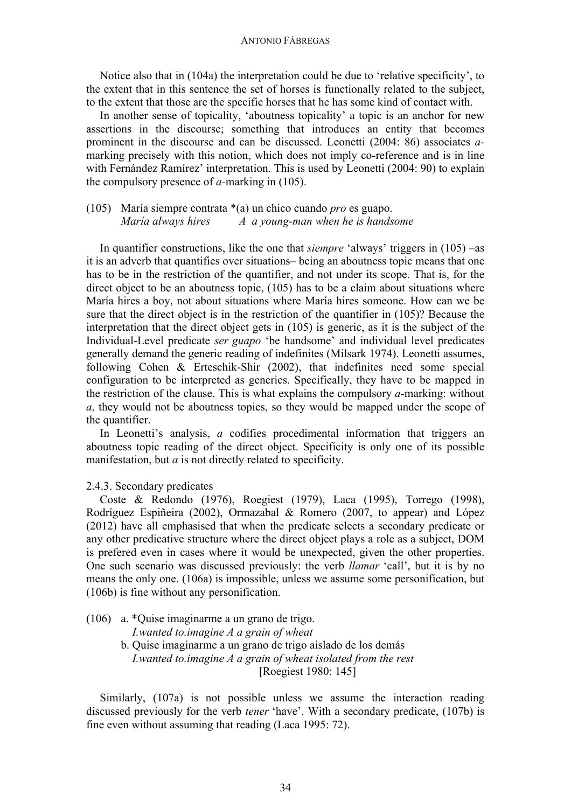Notice also that in (104a) the interpretation could be due to 'relative specificity', to the extent that in this sentence the set of horses is functionally related to the subject, to the extent that those are the specific horses that he has some kind of contact with.

In another sense of topicality, 'aboutness topicality' a topic is an anchor for new assertions in the discourse; something that introduces an entity that becomes prominent in the discourse and can be discussed. Leonetti (2004: 86) associates *a*marking precisely with this notion, which does not imply co-reference and is in line with Fernández Ramírez' interpretation. This is used by Leonetti (2004: 90) to explain the compulsory presence of *a-*marking in (105).

# (105) María siempre contrata \*(a) un chico cuando *pro* es guapo. *María always hires A a young-man when he is handsome*

In quantifier constructions, like the one that *siempre* 'always' triggers in (105) –as it is an adverb that quantifies over situations– being an aboutness topic means that one has to be in the restriction of the quantifier, and not under its scope. That is, for the direct object to be an aboutness topic, (105) has to be a claim about situations where María hires a boy, not about situations where María hires someone. How can we be sure that the direct object is in the restriction of the quantifier in (105)? Because the interpretation that the direct object gets in (105) is generic, as it is the subject of the Individual-Level predicate *ser guapo* 'be handsome' and individual level predicates generally demand the generic reading of indefinites (Milsark 1974). Leonetti assumes, following Cohen & Erteschik-Shir (2002), that indefinites need some special configuration to be interpreted as generics. Specifically, they have to be mapped in the restriction of the clause. This is what explains the compulsory *a-*marking: without *a*, they would not be aboutness topics, so they would be mapped under the scope of the quantifier.

In Leonetti's analysis, *a* codifies procedimental information that triggers an aboutness topic reading of the direct object. Specificity is only one of its possible manifestation, but *a* is not directly related to specificity.

### 2.4.3. Secondary predicates

Coste & Redondo (1976), Roegiest (1979), Laca (1995), Torrego (1998), Rodríguez Espiñeira (2002), Ormazabal & Romero (2007, to appear) and López (2012) have all emphasised that when the predicate selects a secondary predicate or any other predicative structure where the direct object plays a role as a subject, DOM is prefered even in cases where it would be unexpected, given the other properties. One such scenario was discussed previously: the verb *llamar* 'call', but it is by no means the only one. (106a) is impossible, unless we assume some personification, but (106b) is fine without any personification.

(106) a. \*Quise imaginarme a un grano de trigo.

 *I.wanted to.imagine A a grain of wheat*

b. Quise imaginarme a un grano de trigo aislado de los demás *I.wanted to.imagine A a grain of wheat isolated from the rest* [Roegiest 1980: 145]

Similarly, (107a) is not possible unless we assume the interaction reading discussed previously for the verb *tener* 'have'. With a secondary predicate, (107b) is fine even without assuming that reading (Laca 1995: 72).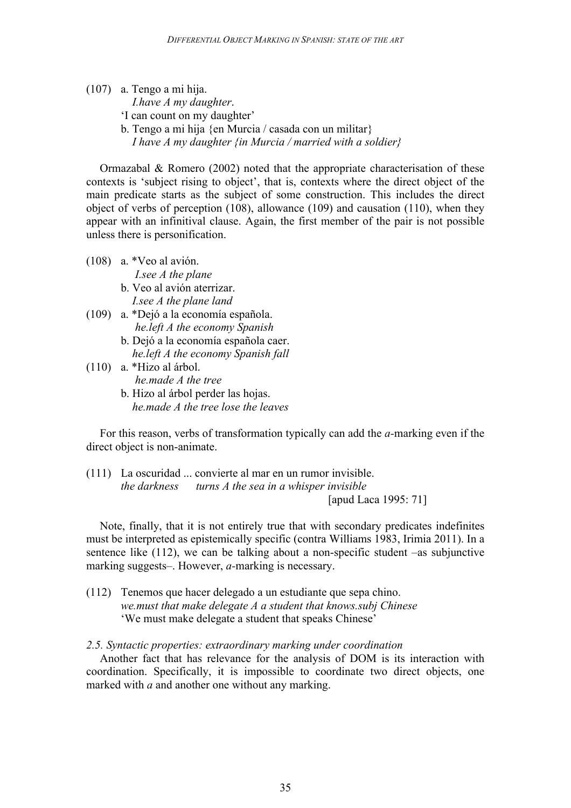(107) a. Tengo a mi hija.

 *I.have A my daughter*.

- 'I can count on my daughter'
- b. Tengo a mi hija {en Murcia / casada con un militar}

*I have A my daughter {in Murcia / married with a soldier}*

Ormazabal & Romero (2002) noted that the appropriate characterisation of these contexts is 'subject rising to object', that is, contexts where the direct object of the main predicate starts as the subject of some construction. This includes the direct object of verbs of perception (108), allowance (109) and causation (110), when they appear with an infinitival clause. Again, the first member of the pair is not possible unless there is personification.

- (108) a. \*Veo al avión.  *I.see A the plane* b. Veo al avión aterrizar.  *I.see A the plane land* (109) a. \*Dejó a la economía española.
- *he.left A the economy Spanish*
	- b. Dejó a la economía española caer.  *he.left A the economy Spanish fall*

(110) a. \*Hizo al árbol.  *he.made A the tree* b. Hizo al árbol perder las hojas.  *he.made A the tree lose the leaves* 

For this reason, verbs of transformation typically can add the *a-*marking even if the direct object is non-animate.

(111) La oscuridad ... convierte al mar en un rumor invisible. *the darkness turns A the sea in a whisper invisible* [apud Laca 1995: 71]

Note, finally, that it is not entirely true that with secondary predicates indefinites must be interpreted as epistemically specific (contra Williams 1983, Irimia 2011). In a sentence like (112), we can be talking about a non-specific student –as subjunctive marking suggests–. However, *a-*marking is necessary.

(112) Tenemos que hacer delegado a un estudiante que sepa chino. *we.must that make delegate A a student that knows.subj Chinese* 'We must make delegate a student that speaks Chinese'

# *2.5. Syntactic properties: extraordinary marking under coordination*

Another fact that has relevance for the analysis of DOM is its interaction with coordination. Specifically, it is impossible to coordinate two direct objects, one marked with *a* and another one without any marking.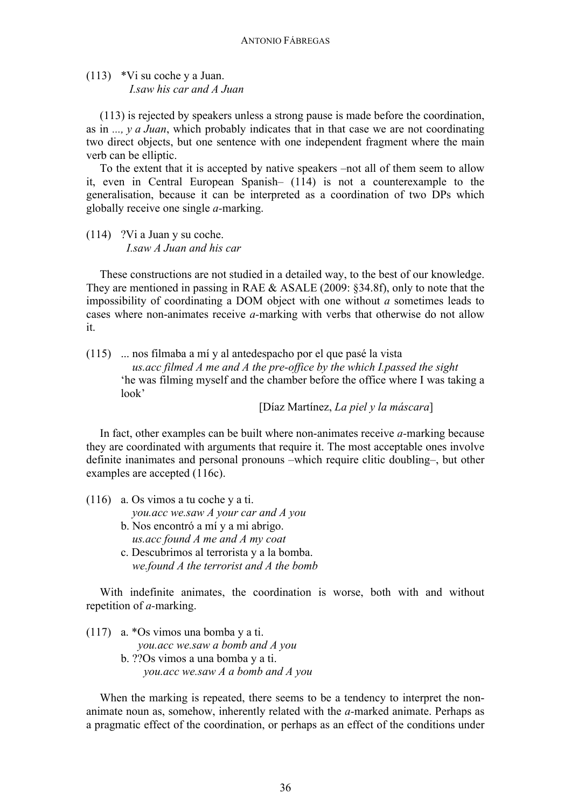(113) \*Vi su coche y a Juan.  *I.saw his car and A Juan*

(113) is rejected by speakers unless a strong pause is made before the coordination, as in *..., y a Juan*, which probably indicates that in that case we are not coordinating two direct objects, but one sentence with one independent fragment where the main verb can be elliptic.

To the extent that it is accepted by native speakers –not all of them seem to allow it, even in Central European Spanish– (114) is not a counterexample to the generalisation, because it can be interpreted as a coordination of two DPs which globally receive one single *a-*marking.

(114) ?Vi a Juan y su coche. *I.saw A Juan and his car*

These constructions are not studied in a detailed way, to the best of our knowledge. They are mentioned in passing in RAE & ASALE (2009: §34.8f), only to note that the impossibility of coordinating a DOM object with one without *a* sometimes leads to cases where non-animates receive *a-*marking with verbs that otherwise do not allow it.

(115) ... nos filmaba a mí y al antedespacho por el que pasé la vista *us.acc filmed A me and A the pre-office by the which I.passed the sight* 'he was filming myself and the chamber before the office where I was taking a look'

[Díaz Martínez, *La piel y la máscara*]

In fact, other examples can be built where non-animates receive *a-*marking because they are coordinated with arguments that require it. The most acceptable ones involve definite inanimates and personal pronouns –which require clitic doubling–, but other examples are accepted (116c).

(116) a. Os vimos a tu coche y a ti.

*you.acc we.saw A your car and A you*

- b. Nos encontró a mí y a mi abrigo.  *us.acc found A me and A my coat* c. Descubrimos al terrorista y a la bomba.
- *we.found A the terrorist and A the bomb*

With indefinite animates, the coordination is worse, both with and without repetition of *a-*marking.

(117) a. \*Os vimos una bomba y a ti. *you.acc we.saw a bomb and A you*

> b. ??Os vimos a una bomba y a ti. *you.acc we.saw A a bomb and A you*

When the marking is repeated, there seems to be a tendency to interpret the nonanimate noun as, somehow, inherently related with the *a-*marked animate. Perhaps as a pragmatic effect of the coordination, or perhaps as an effect of the conditions under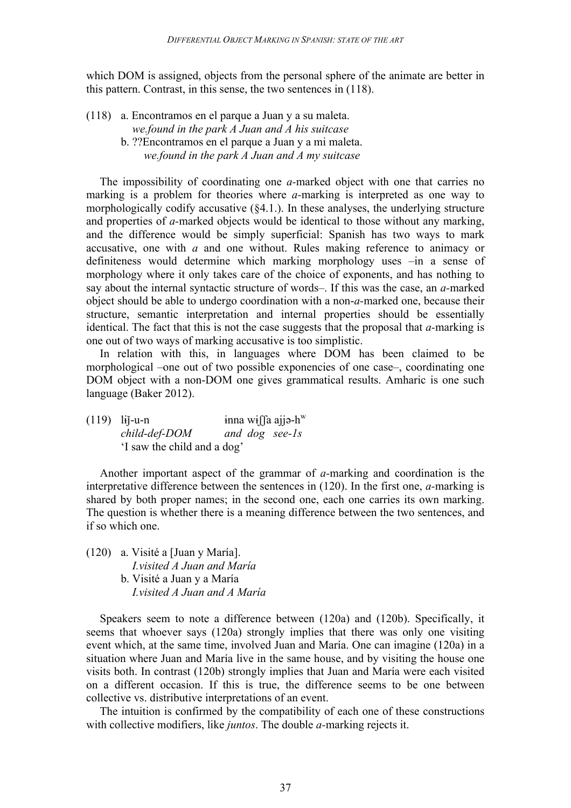which DOM is assigned, objects from the personal sphere of the animate are better in this pattern. Contrast, in this sense, the two sentences in (118).

- (118) a. Encontramos en el parque a Juan y a su maleta. *we.found in the park A Juan and A his suitcase*
	- b. ??Encontramos en el parque a Juan y a mi maleta. *we.found in the park A Juan and A my suitcase*

The impossibility of coordinating one *a-*marked object with one that carries no marking is a problem for theories where *a-*marking is interpreted as one way to morphologically codify accusative (§4.1.). In these analyses, the underlying structure and properties of *a-*marked objects would be identical to those without any marking, and the difference would be simply superficial: Spanish has two ways to mark accusative, one with *a* and one without. Rules making reference to animacy or definiteness would determine which marking morphology uses –in a sense of morphology where it only takes care of the choice of exponents, and has nothing to say about the internal syntactic structure of words–. If this was the case, an *a-*marked object should be able to undergo coordination with a non-*a-*marked one, because their structure, semantic interpretation and internal properties should be essentially identical. The fact that this is not the case suggests that the proposal that *a-*marking is one out of two ways of marking accusative is too simplistic.

In relation with this, in languages where DOM has been claimed to be morphological –one out of two possible exponencies of one case–, coordinating one DOM object with a non-DOM one gives grammatical results. Amharic is one such language (Baker 2012).

(119) lij-u-n inna wiffa ajj $\phi$ -hw *child-def-DOM and dog see-1s* 'I saw the child and a dog'

Another important aspect of the grammar of *a-*marking and coordination is the interpretative difference between the sentences in (120). In the first one, *a-*marking is shared by both proper names; in the second one, each one carries its own marking. The question is whether there is a meaning difference between the two sentences, and if so which one.

(120) a. Visité a [Juan y María].  *I.visited A Juan and María* b. Visité a Juan y a María  *I.visited A Juan and A María*

Speakers seem to note a difference between (120a) and (120b). Specifically, it seems that whoever says (120a) strongly implies that there was only one visiting event which, at the same time, involved Juan and María. One can imagine (120a) in a situation where Juan and María live in the same house, and by visiting the house one visits both. In contrast (120b) strongly implies that Juan and María were each visited on a different occasion. If this is true, the difference seems to be one between collective vs. distributive interpretations of an event.

The intuition is confirmed by the compatibility of each one of these constructions with collective modifiers, like *juntos*. The double *a-*marking rejects it.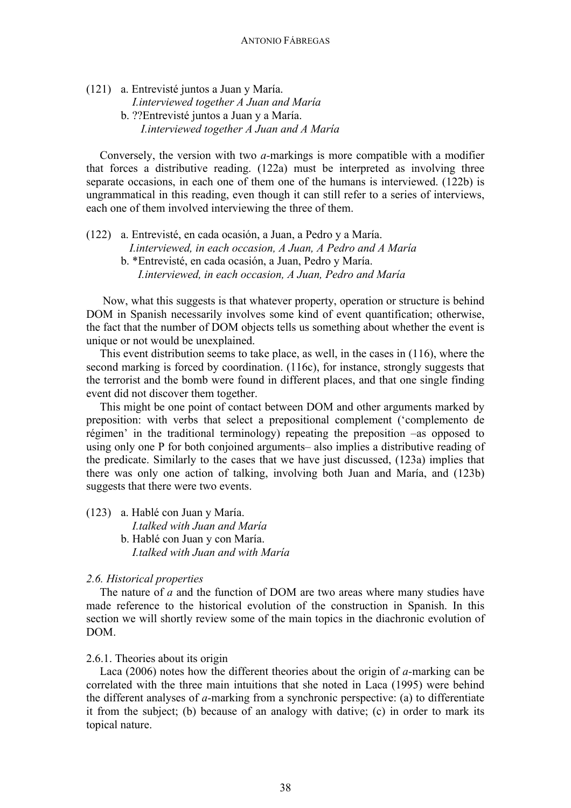(121) a. Entrevisté juntos a Juan y María.  *I.interviewed together A Juan and María* b. ??Entrevisté juntos a Juan y a María. *I.interviewed together A Juan and A María*

Conversely, the version with two *a-*markings is more compatible with a modifier that forces a distributive reading. (122a) must be interpreted as involving three separate occasions, in each one of them one of the humans is interviewed. (122b) is ungrammatical in this reading, even though it can still refer to a series of interviews, each one of them involved interviewing the three of them.

(122) a. Entrevisté, en cada ocasión, a Juan, a Pedro y a María.  *I.interviewed, in each occasion, A Juan, A Pedro and A María* b. \*Entrevisté, en cada ocasión, a Juan, Pedro y María. *I.interviewed, in each occasion, A Juan, Pedro and María*

Now, what this suggests is that whatever property, operation or structure is behind DOM in Spanish necessarily involves some kind of event quantification; otherwise, the fact that the number of DOM objects tells us something about whether the event is unique or not would be unexplained.

This event distribution seems to take place, as well, in the cases in (116), where the second marking is forced by coordination. (116c), for instance, strongly suggests that the terrorist and the bomb were found in different places, and that one single finding event did not discover them together.

This might be one point of contact between DOM and other arguments marked by preposition: with verbs that select a prepositional complement ('complemento de régimen' in the traditional terminology) repeating the preposition –as opposed to using only one P for both conjoined arguments– also implies a distributive reading of the predicate. Similarly to the cases that we have just discussed, (123a) implies that there was only one action of talking, involving both Juan and María, and (123b) suggests that there were two events.

(123) a. Hablé con Juan y María.

 *I.talked with Juan and María* b. Hablé con Juan y con María.  *I.talked with Juan and with María* 

### *2.6. Historical properties*

The nature of *a* and the function of DOM are two areas where many studies have made reference to the historical evolution of the construction in Spanish. In this section we will shortly review some of the main topics in the diachronic evolution of DOM.

2.6.1. Theories about its origin

Laca (2006) notes how the different theories about the origin of *a-*marking can be correlated with the three main intuitions that she noted in Laca (1995) were behind the different analyses of *a-*marking from a synchronic perspective: (a) to differentiate it from the subject; (b) because of an analogy with dative; (c) in order to mark its topical nature.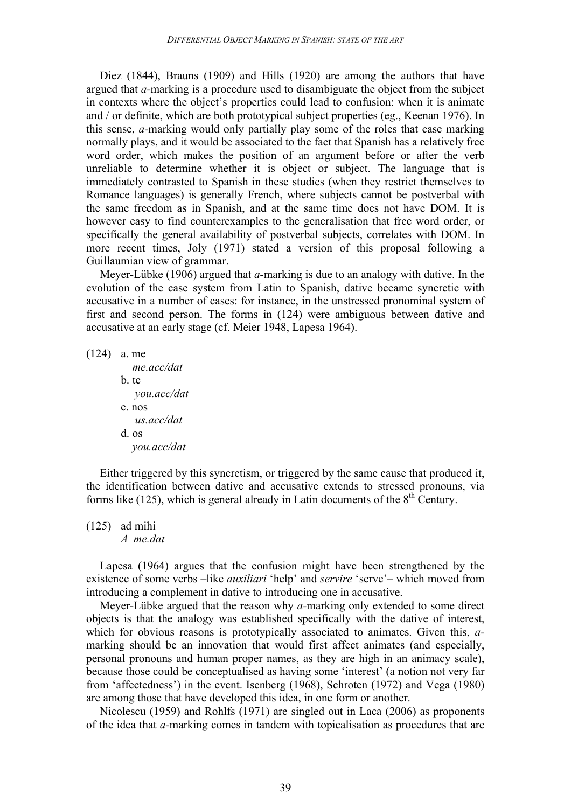Diez (1844), Brauns (1909) and Hills (1920) are among the authors that have argued that *a-*marking is a procedure used to disambiguate the object from the subject in contexts where the object's properties could lead to confusion: when it is animate and / or definite, which are both prototypical subject properties (eg., Keenan 1976). In this sense, *a-*marking would only partially play some of the roles that case marking normally plays, and it would be associated to the fact that Spanish has a relatively free word order, which makes the position of an argument before or after the verb unreliable to determine whether it is object or subject. The language that is immediately contrasted to Spanish in these studies (when they restrict themselves to Romance languages) is generally French, where subjects cannot be postverbal with the same freedom as in Spanish, and at the same time does not have DOM. It is however easy to find counterexamples to the generalisation that free word order, or specifically the general availability of postverbal subjects, correlates with DOM. In more recent times, Joly (1971) stated a version of this proposal following a Guillaumian view of grammar.

Meyer-Lübke (1906) argued that *a-*marking is due to an analogy with dative. In the evolution of the case system from Latin to Spanish, dative became syncretic with accusative in a number of cases: for instance, in the unstressed pronominal system of first and second person. The forms in (124) were ambiguous between dative and accusative at an early stage (cf. Meier 1948, Lapesa 1964).

(124) a. me

 *me.acc/dat* b. te  *you.acc/dat* c. nos  *us.acc/dat* d. os *you.acc/dat*

Either triggered by this syncretism, or triggered by the same cause that produced it, the identification between dative and accusative extends to stressed pronouns, via forms like (125), which is general already in Latin documents of the  $8<sup>th</sup>$  Century.

(125) ad mihi

*A me.dat*

Lapesa (1964) argues that the confusion might have been strengthened by the existence of some verbs –like *auxiliari* 'help' and *servire* 'serve'– which moved from introducing a complement in dative to introducing one in accusative.

Meyer-Lübke argued that the reason why *a-*marking only extended to some direct objects is that the analogy was established specifically with the dative of interest, which for obvious reasons is prototypically associated to animates. Given this, *a*marking should be an innovation that would first affect animates (and especially, personal pronouns and human proper names, as they are high in an animacy scale), because those could be conceptualised as having some 'interest' (a notion not very far from 'affectedness') in the event. Isenberg (1968), Schroten (1972) and Vega (1980) are among those that have developed this idea, in one form or another.

Nicolescu (1959) and Rohlfs (1971) are singled out in Laca (2006) as proponents of the idea that *a-*marking comes in tandem with topicalisation as procedures that are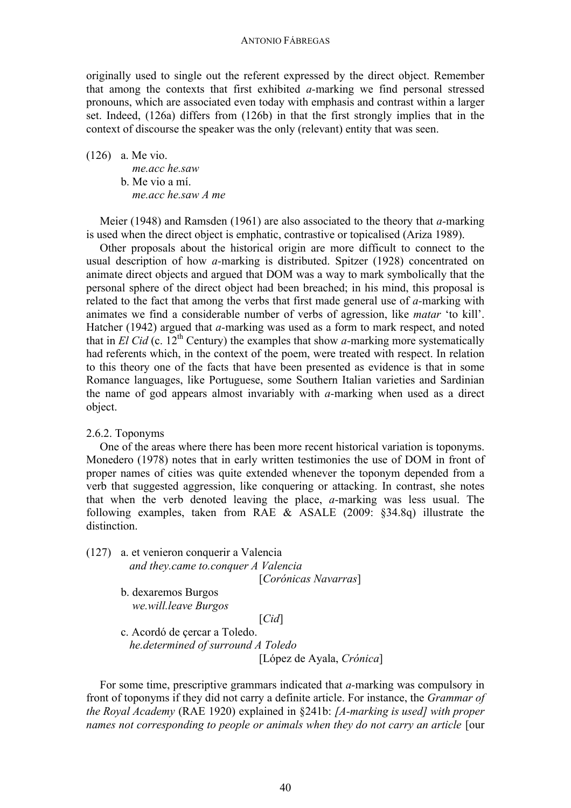#### ANTONIO FÁBREGAS

originally used to single out the referent expressed by the direct object. Remember that among the contexts that first exhibited *a-*marking we find personal stressed pronouns, which are associated even today with emphasis and contrast within a larger set. Indeed, (126a) differs from (126b) in that the first strongly implies that in the context of discourse the speaker was the only (relevant) entity that was seen.

(126) a. Me vio.

 *me.acc he.saw* b. Me vio a mí.  *me.acc he.saw A me*

Meier (1948) and Ramsden (1961) are also associated to the theory that *a-*marking is used when the direct object is emphatic, contrastive or topicalised (Ariza 1989).

Other proposals about the historical origin are more difficult to connect to the usual description of how *a-*marking is distributed. Spitzer (1928) concentrated on animate direct objects and argued that DOM was a way to mark symbolically that the personal sphere of the direct object had been breached; in his mind, this proposal is related to the fact that among the verbs that first made general use of *a-*marking with animates we find a considerable number of verbs of agression, like *matar* 'to kill'. Hatcher (1942) argued that *a-*marking was used as a form to mark respect, and noted that in *El Cid* (c. 12<sup>th</sup> Century) the examples that show *a*-marking more systematically had referents which, in the context of the poem, were treated with respect. In relation to this theory one of the facts that have been presented as evidence is that in some Romance languages, like Portuguese, some Southern Italian varieties and Sardinian the name of god appears almost invariably with *a-*marking when used as a direct object.

#### 2.6.2. Toponyms

One of the areas where there has been more recent historical variation is toponyms. Monedero (1978) notes that in early written testimonies the use of DOM in front of proper names of cities was quite extended whenever the toponym depended from a verb that suggested aggression, like conquering or attacking. In contrast, she notes that when the verb denoted leaving the place, *a-*marking was less usual. The following examples, taken from RAE & ASALE (2009: §34.8q) illustrate the distinction.

(127) a. et venieron conquerir a Valencia  *and they.came to.conquer A Valencia*

[*Corónicas Navarras*]

b. dexaremos Burgos *we.will.leave Burgos*

[*Cid*]

c. Acordó de çercar a Toledo.  *he.determined of surround A Toledo* [López de Ayala, *Crónica*]

For some time, prescriptive grammars indicated that *a-*marking was compulsory in front of toponyms if they did not carry a definite article. For instance, the *Grammar of the Royal Academy* (RAE 1920) explained in §241b: *[A-marking is used] with proper names not corresponding to people or animals when they do not carry an article* [our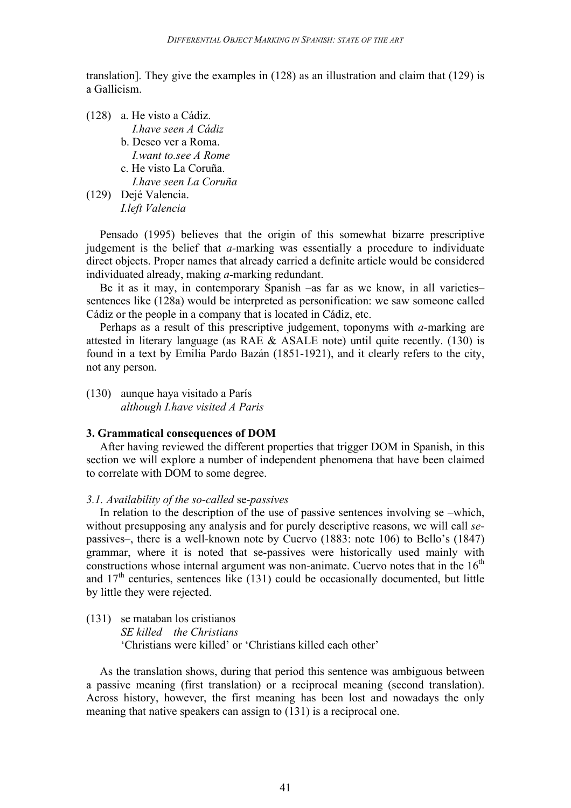translation]. They give the examples in (128) as an illustration and claim that (129) is a Gallicism.

(128) a. He visto a Cádiz.  *I.have seen A Cádiz* b. Deseo ver a Roma. *I.want to.see A Rome* c. He visto La Coruña. *I.have seen La Coruña* (129) Dejé Valencia. *I.left Valencia* 

Pensado (1995) believes that the origin of this somewhat bizarre prescriptive judgement is the belief that *a-*marking was essentially a procedure to individuate direct objects. Proper names that already carried a definite article would be considered individuated already, making *a-*marking redundant.

Be it as it may, in contemporary Spanish –as far as we know, in all varieties– sentences like (128a) would be interpreted as personification: we saw someone called Cádiz or the people in a company that is located in Cádiz, etc.

Perhaps as a result of this prescriptive judgement, toponyms with *a-*marking are attested in literary language (as RAE & ASALE note) until quite recently. (130) is found in a text by Emilia Pardo Bazán (1851-1921), and it clearly refers to the city, not any person.

(130) aunque haya visitado a París *although I.have visited A Paris*

### **3. Grammatical consequences of DOM**

After having reviewed the different properties that trigger DOM in Spanish, in this section we will explore a number of independent phenomena that have been claimed to correlate with DOM to some degree.

## *3.1. Availability of the so-called* se*-passives*

In relation to the description of the use of passive sentences involving se –which, without presupposing any analysis and for purely descriptive reasons, we will call *se*passives–, there is a well-known note by Cuervo (1883: note 106) to Bello's (1847) grammar, where it is noted that se-passives were historically used mainly with constructions whose internal argument was non-animate. Cuervo notes that in the  $16<sup>th</sup>$ and  $17<sup>th</sup>$  centuries, sentences like (131) could be occasionally documented, but little by little they were rejected.

(131) se mataban los cristianos *SE killed the Christians* 'Christians were killed' or 'Christians killed each other'

As the translation shows, during that period this sentence was ambiguous between a passive meaning (first translation) or a reciprocal meaning (second translation). Across history, however, the first meaning has been lost and nowadays the only meaning that native speakers can assign to (131) is a reciprocal one.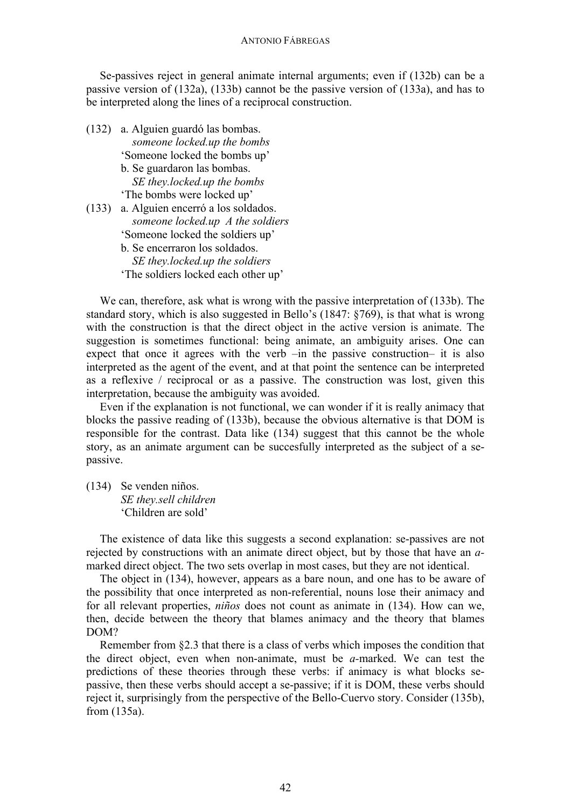Se-passives reject in general animate internal arguments; even if (132b) can be a passive version of (132a), (133b) cannot be the passive version of (133a), and has to be interpreted along the lines of a reciprocal construction.

- (132) a. Alguien guardó las bombas. *someone locked.up the bombs* 'Someone locked the bombs up' b. Se guardaron las bombas. *SE they.locked.up the bombs* 'The bombs were locked up' (133) a. Alguien encerró a los soldados. *someone locked.up A the soldiers* 'Someone locked the soldiers up' b. Se encerraron los soldados.
	- *SE they.locked.up the soldiers*
	- 'The soldiers locked each other up'

We can, therefore, ask what is wrong with the passive interpretation of (133b). The standard story, which is also suggested in Bello's (1847: §769), is that what is wrong with the construction is that the direct object in the active version is animate. The suggestion is sometimes functional: being animate, an ambiguity arises. One can expect that once it agrees with the verb –in the passive construction– it is also interpreted as the agent of the event, and at that point the sentence can be interpreted as a reflexive / reciprocal or as a passive. The construction was lost, given this interpretation, because the ambiguity was avoided.

Even if the explanation is not functional, we can wonder if it is really animacy that blocks the passive reading of (133b), because the obvious alternative is that DOM is responsible for the contrast. Data like (134) suggest that this cannot be the whole story, as an animate argument can be succesfully interpreted as the subject of a sepassive.

(134) Se venden niños. *SE they.sell children* 'Children are sold'

The existence of data like this suggests a second explanation: se-passives are not rejected by constructions with an animate direct object, but by those that have an *a*marked direct object. The two sets overlap in most cases, but they are not identical.

The object in (134), however, appears as a bare noun, and one has to be aware of the possibility that once interpreted as non-referential, nouns lose their animacy and for all relevant properties, *niños* does not count as animate in (134). How can we, then, decide between the theory that blames animacy and the theory that blames DOM?

Remember from §2.3 that there is a class of verbs which imposes the condition that the direct object, even when non-animate, must be *a-*marked. We can test the predictions of these theories through these verbs: if animacy is what blocks sepassive, then these verbs should accept a se-passive; if it is DOM, these verbs should reject it, surprisingly from the perspective of the Bello-Cuervo story. Consider (135b), from (135a).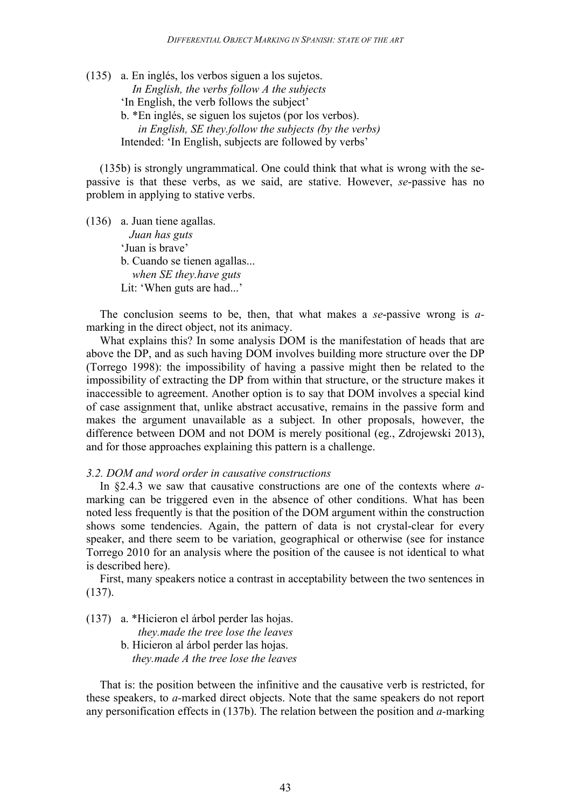(135) a. En inglés, los verbos siguen a los sujetos.  *In English, the verbs follow A the subjects* 'In English, the verb follows the subject' b. \*En inglés, se siguen los sujetos (por los verbos).  *in English, SE they.follow the subjects (by the verbs)* Intended: 'In English, subjects are followed by verbs'

(135b) is strongly ungrammatical. One could think that what is wrong with the sepassive is that these verbs, as we said, are stative. However, *se*-passive has no problem in applying to stative verbs.

(136) a. Juan tiene agallas. *Juan has guts* 'Juan is brave' b. Cuando se tienen agallas... *when SE they.have guts* Lit: 'When guts are had...'

The conclusion seems to be, then, that what makes a *se*-passive wrong is *a*marking in the direct object, not its animacy.

What explains this? In some analysis DOM is the manifestation of heads that are above the DP, and as such having DOM involves building more structure over the DP (Torrego 1998): the impossibility of having a passive might then be related to the impossibility of extracting the DP from within that structure, or the structure makes it inaccessible to agreement. Another option is to say that DOM involves a special kind of case assignment that, unlike abstract accusative, remains in the passive form and makes the argument unavailable as a subject. In other proposals, however, the difference between DOM and not DOM is merely positional (eg., Zdrojewski 2013), and for those approaches explaining this pattern is a challenge.

### *3.2. DOM and word order in causative constructions*

In §2.4.3 we saw that causative constructions are one of the contexts where *a*marking can be triggered even in the absence of other conditions. What has been noted less frequently is that the position of the DOM argument within the construction shows some tendencies. Again, the pattern of data is not crystal-clear for every speaker, and there seem to be variation, geographical or otherwise (see for instance Torrego 2010 for an analysis where the position of the causee is not identical to what is described here).

First, many speakers notice a contrast in acceptability between the two sentences in (137).

(137) a. \*Hicieron el árbol perder las hojas.

 *they.made the tree lose the leaves*

b. Hicieron al árbol perder las hojas. *they.made A the tree lose the leaves*

That is: the position between the infinitive and the causative verb is restricted, for these speakers, to *a-*marked direct objects. Note that the same speakers do not report any personification effects in (137b). The relation between the position and *a-*marking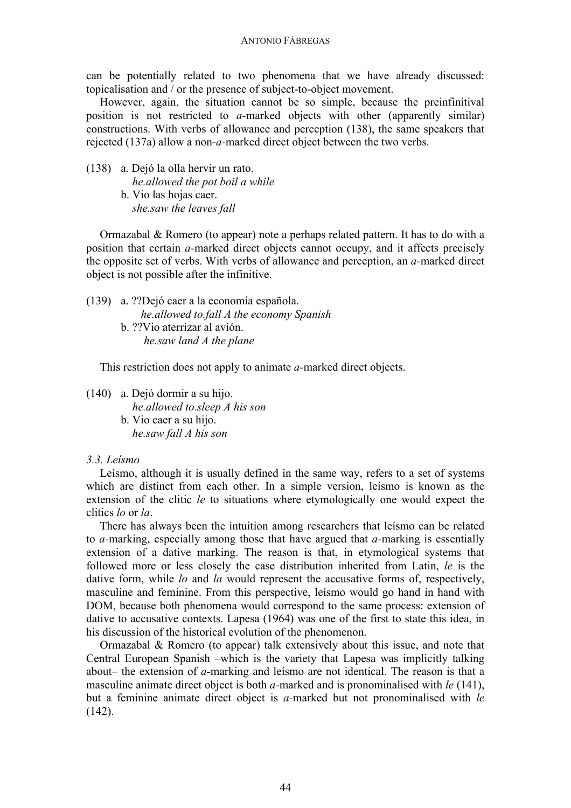#### ANTONIO FÁBREGAS

can be potentially related to two phenomena that we have already discussed: topicalisation and / or the presence of subject-to-object movement.

However, again, the situation cannot be so simple, because the preinfinitival position is not restricted to *a-*marked objects with other (apparently similar) constructions. With verbs of allowance and perception (138), the same speakers that rejected (137a) allow a non-*a-*marked direct object between the two verbs.

(138) a. Dejó la olla hervir un rato. *he.allowed the pot boil a while* b. Vio las hojas caer. *she.saw the leaves fall*

Ormazabal & Romero (to appear) note a perhaps related pattern. It has to do with a position that certain *a-*marked direct objects cannot occupy, and it affects precisely the opposite set of verbs. With verbs of allowance and perception, an *a-*marked direct object is not possible after the infinitive.

(139) a. ??Dejó caer a la economía española. *he.allowed to.fall A the economy Spanish* b. ??Vio aterrizar al avión. *he.saw land A the plane*

This restriction does not apply to animate *a-*marked direct objects.

(140) a. Dejó dormir a su hijo.  *he.allowed to.sleep A his son* b. Vio caer a su hijo.  *he.saw fall A his son*

## *3.3. Leísmo*

Leísmo, although it is usually defined in the same way, refers to a set of systems which are distinct from each other. In a simple version, leísmo is known as the extension of the clitic *le* to situations where etymologically one would expect the clitics *lo* or *la*.

There has always been the intuition among researchers that leísmo can be related to *a-*marking, especially among those that have argued that *a-*marking is essentially extension of a dative marking. The reason is that, in etymological systems that followed more or less closely the case distribution inherited from Latin, *le* is the dative form, while *lo* and *la* would represent the accusative forms of, respectively, masculine and feminine. From this perspective, leísmo would go hand in hand with DOM, because both phenomena would correspond to the same process: extension of dative to accusative contexts. Lapesa (1964) was one of the first to state this idea, in his discussion of the historical evolution of the phenomenon.

Ormazabal & Romero (to appear) talk extensively about this issue, and note that Central European Spanish –which is the variety that Lapesa was implicitly talking about– the extension of *a-*marking and leísmo are not identical. The reason is that a masculine animate direct object is both *a-*marked and is pronominalised with *le* (141), but a feminine animate direct object is *a-*marked but not pronominalised with *le*  $(142)$ .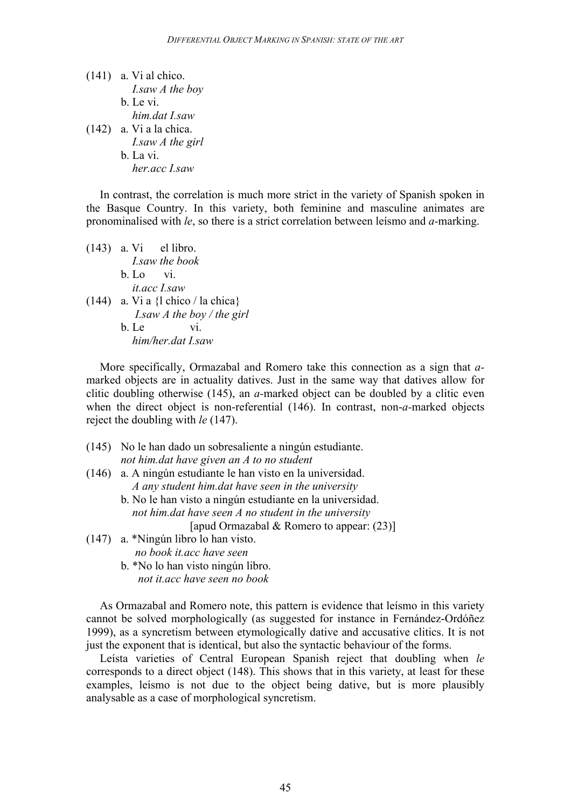$(141)$  a. Vi al chico. *I.saw A the boy* b. Le vi. *him.dat I.saw* (142) a. Vi a la chica. *I.saw A the girl* b. La vi. *her.acc I.saw*

In contrast, the correlation is much more strict in the variety of Spanish spoken in the Basque Country. In this variety, both feminine and masculine animates are pronominalised with *le*, so there is a strict correlation between leísmo and *a-*marking.

| $(143)$ a. Vi el libro.              |
|--------------------------------------|
| I saw the book                       |
| $b.$ Lo vi.                          |
| it acc Lsaw                          |
| $(144)$ a. Vi a {l chico / la chica} |
| <i>I.saw A the boy / the girl</i>    |
| b Le<br>V1                           |
| him/her.dat I.saw                    |

More specifically, Ormazabal and Romero take this connection as a sign that *a*marked objects are in actuality datives. Just in the same way that datives allow for clitic doubling otherwise (145), an *a-*marked object can be doubled by a clitic even when the direct object is non-referential (146). In contrast, non-*a-*marked objects reject the doubling with *le* (147).

- (145) No le han dado un sobresaliente a ningún estudiante. *not him.dat have given an A to no student* (146) a. A ningún estudiante le han visto en la universidad. *A any student him.dat have seen in the university* b. No le han visto a ningún estudiante en la universidad. *not him.dat have seen A no student in the university* [apud Ormazabal & Romero to appear: (23)] (147) a. \*Ningún libro lo han visto. *no book it.acc have seen*
	- b. \*No lo han visto ningún libro. *not it.acc have seen no book*

As Ormazabal and Romero note, this pattern is evidence that leísmo in this variety cannot be solved morphologically (as suggested for instance in Fernández-Ordóñez 1999), as a syncretism between etymologically dative and accusative clitics. It is not just the exponent that is identical, but also the syntactic behaviour of the forms.

Leísta varieties of Central European Spanish reject that doubling when *le* corresponds to a direct object (148). This shows that in this variety, at least for these examples, leísmo is not due to the object being dative, but is more plausibly analysable as a case of morphological syncretism.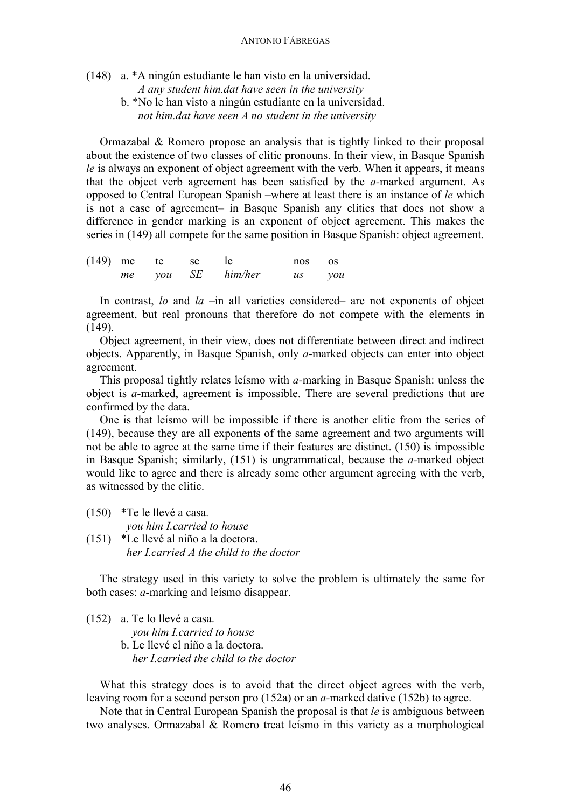(148) a. \*A ningún estudiante le han visto en la universidad.

*A any student him.dat have seen in the university*

b. \*No le han visto a ningún estudiante en la universidad. *not him.dat have seen A no student in the university*

Ormazabal & Romero propose an analysis that is tightly linked to their proposal about the existence of two classes of clitic pronouns. In their view, in Basque Spanish *le* is always an exponent of object agreement with the verb. When it appears, it means that the object verb agreement has been satisfied by the *a-*marked argument. As opposed to Central European Spanish –where at least there is an instance of *le* which is not a case of agreement– in Basque Spanish any clitics that does not show a difference in gender marking is an exponent of object agreement. This makes the series in (149) all compete for the same position in Basque Spanish: object agreement.

|  | $(149)$ me te se le |                   | nos os |  |
|--|---------------------|-------------------|--------|--|
|  |                     | me you SE him/her | us vou |  |

In contrast, *lo* and *la* –in all varieties considered– are not exponents of object agreement, but real pronouns that therefore do not compete with the elements in  $(149)$ .

Object agreement, in their view, does not differentiate between direct and indirect objects. Apparently, in Basque Spanish, only *a-*marked objects can enter into object agreement.

This proposal tightly relates leísmo with *a-*marking in Basque Spanish: unless the object is *a-*marked, agreement is impossible. There are several predictions that are confirmed by the data.

One is that leísmo will be impossible if there is another clitic from the series of (149), because they are all exponents of the same agreement and two arguments will not be able to agree at the same time if their features are distinct. (150) is impossible in Basque Spanish; similarly, (151) is ungrammatical, because the *a-*marked object would like to agree and there is already some other argument agreeing with the verb, as witnessed by the clitic.

(150) \*Te le llevé a casa. *you him I.carried to house* (151) \*Le llevé al niño a la doctora.

*her I.carried A the child to the doctor*

The strategy used in this variety to solve the problem is ultimately the same for both cases: *a-*marking and leísmo disappear.

(152) a. Te lo llevé a casa. *you him I.carried to house* b. Le llevé el niño a la doctora. *her I.carried the child to the doctor*

What this strategy does is to avoid that the direct object agrees with the verb, leaving room for a second person pro (152a) or an *a-*marked dative (152b) to agree.

Note that in Central European Spanish the proposal is that *le* is ambiguous between two analyses. Ormazabal & Romero treat leísmo in this variety as a morphological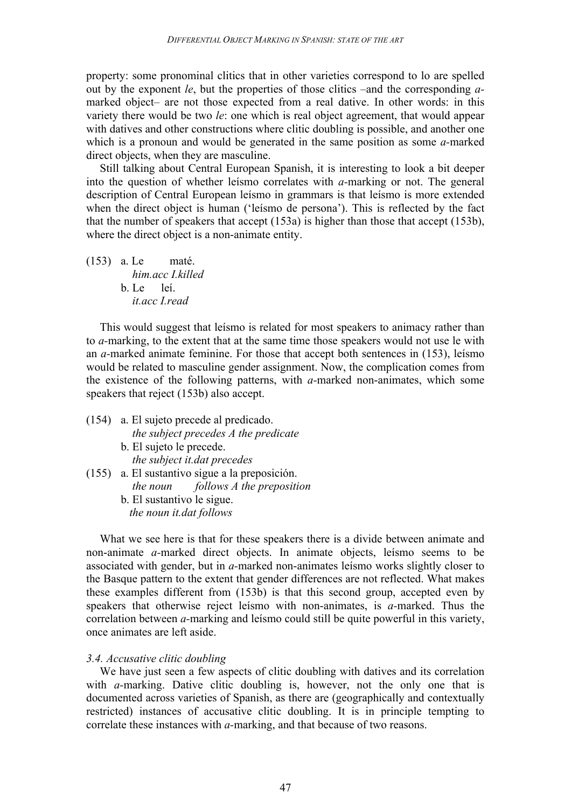property: some pronominal clitics that in other varieties correspond to lo are spelled out by the exponent *le*, but the properties of those clitics –and the corresponding *a*marked object– are not those expected from a real dative. In other words: in this variety there would be two *le*: one which is real object agreement, that would appear with datives and other constructions where clitic doubling is possible, and another one which is a pronoun and would be generated in the same position as some *a-*marked direct objects, when they are masculine.

Still talking about Central European Spanish, it is interesting to look a bit deeper into the question of whether leísmo correlates with *a-*marking or not. The general description of Central European leísmo in grammars is that leísmo is more extended when the direct object is human ('leísmo de persona'). This is reflected by the fact that the number of speakers that accept (153a) is higher than those that accept (153b), where the direct object is a non-animate entity.

(153) a. Le maté. *him.acc I.killed* b. Le leí. *it.acc I.read*

This would suggest that leísmo is related for most speakers to animacy rather than to *a-*marking, to the extent that at the same time those speakers would not use le with an *a-*marked animate feminine. For those that accept both sentences in (153), leísmo would be related to masculine gender assignment. Now, the complication comes from the existence of the following patterns, with *a-*marked non-animates, which some speakers that reject (153b) also accept.

(154) a. El sujeto precede al predicado. *the subject precedes A the predicate* b. El sujeto le precede. *the subject it.dat precedes* (155) a. El sustantivo sigue a la preposición. *the noun follows A the preposition* b. El sustantivo le sigue.

*the noun it.dat follows*

What we see here is that for these speakers there is a divide between animate and non-animate *a-*marked direct objects. In animate objects, leísmo seems to be associated with gender, but in *a-*marked non-animates leísmo works slightly closer to the Basque pattern to the extent that gender differences are not reflected. What makes these examples different from (153b) is that this second group, accepted even by speakers that otherwise reject leísmo with non-animates, is *a-*marked. Thus the correlation between *a-*marking and leísmo could still be quite powerful in this variety, once animates are left aside.

### *3.4. Accusative clitic doubling*

We have just seen a few aspects of clitic doubling with datives and its correlation with *a*-marking. Dative clitic doubling is, however, not the only one that is documented across varieties of Spanish, as there are (geographically and contextually restricted) instances of accusative clitic doubling. It is in principle tempting to correlate these instances with *a-*marking, and that because of two reasons.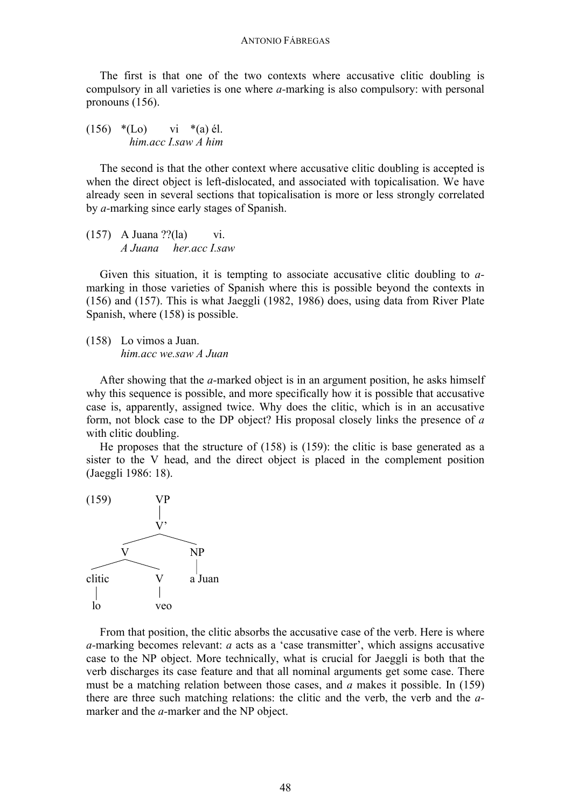The first is that one of the two contexts where accusative clitic doubling is compulsory in all varieties is one where *a-*marking is also compulsory: with personal pronouns (156).

 $(156)$  \*(Lo) vi \*(a) él.  *him.acc I.saw A him*

The second is that the other context where accusative clitic doubling is accepted is when the direct object is left-dislocated, and associated with topicalisation. We have already seen in several sections that topicalisation is more or less strongly correlated by *a-*marking since early stages of Spanish.

(157) A Juana ??(la) vi. *A Juana her.acc I.saw* 

Given this situation, it is tempting to associate accusative clitic doubling to *a*marking in those varieties of Spanish where this is possible beyond the contexts in (156) and (157). This is what Jaeggli (1982, 1986) does, using data from River Plate Spanish, where (158) is possible.

(158) Lo vimos a Juan. *him.acc we.saw A Juan*

After showing that the *a-*marked object is in an argument position, he asks himself why this sequence is possible, and more specifically how it is possible that accusative case is, apparently, assigned twice. Why does the clitic, which is in an accusative form, not block case to the DP object? His proposal closely links the presence of *a* with clitic doubling.

He proposes that the structure of (158) is (159): the clitic is base generated as a sister to the V head, and the direct object is placed in the complement position (Jaeggli 1986: 18).



From that position, the clitic absorbs the accusative case of the verb. Here is where *a-*marking becomes relevant: *a* acts as a 'case transmitter', which assigns accusative case to the NP object. More technically, what is crucial for Jaeggli is both that the verb discharges its case feature and that all nominal arguments get some case. There must be a matching relation between those cases, and *a* makes it possible. In (159) there are three such matching relations: the clitic and the verb, the verb and the *a*marker and the *a-*marker and the NP object.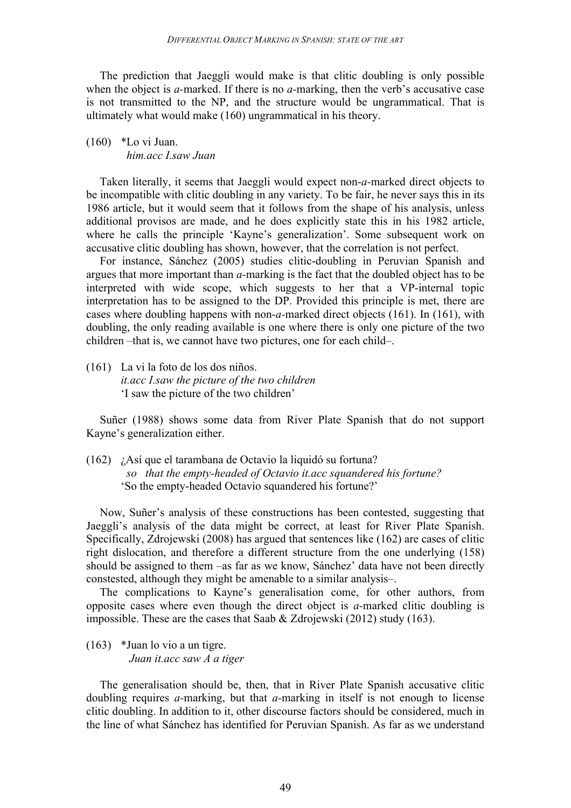The prediction that Jaeggli would make is that clitic doubling is only possible when the object is *a-*marked. If there is no *a-*marking, then the verb's accusative case is not transmitted to the NP, and the structure would be ungrammatical. That is ultimately what would make (160) ungrammatical in his theory.

## (160) \*Lo vi Juan.  *him.acc I.saw Juan*

Taken literally, it seems that Jaeggli would expect non-*a-*marked direct objects to be incompatible with clitic doubling in any variety. To be fair, he never says this in its 1986 article, but it would seem that it follows from the shape of his analysis, unless additional provisos are made, and he does explicitly state this in his 1982 article, where he calls the principle 'Kayne's generalization'. Some subsequent work on accusative clitic doubling has shown, however, that the correlation is not perfect.

For instance, Sánchez (2005) studies clitic-doubling in Peruvian Spanish and argues that more important than *a-*marking is the fact that the doubled object has to be interpreted with wide scope, which suggests to her that a VP-internal topic interpretation has to be assigned to the DP. Provided this principle is met, there are cases where doubling happens with non-*a-*marked direct objects (161). In (161), with doubling, the only reading available is one where there is only one picture of the two children –that is, we cannot have two pictures, one for each child–.

(161) La vi la foto de los dos niños. *it.acc I.saw the picture of the two children* 'I saw the picture of the two children'

Suñer (1988) shows some data from River Plate Spanish that do not support Kayne's generalization either.

(162) ¿Así que el tarambana de Octavio la liquidó su fortuna? *so that the empty-headed of Octavio it.acc squandered his fortune?* 'So the empty-headed Octavio squandered his fortune?'

Now, Suñer's analysis of these constructions has been contested, suggesting that Jaeggli's analysis of the data might be correct, at least for River Plate Spanish. Specifically, Zdrojewski (2008) has argued that sentences like (162) are cases of clitic right dislocation, and therefore a different structure from the one underlying (158) should be assigned to them –as far as we know, Sánchez' data have not been directly constested, although they might be amenable to a similar analysis–.

The complications to Kayne's generalisation come, for other authors, from opposite cases where even though the direct object is *a-*marked clitic doubling is impossible. These are the cases that Saab & Zdrojewski (2012) study (163).

(163) \*Juan lo vio a un tigre.  *Juan it.acc saw A a tiger*

The generalisation should be, then, that in River Plate Spanish accusative clitic doubling requires *a-*marking, but that *a-*marking in itself is not enough to license clitic doubling. In addition to it, other discourse factors should be considered, much in the line of what Sánchez has identified for Peruvian Spanish. As far as we understand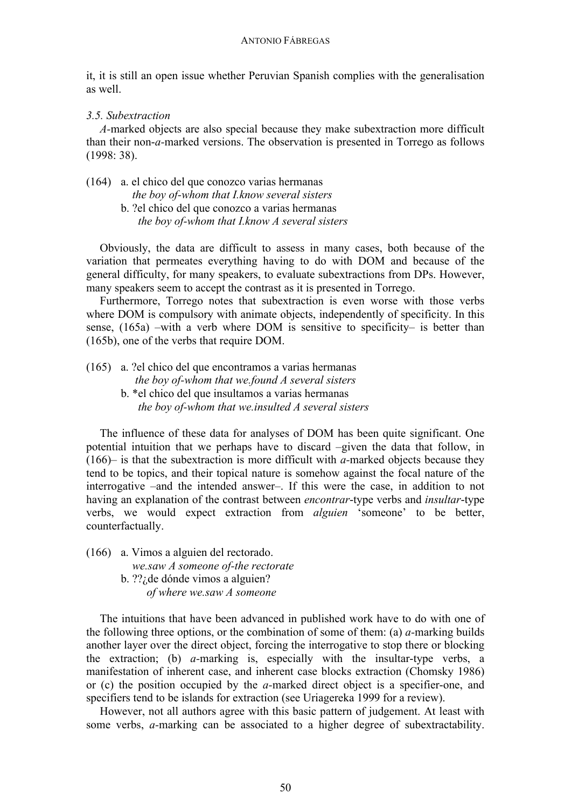it, it is still an open issue whether Peruvian Spanish complies with the generalisation as well.

# *3.5. Subextraction*

*A-*marked objects are also special because they make subextraction more difficult than their non-*a-*marked versions. The observation is presented in Torrego as follows (1998: 38).

- (164) a. el chico del que conozco varias hermanas *the boy of-whom that I.know several sisters*
	- b. ?el chico del que conozco a varias hermanas *the boy of-whom that I.know A several sisters*

Obviously, the data are difficult to assess in many cases, both because of the variation that permeates everything having to do with DOM and because of the general difficulty, for many speakers, to evaluate subextractions from DPs. However, many speakers seem to accept the contrast as it is presented in Torrego.

Furthermore, Torrego notes that subextraction is even worse with those verbs where DOM is compulsory with animate objects, independently of specificity. In this sense, (165a) –with a verb where DOM is sensitive to specificity– is better than (165b), one of the verbs that require DOM.

(165) a. ?el chico del que encontramos a varias hermanas

- *the boy of-whom that we.found A several sisters*
- b. \*el chico del que insultamos a varias hermanas *the boy of-whom that we.insulted A several sisters*

The influence of these data for analyses of DOM has been quite significant. One potential intuition that we perhaps have to discard –given the data that follow, in (166)– is that the subextraction is more difficult with *a-*marked objects because they tend to be topics, and their topical nature is somehow against the focal nature of the interrogative –and the intended answer–. If this were the case, in addition to not having an explanation of the contrast between *encontrar*-type verbs and *insultar*-type verbs, we would expect extraction from *alguien* 'someone' to be better, counterfactually.

(166) a. Vimos a alguien del rectorado.  *we.saw A someone of-the rectorate* b. ??¿de dónde vimos a alguien?  *of where we.saw A someone*

The intuitions that have been advanced in published work have to do with one of the following three options, or the combination of some of them: (a) *a-*marking builds another layer over the direct object, forcing the interrogative to stop there or blocking the extraction; (b) *a-*marking is, especially with the insultar-type verbs, a manifestation of inherent case, and inherent case blocks extraction (Chomsky 1986) or (c) the position occupied by the *a-*marked direct object is a specifier-one, and specifiers tend to be islands for extraction (see Uriagereka 1999 for a review).

However, not all authors agree with this basic pattern of judgement. At least with some verbs, *a-*marking can be associated to a higher degree of subextractability.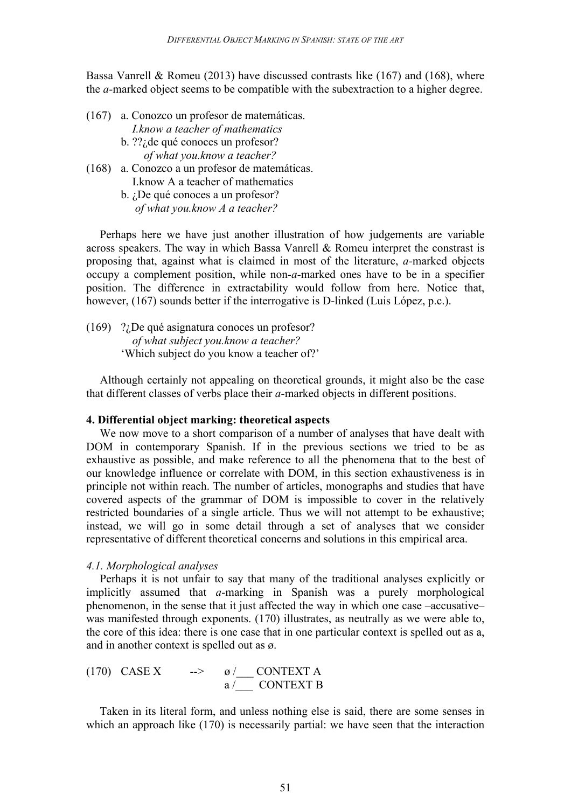Bassa Vanrell & Romeu (2013) have discussed contrasts like  $(167)$  and  $(168)$ , where the *a-*marked object seems to be compatible with the subextraction to a higher degree.

- (167) a. Conozco un profesor de matemáticas.  *I.know a teacher of mathematics*
	- b. ??¿de qué conoces un profesor? *of what you.know a teacher?*
- (168) a. Conozco a un profesor de matemáticas. I.know A a teacher of mathematics b. ¿De qué conoces a un profesor?

*of what you.know A a teacher?*

Perhaps here we have just another illustration of how judgements are variable across speakers. The way in which Bassa Vanrell & Romeu interpret the constrast is proposing that, against what is claimed in most of the literature, *a-*marked objects occupy a complement position, while non-*a-*marked ones have to be in a specifier position. The difference in extractability would follow from here. Notice that, however, (167) sounds better if the interrogative is D-linked (Luis López, p.c.).

(169) ?¿De qué asignatura conoces un profesor? *of what subject you.know a teacher?* 'Which subject do you know a teacher of?'

Although certainly not appealing on theoretical grounds, it might also be the case that different classes of verbs place their *a-*marked objects in different positions.

### **4. Differential object marking: theoretical aspects**

We now move to a short comparison of a number of analyses that have dealt with DOM in contemporary Spanish. If in the previous sections we tried to be as exhaustive as possible, and make reference to all the phenomena that to the best of our knowledge influence or correlate with DOM, in this section exhaustiveness is in principle not within reach. The number of articles, monographs and studies that have covered aspects of the grammar of DOM is impossible to cover in the relatively restricted boundaries of a single article. Thus we will not attempt to be exhaustive; instead, we will go in some detail through a set of analyses that we consider representative of different theoretical concerns and solutions in this empirical area.

#### *4.1. Morphological analyses*

Perhaps it is not unfair to say that many of the traditional analyses explicitly or implicitly assumed that *a-*marking in Spanish was a purely morphological phenomenon, in the sense that it just affected the way in which one case –accusative– was manifested through exponents. (170) illustrates, as neutrally as we were able to, the core of this idea: there is one case that in one particular context is spelled out as a, and in another context is spelled out as ø.

(170) CASE X 
$$
\longrightarrow
$$
  $\underset{a}{\circ}$   $\underset{m}{\circ}$   $\underset{m}{\circ}$   $\underset{m}{\circ}$   $\underset{m}{\circ}$   $\underset{m}{\circ}$   $\underset{m}{\circ}$   $\underset{m}{\circ}$   $\underset{m}{\circ}$   $\underset{m}{\circ}$   $\underset{m}{\circ}$ 

Taken in its literal form, and unless nothing else is said, there are some senses in which an approach like (170) is necessarily partial: we have seen that the interaction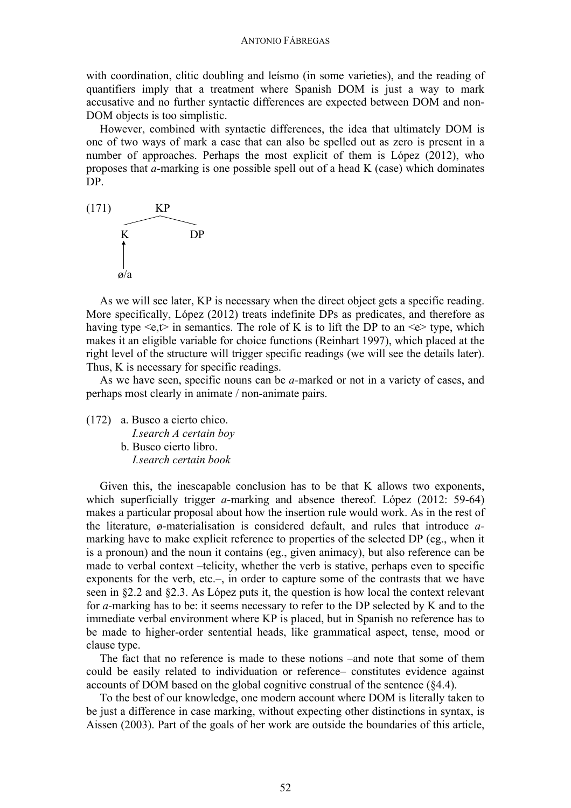#### ANTONIO FÁBREGAS

with coordination, clitic doubling and leísmo (in some varieties), and the reading of quantifiers imply that a treatment where Spanish DOM is just a way to mark accusative and no further syntactic differences are expected between DOM and non-DOM objects is too simplistic.

However, combined with syntactic differences, the idea that ultimately DOM is one of two ways of mark a case that can also be spelled out as zero is present in a number of approaches. Perhaps the most explicit of them is López (2012), who proposes that *a-*marking is one possible spell out of a head K (case) which dominates DP.



As we will see later, KP is necessary when the direct object gets a specific reading. More specifically, López (2012) treats indefinite DPs as predicates, and therefore as having type  $\leq e, t$  in semantics. The role of K is to lift the DP to an  $\leq e$  type, which makes it an eligible variable for choice functions (Reinhart 1997), which placed at the right level of the structure will trigger specific readings (we will see the details later). Thus, K is necessary for specific readings.

As we have seen, specific nouns can be *a-*marked or not in a variety of cases, and perhaps most clearly in animate / non-animate pairs.

(172) a. Busco a cierto chico.  *I.search A certain boy* b. Busco cierto libro. *I.search certain book*

Given this, the inescapable conclusion has to be that K allows two exponents, which superficially trigger *a-*marking and absence thereof. López (2012: 59-64) makes a particular proposal about how the insertion rule would work. As in the rest of the literature, ø-materialisation is considered default, and rules that introduce *a*marking have to make explicit reference to properties of the selected DP (eg., when it is a pronoun) and the noun it contains (eg., given animacy), but also reference can be made to verbal context –telicity, whether the verb is stative, perhaps even to specific exponents for the verb, etc.–, in order to capture some of the contrasts that we have seen in §2.2 and §2.3. As López puts it, the question is how local the context relevant for *a-*marking has to be: it seems necessary to refer to the DP selected by K and to the immediate verbal environment where KP is placed, but in Spanish no reference has to be made to higher-order sentential heads, like grammatical aspect, tense, mood or clause type.

The fact that no reference is made to these notions –and note that some of them could be easily related to individuation or reference– constitutes evidence against accounts of DOM based on the global cognitive construal of the sentence (§4.4).

To the best of our knowledge, one modern account where DOM is literally taken to be just a difference in case marking, without expecting other distinctions in syntax, is Aissen (2003). Part of the goals of her work are outside the boundaries of this article,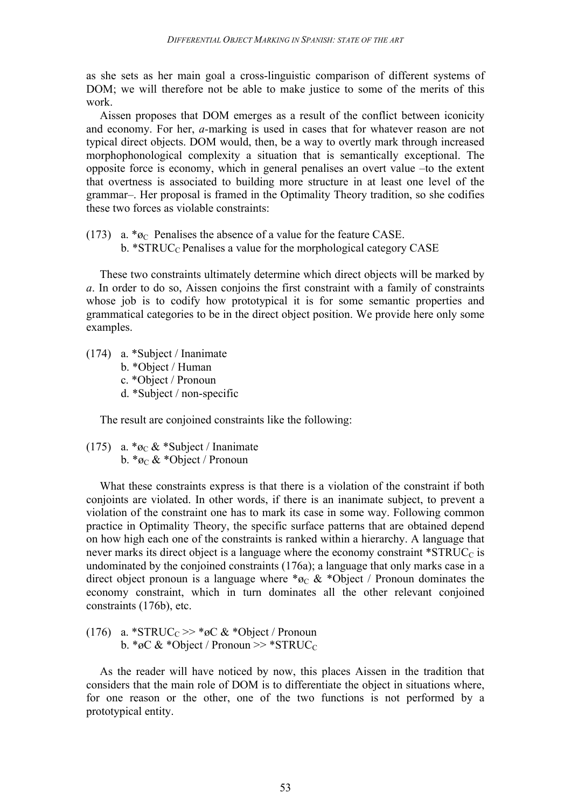as she sets as her main goal a cross-linguistic comparison of different systems of DOM; we will therefore not be able to make justice to some of the merits of this work.

Aissen proposes that DOM emerges as a result of the conflict between iconicity and economy. For her, *a-*marking is used in cases that for whatever reason are not typical direct objects. DOM would, then, be a way to overtly mark through increased morphophonological complexity a situation that is semantically exceptional. The opposite force is economy, which in general penalises an overt value –to the extent that overtness is associated to building more structure in at least one level of the grammar–. Her proposal is framed in the Optimality Theory tradition, so she codifies these two forces as violable constraints:

(173) a.  $*_{\mathcal{O}C}$  Penalises the absence of a value for the feature CASE.

b. \*STRUC<sub>C</sub> Penalises a value for the morphological category CASE

These two constraints ultimately determine which direct objects will be marked by *a*. In order to do so, Aissen conjoins the first constraint with a family of constraints whose job is to codify how prototypical it is for some semantic properties and grammatical categories to be in the direct object position. We provide here only some examples.

- (174) a. \*Subject / Inanimate
	- b. \*Object / Human
	- c. \*Object / Pronoun
	- d. \*Subject / non-specific

The result are conjoined constraints like the following:

(175) a.  $*_{\mathcal{O}C} \& ^* \text{Subject} / \text{Inanimate}$ b.  $*_{\mathfrak{O}_C} \& *Object$  / Pronoun

What these constraints express is that there is a violation of the constraint if both conjoints are violated. In other words, if there is an inanimate subject, to prevent a violation of the constraint one has to mark its case in some way. Following common practice in Optimality Theory, the specific surface patterns that are obtained depend on how high each one of the constraints is ranked within a hierarchy. A language that never marks its direct object is a language where the economy constraint  $^*STRUC_C$  is undominated by the conjoined constraints (176a); a language that only marks case in a direct object pronoun is a language where  $*_\mathcal{O}_C \& ^*$ Object / Pronoun dominates the economy constraint, which in turn dominates all the other relevant conjoined constraints (176b), etc.

(176) a. \*STRUC<sub>C</sub> >> \* $\alpha \infty$  \*Object / Pronoun b. \*øC & \*Object / Pronoun >> \*STRUC<sub>C</sub>

As the reader will have noticed by now, this places Aissen in the tradition that considers that the main role of DOM is to differentiate the object in situations where, for one reason or the other, one of the two functions is not performed by a prototypical entity.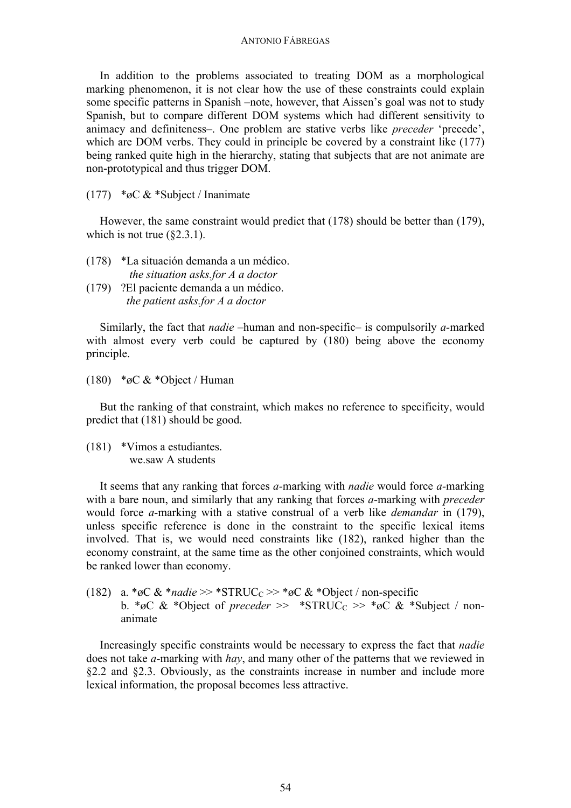#### ANTONIO FÁBREGAS

In addition to the problems associated to treating DOM as a morphological marking phenomenon, it is not clear how the use of these constraints could explain some specific patterns in Spanish –note, however, that Aissen's goal was not to study Spanish, but to compare different DOM systems which had different sensitivity to animacy and definiteness–. One problem are stative verbs like *preceder* 'precede', which are DOM verbs. They could in principle be covered by a constraint like (177) being ranked quite high in the hierarchy, stating that subjects that are not animate are non-prototypical and thus trigger DOM.

(177) \*øC & \*Subject / Inanimate

However, the same constraint would predict that (178) should be better than (179), which is not true  $(\$2.3.1)$ .

- (178) \*La situación demanda a un médico.  *the situation asks.for A a doctor*
- (179) ?El paciente demanda a un médico. *the patient asks.for A a doctor*

Similarly, the fact that *nadie* –human and non-specific– is compulsorily *a-*marked with almost every verb could be captured by (180) being above the economy principle.

(180) \*øC & \*Object / Human

But the ranking of that constraint, which makes no reference to specificity, would predict that (181) should be good.

(181) \*Vimos a estudiantes. we.saw A students

It seems that any ranking that forces *a-*marking with *nadie* would force *a-*marking with a bare noun, and similarly that any ranking that forces *a-*marking with *preceder* would force *a-*marking with a stative construal of a verb like *demandar* in (179), unless specific reference is done in the constraint to the specific lexical items involved. That is, we would need constraints like (182), ranked higher than the economy constraint, at the same time as the other conjoined constraints, which would be ranked lower than economy.

(182) a. \*øC & \**nadie* >> \*STRUC<sub>C</sub> >> \*øC & \*Object / non-specific b. \*øC & \*Object of *preceder* >> \*STRUC<sub>C</sub> >> \*øC & \*Subject / nonanimate

Increasingly specific constraints would be necessary to express the fact that *nadie*  does not take *a-*marking with *hay*, and many other of the patterns that we reviewed in §2.2 and §2.3. Obviously, as the constraints increase in number and include more lexical information, the proposal becomes less attractive.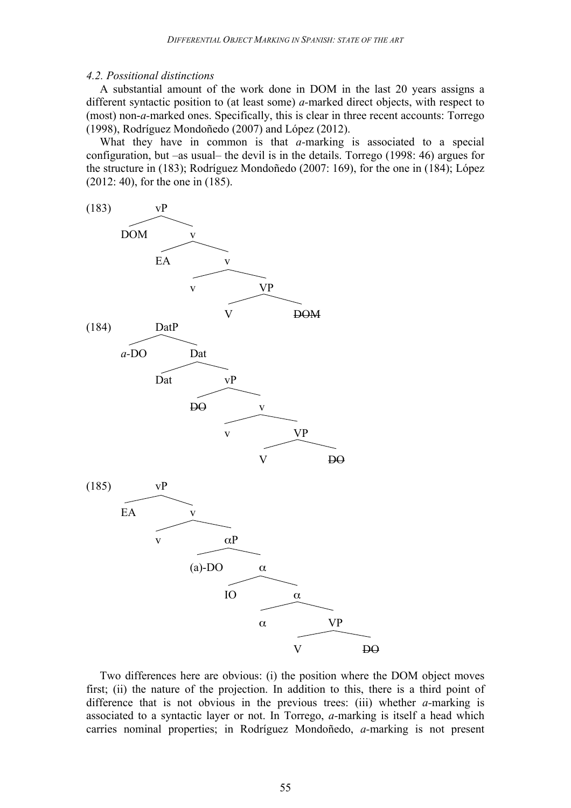#### *4.2. Possitional distinctions*

A substantial amount of the work done in DOM in the last 20 years assigns a different syntactic position to (at least some) *a-*marked direct objects, with respect to (most) non-*a-*marked ones. Specifically, this is clear in three recent accounts: Torrego (1998), Rodríguez Mondoñedo (2007) and López (2012).

What they have in common is that *a-*marking is associated to a special configuration, but –as usual– the devil is in the details. Torrego (1998: 46) argues for the structure in (183); Rodríguez Mondoñedo (2007: 169), for the one in (184); López (2012: 40), for the one in (185).



Two differences here are obvious: (i) the position where the DOM object moves first; (ii) the nature of the projection. In addition to this, there is a third point of difference that is not obvious in the previous trees: (iii) whether *a-*marking is associated to a syntactic layer or not. In Torrego, *a-*marking is itself a head which carries nominal properties; in Rodríguez Mondoñedo, *a-*marking is not present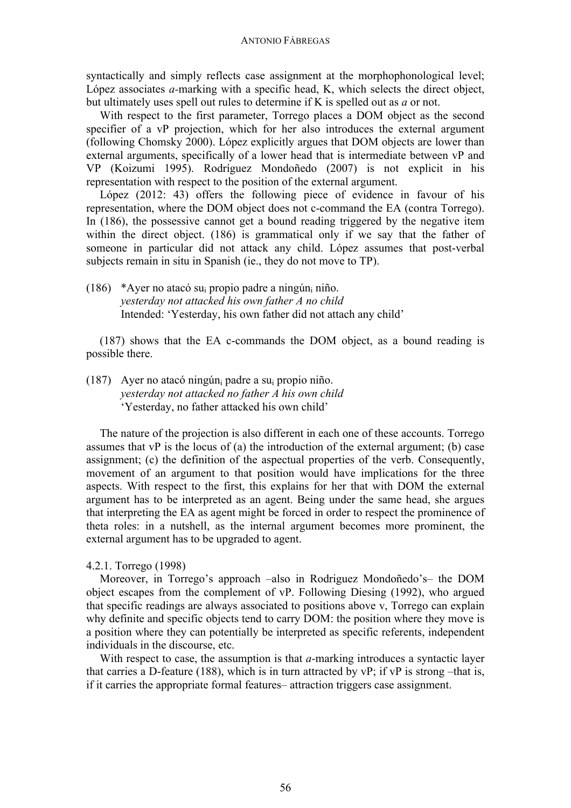syntactically and simply reflects case assignment at the morphophonological level; López associates *a-*marking with a specific head, K, which selects the direct object, but ultimately uses spell out rules to determine if K is spelled out as *a* or not.

With respect to the first parameter, Torrego places a DOM object as the second specifier of a vP projection, which for her also introduces the external argument (following Chomsky 2000). López explicitly argues that DOM objects are lower than external arguments, specifically of a lower head that is intermediate between vP and VP (Koizumi 1995). Rodríguez Mondoñedo (2007) is not explicit in his representation with respect to the position of the external argument.

López (2012: 43) offers the following piece of evidence in favour of his representation, where the DOM object does not c-command the EA (contra Torrego). In (186), the possessive cannot get a bound reading triggered by the negative item within the direct object. (186) is grammatical only if we say that the father of someone in particular did not attack any child. López assumes that post-verbal subjects remain in situ in Spanish (ie., they do not move to TP).

(186) \*Ayer no atacó su<sub>i</sub> propio padre a ningún<sub>i</sub> niño. *yesterday not attacked his own father A no child* Intended: 'Yesterday, his own father did not attach any child'

(187) shows that the EA c-commands the DOM object, as a bound reading is possible there.

(187) Ayer no atacó ningúni padre a sui propio niño. *yesterday not attacked no father A his own child* 'Yesterday, no father attacked his own child'

The nature of the projection is also different in each one of these accounts. Torrego assumes that vP is the locus of (a) the introduction of the external argument; (b) case assignment; (c) the definition of the aspectual properties of the verb. Consequently, movement of an argument to that position would have implications for the three aspects. With respect to the first, this explains for her that with DOM the external argument has to be interpreted as an agent. Being under the same head, she argues that interpreting the EA as agent might be forced in order to respect the prominence of theta roles: in a nutshell, as the internal argument becomes more prominent, the external argument has to be upgraded to agent.

## 4.2.1. Torrego (1998)

Moreover, in Torrego's approach –also in Rodriguez Mondoñedo's– the DOM object escapes from the complement of vP. Following Diesing (1992), who argued that specific readings are always associated to positions above v, Torrego can explain why definite and specific objects tend to carry DOM: the position where they move is a position where they can potentially be interpreted as specific referents, independent individuals in the discourse, etc.

With respect to case, the assumption is that *a-*marking introduces a syntactic layer that carries a D-feature (188), which is in turn attracted by  $vP$ ; if  $vP$  is strong –that is, if it carries the appropriate formal features– attraction triggers case assignment.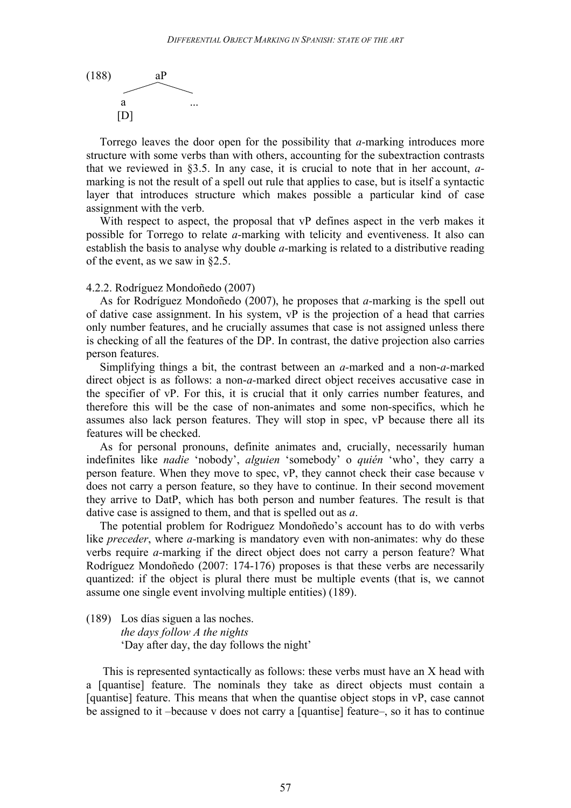

Torrego leaves the door open for the possibility that *a-*marking introduces more structure with some verbs than with others, accounting for the subextraction contrasts that we reviewed in §3.5. In any case, it is crucial to note that in her account, *a*marking is not the result of a spell out rule that applies to case, but is itself a syntactic layer that introduces structure which makes possible a particular kind of case assignment with the verb.

With respect to aspect, the proposal that vP defines aspect in the verb makes it possible for Torrego to relate *a-*marking with telicity and eventiveness. It also can establish the basis to analyse why double *a-*marking is related to a distributive reading of the event, as we saw in §2.5.

### 4.2.2. Rodríguez Mondoñedo (2007)

As for Rodríguez Mondoñedo (2007), he proposes that *a-*marking is the spell out of dative case assignment. In his system, vP is the projection of a head that carries only number features, and he crucially assumes that case is not assigned unless there is checking of all the features of the DP. In contrast, the dative projection also carries person features.

Simplifying things a bit, the contrast between an *a-*marked and a non-*a-*marked direct object is as follows: a non-*a-*marked direct object receives accusative case in the specifier of vP. For this, it is crucial that it only carries number features, and therefore this will be the case of non-animates and some non-specifics, which he assumes also lack person features. They will stop in spec, vP because there all its features will be checked.

As for personal pronouns, definite animates and, crucially, necessarily human indefinites like *nadie* 'nobody', *alguien* 'somebody' o *quién* 'who', they carry a person feature. When they move to spec, vP, they cannot check their case because v does not carry a person feature, so they have to continue. In their second movement they arrive to DatP, which has both person and number features. The result is that dative case is assigned to them, and that is spelled out as *a*.

The potential problem for Rodriguez Mondoñedo's account has to do with verbs like *preceder*, where *a-*marking is mandatory even with non-animates: why do these verbs require *a-*marking if the direct object does not carry a person feature? What Rodríguez Mondoñedo (2007: 174-176) proposes is that these verbs are necessarily quantized: if the object is plural there must be multiple events (that is, we cannot assume one single event involving multiple entities) (189).

(189) Los días siguen a las noches. *the days follow A the nights* 'Day after day, the day follows the night'

This is represented syntactically as follows: these verbs must have an X head with a [quantise] feature. The nominals they take as direct objects must contain a [quantise] feature. This means that when the quantise object stops in vP, case cannot be assigned to it –because v does not carry a [quantise] feature–, so it has to continue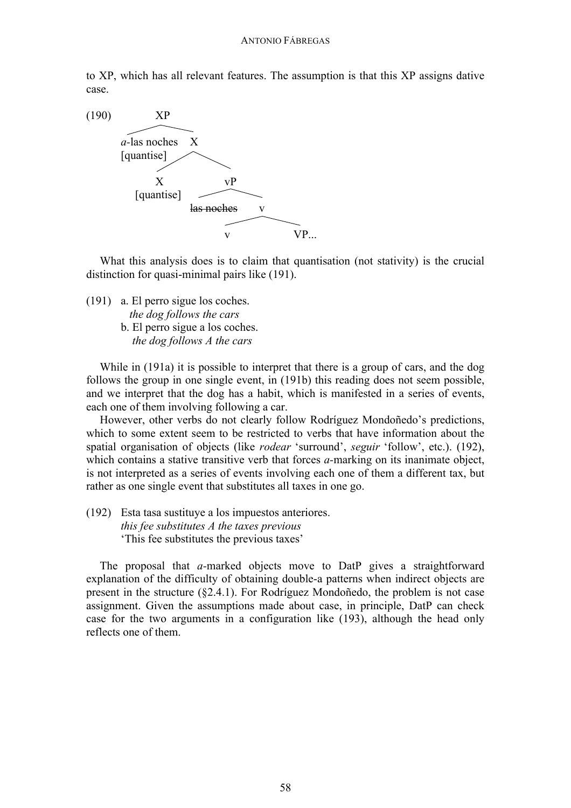to XP, which has all relevant features. The assumption is that this XP assigns dative case.



What this analysis does is to claim that quantisation (not stativity) is the crucial distinction for quasi-minimal pairs like (191).

(191) a. El perro sigue los coches.  *the dog follows the cars* b. El perro sigue a los coches.  *the dog follows A the cars*

While in (191a) it is possible to interpret that there is a group of cars, and the dog follows the group in one single event, in (191b) this reading does not seem possible, and we interpret that the dog has a habit, which is manifested in a series of events, each one of them involving following a car.

However, other verbs do not clearly follow Rodríguez Mondoñedo's predictions, which to some extent seem to be restricted to verbs that have information about the spatial organisation of objects (like *rodear* 'surround', *seguir* 'follow', etc.). (192), which contains a stative transitive verb that forces *a*-marking on its inanimate object, is not interpreted as a series of events involving each one of them a different tax, but rather as one single event that substitutes all taxes in one go.

(192) Esta tasa sustituye a los impuestos anteriores. *this fee substitutes A the taxes previous* 'This fee substitutes the previous taxes'

The proposal that *a-*marked objects move to DatP gives a straightforward explanation of the difficulty of obtaining double-a patterns when indirect objects are present in the structure (§2.4.1). For Rodríguez Mondoñedo, the problem is not case assignment. Given the assumptions made about case, in principle, DatP can check case for the two arguments in a configuration like (193), although the head only reflects one of them.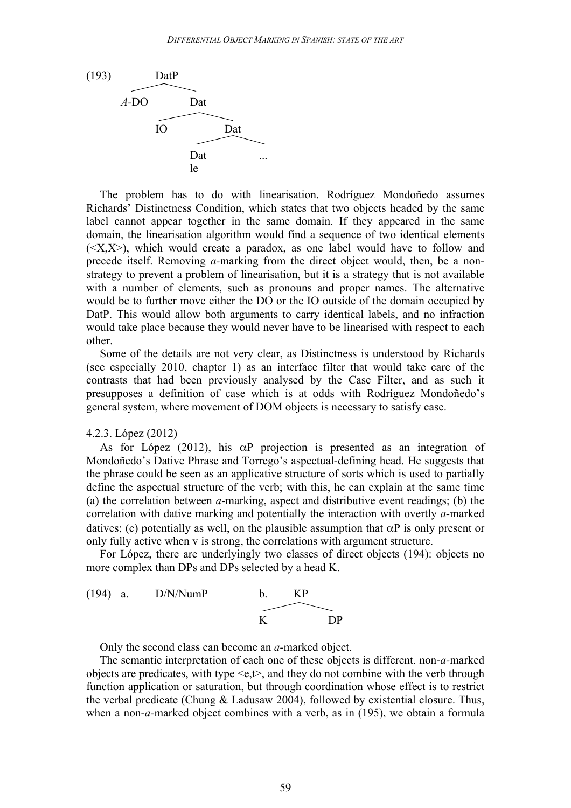

The problem has to do with linearisation. Rodríguez Mondoñedo assumes Richards' Distinctness Condition, which states that two objects headed by the same label cannot appear together in the same domain. If they appeared in the same domain, the linearisation algorithm would find a sequence of two identical elements  $(\langle X, X \rangle)$ , which would create a paradox, as one label would have to follow and precede itself. Removing *a-*marking from the direct object would, then, be a nonstrategy to prevent a problem of linearisation, but it is a strategy that is not available with a number of elements, such as pronouns and proper names. The alternative would be to further move either the DO or the IO outside of the domain occupied by DatP. This would allow both arguments to carry identical labels, and no infraction would take place because they would never have to be linearised with respect to each other.

Some of the details are not very clear, as Distinctness is understood by Richards (see especially 2010, chapter 1) as an interface filter that would take care of the contrasts that had been previously analysed by the Case Filter, and as such it presupposes a definition of case which is at odds with Rodríguez Mondoñedo's general system, where movement of DOM objects is necessary to satisfy case.

#### 4.2.3. López (2012)

As for López (2012), his  $\alpha P$  projection is presented as an integration of Mondoñedo's Dative Phrase and Torrego's aspectual-defining head. He suggests that the phrase could be seen as an applicative structure of sorts which is used to partially define the aspectual structure of the verb; with this, he can explain at the same time (a) the correlation between *a-*marking, aspect and distributive event readings; (b) the correlation with dative marking and potentially the interaction with overtly *a-*marked datives; (c) potentially as well, on the plausible assumption that  $\alpha P$  is only present or only fully active when v is strong, the correlations with argument structure.

For López, there are underlyingly two classes of direct objects (194): objects no more complex than DPs and DPs selected by a head K.



Only the second class can become an *a-*marked object.

The semantic interpretation of each one of these objects is different. non-*a-*marked objects are predicates, with type  $\leq e, t$ , and they do not combine with the verb through function application or saturation, but through coordination whose effect is to restrict the verbal predicate (Chung & Ladusaw 2004), followed by existential closure. Thus, when a non-*a-*marked object combines with a verb, as in (195), we obtain a formula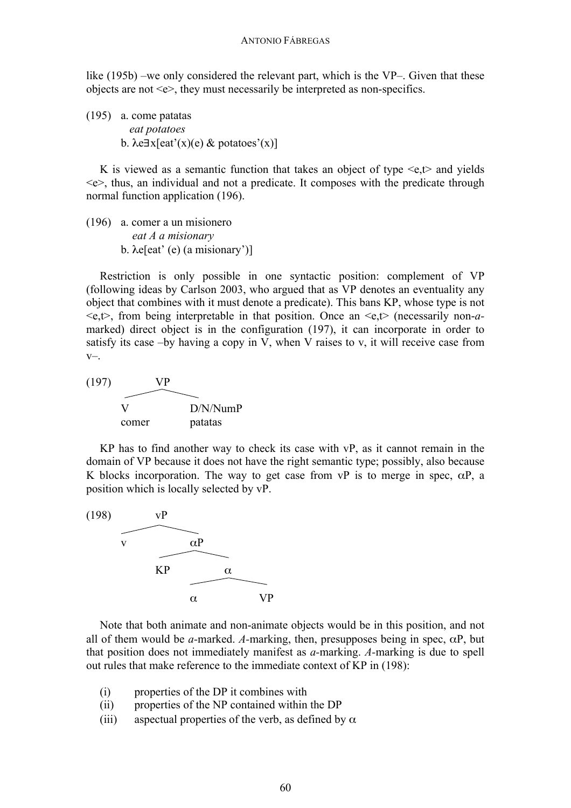like (195b) –we only considered the relevant part, which is the VP–. Given that these objects are not <e>, they must necessarily be interpreted as non-specifics.

(195) a. come patatas *eat potatoes* b.  $\lambda e \exists x [eat'(x)(e) \& potatoes'(x)]$ 

K is viewed as a semantic function that takes an object of type  $\leq t$  and yields <e>, thus, an individual and not a predicate. It composes with the predicate through normal function application (196).

(196) a. comer a un misionero *eat A a misionary* b. λe[eat' (e) (a misionary')]

Restriction is only possible in one syntactic position: complement of VP (following ideas by Carlson 2003, who argued that as VP denotes an eventuality any object that combines with it must denote a predicate). This bans KP, whose type is not <e,t>, from being interpretable in that position. Once an <e,t> (necessarily non-*a*marked) direct object is in the configuration (197), it can incorporate in order to satisfy its case –by having a copy in V, when V raises to v, it will receive case from v–.



KP has to find another way to check its case with vP, as it cannot remain in the domain of VP because it does not have the right semantic type; possibly, also because K blocks incorporation. The way to get case from  $VP$  is to merge in spec,  $\alpha P$ , a position which is locally selected by vP.



Note that both animate and non-animate objects would be in this position, and not all of them would be *a*-marked. *A*-marking, then, presupposes being in spec,  $\alpha P$ , but that position does not immediately manifest as *a-*marking. *A-*marking is due to spell out rules that make reference to the immediate context of KP in (198):

- (i) properties of the DP it combines with
- (ii) properties of the NP contained within the DP
- (iii) aspectual properties of the verb, as defined by  $\alpha$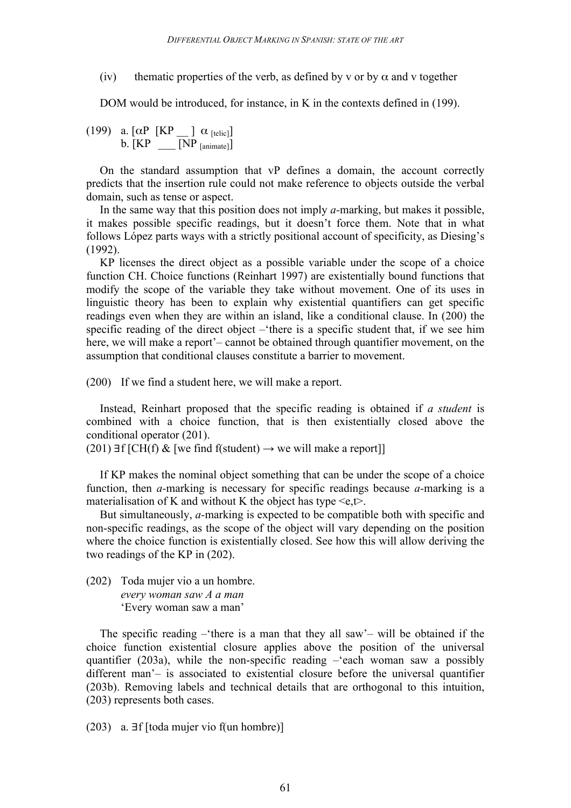(iv) thematic properties of the verb, as defined by v or by  $\alpha$  and v together

DOM would be introduced, for instance, in K in the contexts defined in (199).

(199) a.  $\lceil \alpha P \rceil$   $\lceil K P \rceil$   $\lceil \alpha \rceil$  [telic]  $b. [KP \t[NP_{\text{lanimate}}]]$ 

On the standard assumption that vP defines a domain, the account correctly predicts that the insertion rule could not make reference to objects outside the verbal domain, such as tense or aspect.

In the same way that this position does not imply *a-*marking, but makes it possible, it makes possible specific readings, but it doesn't force them. Note that in what follows López parts ways with a strictly positional account of specificity, as Diesing's (1992).

KP licenses the direct object as a possible variable under the scope of a choice function CH. Choice functions (Reinhart 1997) are existentially bound functions that modify the scope of the variable they take without movement. One of its uses in linguistic theory has been to explain why existential quantifiers can get specific readings even when they are within an island, like a conditional clause. In (200) the specific reading of the direct object –'there is a specific student that, if we see him here, we will make a report'– cannot be obtained through quantifier movement, on the assumption that conditional clauses constitute a barrier to movement.

(200) If we find a student here, we will make a report.

Instead, Reinhart proposed that the specific reading is obtained if *a student* is combined with a choice function, that is then existentially closed above the conditional operator (201).

(201) ∃f [CH(f) & [we find f(student)  $\rightarrow$  we will make a report]]

If KP makes the nominal object something that can be under the scope of a choice function, then *a-*marking is necessary for specific readings because *a-*marking is a materialisation of K and without K the object has type  $\leq e, t$ .

But simultaneously, *a-*marking is expected to be compatible both with specific and non-specific readings, as the scope of the object will vary depending on the position where the choice function is existentially closed. See how this will allow deriving the two readings of the KP in (202).

(202) Toda mujer vio a un hombre. *every woman saw A a man* 'Every woman saw a man'

The specific reading  $-\hat{ }$  there is a man that they all saw'– will be obtained if the choice function existential closure applies above the position of the universal quantifier (203a), while the non-specific reading –'each woman saw a possibly different man'– is associated to existential closure before the universal quantifier (203b). Removing labels and technical details that are orthogonal to this intuition, (203) represents both cases.

(203) a. ∃f [toda mujer vio f(un hombre)]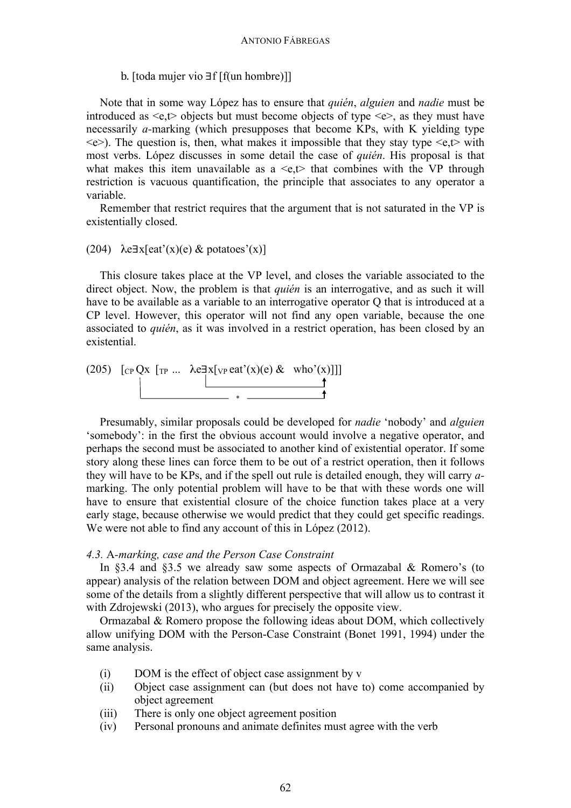### b. [toda mujer vio ∃f [f(un hombre)]]

Note that in some way López has to ensure that *quién*, *alguien* and *nadie* must be introduced as  $\leq e, t$  objects but must become objects of type  $\leq e$ , as they must have necessarily *a-*marking (which presupposes that become KPs, with K yielding type  $\leq e$ ). The question is, then, what makes it impossible that they stay type  $\leq e, t$  with most verbs. López discusses in some detail the case of *quién*. His proposal is that what makes this item unavailable as a  $\leq t$  that combines with the VP through restriction is vacuous quantification, the principle that associates to any operator a variable.

Remember that restrict requires that the argument that is not saturated in the VP is existentially closed.

### (204)  $\lambda e \exists x [eat'(x)(e) \& potatoes'(x)]$

This closure takes place at the VP level, and closes the variable associated to the direct object. Now, the problem is that *quién* is an interrogative, and as such it will have to be available as a variable to an interrogative operator Q that is introduced at a CP level. However, this operator will not find any open variable, because the one associated to *quién*, as it was involved in a restrict operation, has been closed by an existential.

(205) 
$$
\begin{bmatrix} \text{CP QX} & \text{TP} \dots & \text{Re} \frac{\exists x [\text{VP} \text{ eat'}(x)(e) & \text{who'}(x)] \end{bmatrix}
$$

Presumably, similar proposals could be developed for *nadie* 'nobody' and *alguien* 'somebody': in the first the obvious account would involve a negative operator, and perhaps the second must be associated to another kind of existential operator. If some story along these lines can force them to be out of a restrict operation, then it follows they will have to be KPs, and if the spell out rule is detailed enough, they will carry *a*marking. The only potential problem will have to be that with these words one will have to ensure that existential closure of the choice function takes place at a very early stage, because otherwise we would predict that they could get specific readings. We were not able to find any account of this in López (2012).

### *4.3.* A*-marking, case and the Person Case Constraint*

In §3.4 and §3.5 we already saw some aspects of Ormazabal & Romero's (to appear) analysis of the relation between DOM and object agreement. Here we will see some of the details from a slightly different perspective that will allow us to contrast it with Zdrojewski (2013), who argues for precisely the opposite view.

Ormazabal & Romero propose the following ideas about DOM, which collectively allow unifying DOM with the Person-Case Constraint (Bonet 1991, 1994) under the same analysis.

- (i) DOM is the effect of object case assignment by v
- (ii) Object case assignment can (but does not have to) come accompanied by object agreement
- (iii) There is only one object agreement position
- (iv) Personal pronouns and animate definites must agree with the verb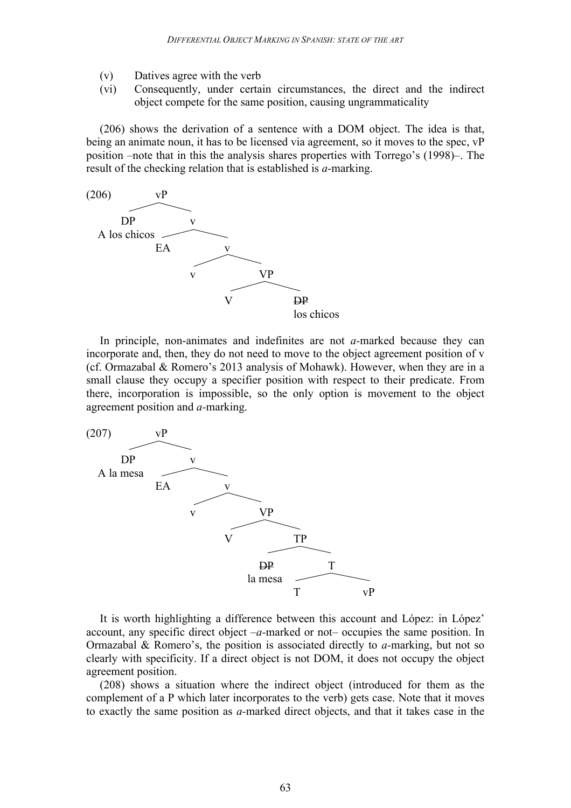- (v) Datives agree with the verb
- (vi) Consequently, under certain circumstances, the direct and the indirect object compete for the same position, causing ungrammaticality

(206) shows the derivation of a sentence with a DOM object. The idea is that, being an animate noun, it has to be licensed via agreement, so it moves to the spec, vP position –note that in this the analysis shares properties with Torrego's (1998)–. The result of the checking relation that is established is *a-*marking.



In principle, non-animates and indefinites are not *a-*marked because they can incorporate and, then, they do not need to move to the object agreement position of v (cf. Ormazabal & Romero's 2013 analysis of Mohawk). However, when they are in a small clause they occupy a specifier position with respect to their predicate. From there, incorporation is impossible, so the only option is movement to the object agreement position and *a-*marking.



It is worth highlighting a difference between this account and López: in López' account, any specific direct object –*a-*marked or not– occupies the same position. In Ormazabal & Romero's, the position is associated directly to *a-*marking, but not so clearly with specificity. If a direct object is not DOM, it does not occupy the object agreement position.

(208) shows a situation where the indirect object (introduced for them as the complement of a P which later incorporates to the verb) gets case. Note that it moves to exactly the same position as *a-*marked direct objects, and that it takes case in the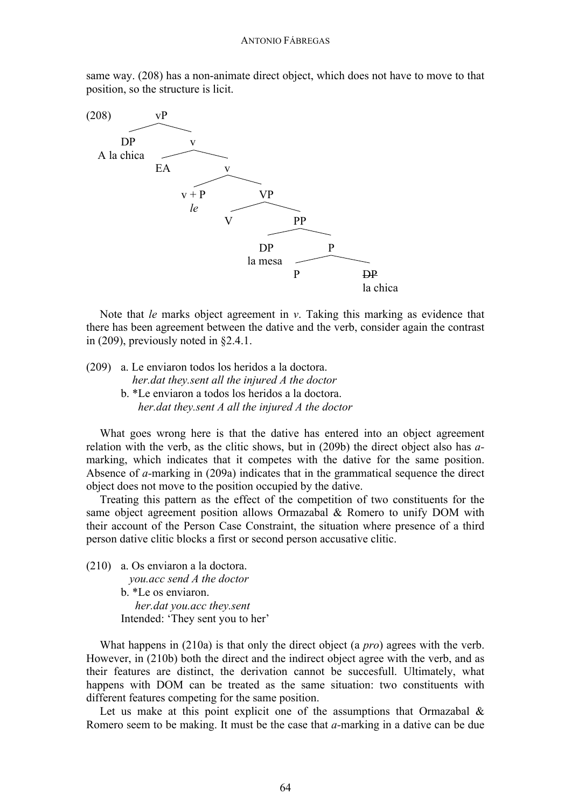same way. (208) has a non-animate direct object, which does not have to move to that position, so the structure is licit.



Note that *le* marks object agreement in *v*. Taking this marking as evidence that there has been agreement between the dative and the verb, consider again the contrast in (209), previously noted in §2.4.1.

(209) a. Le enviaron todos los heridos a la doctora. *her.dat they.sent all the injured A the doctor*

> b. \*Le enviaron a todos los heridos a la doctora. *her.dat they.sent A all the injured A the doctor*

What goes wrong here is that the dative has entered into an object agreement relation with the verb, as the clitic shows, but in (209b) the direct object also has *a*marking, which indicates that it competes with the dative for the same position. Absence of *a-*marking in (209a) indicates that in the grammatical sequence the direct object does not move to the position occupied by the dative.

Treating this pattern as the effect of the competition of two constituents for the same object agreement position allows Ormazabal & Romero to unify DOM with their account of the Person Case Constraint, the situation where presence of a third person dative clitic blocks a first or second person accusative clitic.

(210) a. Os enviaron a la doctora. *you.acc send A the doctor* b. \*Le os enviaron. *her.dat you.acc they.sent* Intended: 'They sent you to her'

What happens in (210a) is that only the direct object (a *pro*) agrees with the verb. However, in (210b) both the direct and the indirect object agree with the verb, and as their features are distinct, the derivation cannot be succesfull. Ultimately, what happens with DOM can be treated as the same situation: two constituents with different features competing for the same position.

Let us make at this point explicit one of the assumptions that Ormazabal  $\&$ Romero seem to be making. It must be the case that *a-*marking in a dative can be due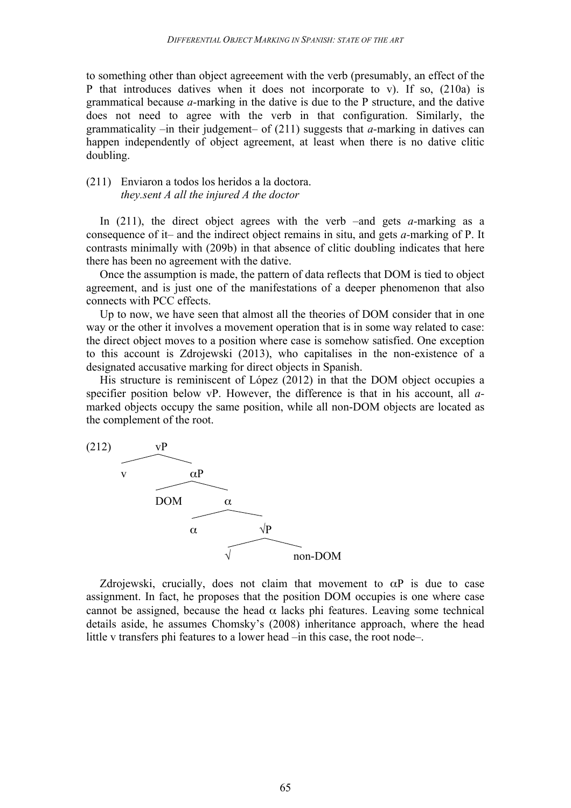to something other than object agreeement with the verb (presumably, an effect of the P that introduces datives when it does not incorporate to v). If so, (210a) is grammatical because *a-*marking in the dative is due to the P structure, and the dative does not need to agree with the verb in that configuration. Similarly, the grammaticality –in their judgement– of (211) suggests that *a-*marking in datives can happen independently of object agreement, at least when there is no dative clitic doubling.

## (211) Enviaron a todos los heridos a la doctora. *they.sent A all the injured A the doctor*

In (211), the direct object agrees with the verb –and gets *a-*marking as a consequence of it– and the indirect object remains in situ, and gets *a-*marking of P. It contrasts minimally with (209b) in that absence of clitic doubling indicates that here there has been no agreement with the dative.

Once the assumption is made, the pattern of data reflects that DOM is tied to object agreement, and is just one of the manifestations of a deeper phenomenon that also connects with PCC effects.

Up to now, we have seen that almost all the theories of DOM consider that in one way or the other it involves a movement operation that is in some way related to case: the direct object moves to a position where case is somehow satisfied. One exception to this account is Zdrojewski (2013), who capitalises in the non-existence of a designated accusative marking for direct objects in Spanish.

His structure is reminiscent of López (2012) in that the DOM object occupies a specifier position below vP. However, the difference is that in his account, all *a*marked objects occupy the same position, while all non-DOM objects are located as the complement of the root.



Zdrojewski, crucially, does not claim that movement to  $\alpha P$  is due to case assignment. In fact, he proposes that the position DOM occupies is one where case cannot be assigned, because the head  $\alpha$  lacks phi features. Leaving some technical details aside, he assumes Chomsky's (2008) inheritance approach, where the head little v transfers phi features to a lower head –in this case, the root node–.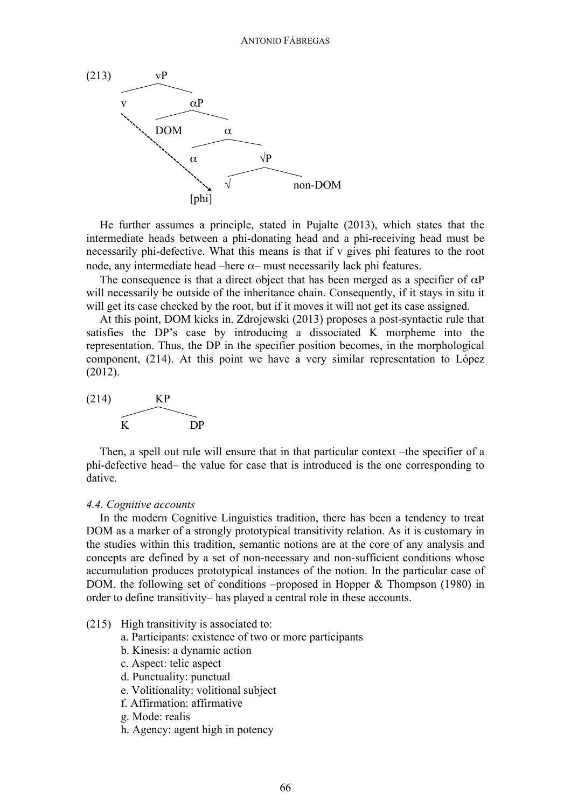

He further assumes a principle, stated in Pujalte (2013), which states that the intermediate heads between a phi-donating head and a phi-receiving head must be necessarily phi-defective. What this means is that if v gives phi features to the root node, any intermediate head –here α– must necessarily lack phi features.

The consequence is that a direct object that has been merged as a specifier of  $\alpha P$ will necessarily be outside of the inheritance chain. Consequently, if it stays in situ it will get its case checked by the root, but if it moves it will not get its case assigned.

At this point, DOM kicks in. Zdrojewski (2013) proposes a post-syntactic rule that satisfies the DP's case by introducing a dissociated K morpheme into the representation. Thus, the DP in the specifier position becomes, in the morphological component, (214). At this point we have a very similar representation to López (2012).



Then, a spell out rule will ensure that in that particular context –the specifier of a phi-defective head– the value for case that is introduced is the one corresponding to dative.

### *4.4. Cognitive accounts*

In the modern Cognitive Linguistics tradition, there has been a tendency to treat DOM as a marker of a strongly prototypical transitivity relation. As it is customary in the studies within this tradition, semantic notions are at the core of any analysis and concepts are defined by a set of non-necessary and non-sufficient conditions whose accumulation produces prototypical instances of the notion. In the particular case of DOM, the following set of conditions –proposed in Hopper & Thompson (1980) in order to define transitivity– has played a central role in these accounts.

- (215) High transitivity is associated to:
	- a. Participants: existence of two or more participants
	- b. Kinesis: a dynamic action
	- c. Aspect: telic aspect
	- d. Punctuality: punctual
	- e. Volitionality: volitional subject
	- f. Affirmation: affirmative
	- g. Mode: realis
	- h. Agency: agent high in potency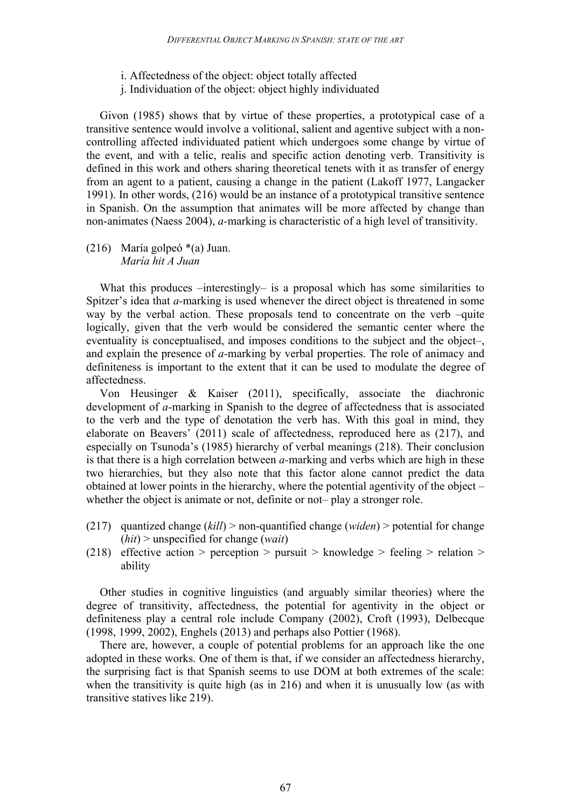- i. Affectedness of the object: object totally affected
- j. Individuation of the object: object highly individuated

Givon (1985) shows that by virtue of these properties, a prototypical case of a transitive sentence would involve a volitional, salient and agentive subject with a noncontrolling affected individuated patient which undergoes some change by virtue of the event, and with a telic, realis and specific action denoting verb. Transitivity is defined in this work and others sharing theoretical tenets with it as transfer of energy from an agent to a patient, causing a change in the patient (Lakoff 1977, Langacker 1991). In other words, (216) would be an instance of a prototypical transitive sentence in Spanish. On the assumption that animates will be more affected by change than non-animates (Naess 2004), *a-*marking is characteristic of a high level of transitivity.

(216) María golpeó \*(a) Juan. *María hit A Juan*

What this produces  $-interstiny V -$  is a proposal which has some similarities to Spitzer's idea that *a-*marking is used whenever the direct object is threatened in some way by the verbal action. These proposals tend to concentrate on the verb –quite logically, given that the verb would be considered the semantic center where the eventuality is conceptualised, and imposes conditions to the subject and the object–, and explain the presence of *a-*marking by verbal properties. The role of animacy and definiteness is important to the extent that it can be used to modulate the degree of affectedness.

Von Heusinger & Kaiser (2011), specifically, associate the diachronic development of *a-*marking in Spanish to the degree of affectedness that is associated to the verb and the type of denotation the verb has. With this goal in mind, they elaborate on Beavers' (2011) scale of affectedness, reproduced here as (217), and especially on Tsunoda's (1985) hierarchy of verbal meanings (218). Their conclusion is that there is a high correlation between *a-*marking and verbs which are high in these two hierarchies, but they also note that this factor alone cannot predict the data obtained at lower points in the hierarchy, where the potential agentivity of the object – whether the object is animate or not, definite or not– play a stronger role.

- (217) quantized change (*kill*) > non-quantified change (*widen*) > potential for change (*hit*) > unspecified for change (*wait*)
- (218) effective action > perception > pursuit > knowledge > feeling > relation > ability

Other studies in cognitive linguistics (and arguably similar theories) where the degree of transitivity, affectedness, the potential for agentivity in the object or definiteness play a central role include Company (2002), Croft (1993), Delbecque (1998, 1999, 2002), Enghels (2013) and perhaps also Pottier (1968).

There are, however, a couple of potential problems for an approach like the one adopted in these works. One of them is that, if we consider an affectedness hierarchy, the surprising fact is that Spanish seems to use DOM at both extremes of the scale: when the transitivity is quite high (as in 216) and when it is unusually low (as with transitive statives like 219).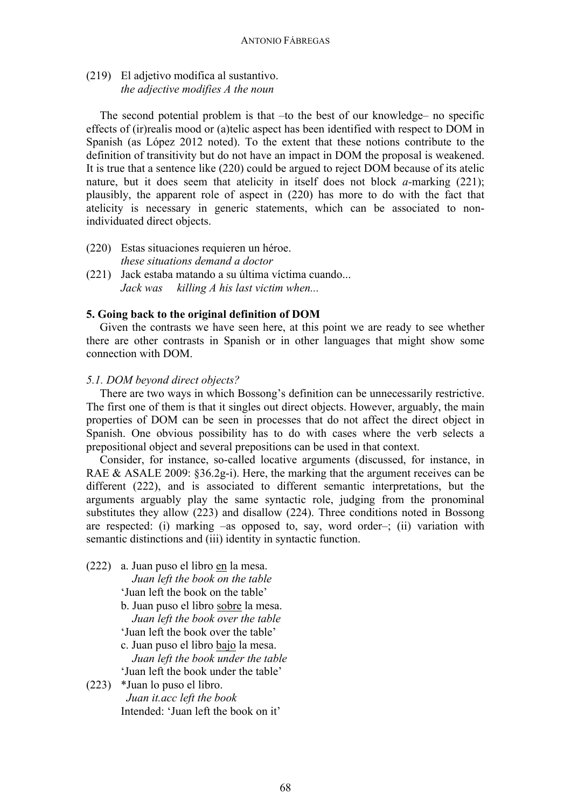(219) El adjetivo modifica al sustantivo. *the adjective modifies A the noun*

The second potential problem is that –to the best of our knowledge– no specific effects of (ir)realis mood or (a)telic aspect has been identified with respect to DOM in Spanish (as López 2012 noted). To the extent that these notions contribute to the definition of transitivity but do not have an impact in DOM the proposal is weakened. It is true that a sentence like (220) could be argued to reject DOM because of its atelic nature, but it does seem that atelicity in itself does not block *a-*marking (221); plausibly, the apparent role of aspect in (220) has more to do with the fact that atelicity is necessary in generic statements, which can be associated to nonindividuated direct objects.

- (220) Estas situaciones requieren un héroe. *these situations demand a doctor*
- (221) Jack estaba matando a su última víctima cuando... *Jack was killing A his last victim when...*

### **5. Going back to the original definition of DOM**

Given the contrasts we have seen here, at this point we are ready to see whether there are other contrasts in Spanish or in other languages that might show some connection with DOM.

## *5.1. DOM beyond direct objects?*

There are two ways in which Bossong's definition can be unnecessarily restrictive. The first one of them is that it singles out direct objects. However, arguably, the main properties of DOM can be seen in processes that do not affect the direct object in Spanish. One obvious possibility has to do with cases where the verb selects a prepositional object and several prepositions can be used in that context.

Consider, for instance, so-called locative arguments (discussed, for instance, in RAE & ASALE 2009:  $\S36.2g$ -i). Here, the marking that the argument receives can be different (222), and is associated to different semantic interpretations, but the arguments arguably play the same syntactic role, judging from the pronominal substitutes they allow (223) and disallow (224). Three conditions noted in Bossong are respected: (i) marking –as opposed to, say, word order–; (ii) variation with semantic distinctions and (iii) identity in syntactic function.

(222) a. Juan puso el libro en la mesa.

*Juan left the book on the table*

'Juan left the book on the table'

b. Juan puso el libro sobre la mesa. *Juan left the book over the table*

'Juan left the book over the table'

c. Juan puso el libro bajo la mesa. *Juan left the book under the table*

'Juan left the book under the table'

(223) \*Juan lo puso el libro. *Juan it.acc left the book* Intended: 'Juan left the book on it'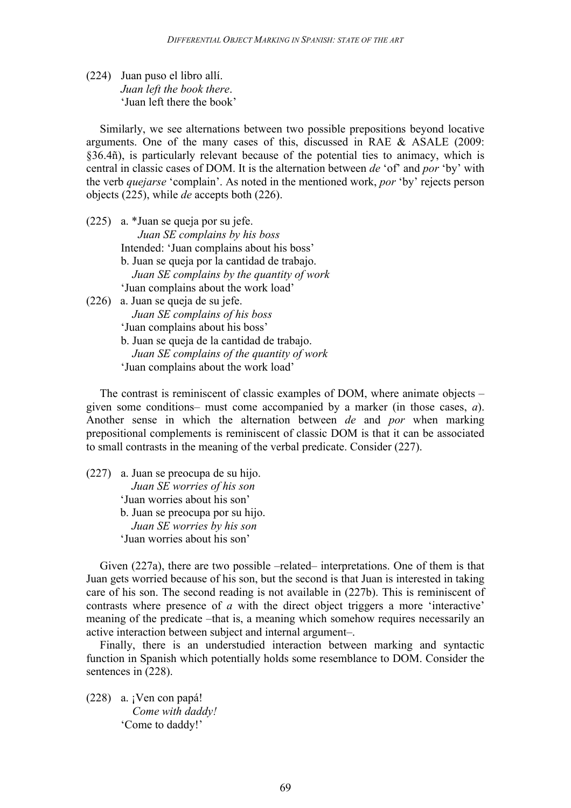(224) Juan puso el libro allí. *Juan left the book there*. 'Juan left there the book'

Similarly, we see alternations between two possible prepositions beyond locative arguments. One of the many cases of this, discussed in RAE & ASALE (2009: §36.4ñ), is particularly relevant because of the potential ties to animacy, which is central in classic cases of DOM. It is the alternation between *de* 'of' and *por* 'by' with the verb *quejarse* 'complain'. As noted in the mentioned work, *por* 'by' rejects person objects (225), while *de* accepts both (226).

- (225) a. \*Juan se queja por su jefe. *Juan SE complains by his boss* Intended: 'Juan complains about his boss' b. Juan se queja por la cantidad de trabajo. *Juan SE complains by the quantity of work* 'Juan complains about the work load'
- (226) a. Juan se queja de su jefe. *Juan SE complains of his boss* 'Juan complains about his boss' b. Juan se queja de la cantidad de trabajo. *Juan SE complains of the quantity of work* 'Juan complains about the work load'

The contrast is reminiscent of classic examples of DOM, where animate objects – given some conditions– must come accompanied by a marker (in those cases, *a*). Another sense in which the alternation between *de* and *por* when marking prepositional complements is reminiscent of classic DOM is that it can be associated to small contrasts in the meaning of the verbal predicate. Consider (227).

(227) a. Juan se preocupa de su hijo. *Juan SE worries of his son* 'Juan worries about his son' b. Juan se preocupa por su hijo. *Juan SE worries by his son* 'Juan worries about his son'

Given (227a), there are two possible –related– interpretations. One of them is that Juan gets worried because of his son, but the second is that Juan is interested in taking care of his son. The second reading is not available in (227b). This is reminiscent of contrasts where presence of *a* with the direct object triggers a more 'interactive' meaning of the predicate –that is, a meaning which somehow requires necessarily an active interaction between subject and internal argument–.

Finally, there is an understudied interaction between marking and syntactic function in Spanish which potentially holds some resemblance to DOM. Consider the sentences in (228).

(228) a. ¡Ven con papá! *Come with daddy!* 'Come to daddy!'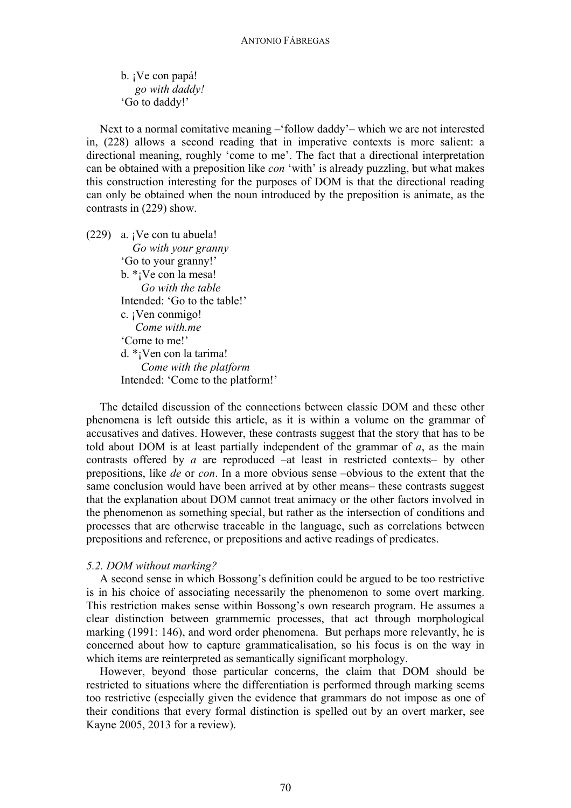b. ¡Ve con papá! *go with daddy!* 'Go to daddy!'

Next to a normal comitative meaning –'follow daddy'– which we are not interested in, (228) allows a second reading that in imperative contexts is more salient: a directional meaning, roughly 'come to me'. The fact that a directional interpretation can be obtained with a preposition like *con* 'with' is already puzzling, but what makes this construction interesting for the purposes of DOM is that the directional reading can only be obtained when the noun introduced by the preposition is animate, as the contrasts in (229) show.

 $(229)$  a. ¡Ve con tu abuela! *Go with your granny* 'Go to your granny!' b. \*¡Ve con la mesa! *Go with the table* Intended: 'Go to the table!' c. ¡Ven conmigo! *Come with.me* 'Come to me!' d. \*¡Ven con la tarima! *Come with the platform* Intended: 'Come to the platform!'

The detailed discussion of the connections between classic DOM and these other phenomena is left outside this article, as it is within a volume on the grammar of accusatives and datives. However, these contrasts suggest that the story that has to be told about DOM is at least partially independent of the grammar of *a*, as the main contrasts offered by *a* are reproduced –at least in restricted contexts– by other prepositions, like *de* or *con*. In a more obvious sense –obvious to the extent that the same conclusion would have been arrived at by other means– these contrasts suggest that the explanation about DOM cannot treat animacy or the other factors involved in the phenomenon as something special, but rather as the intersection of conditions and processes that are otherwise traceable in the language, such as correlations between prepositions and reference, or prepositions and active readings of predicates.

### *5.2. DOM without marking?*

A second sense in which Bossong's definition could be argued to be too restrictive is in his choice of associating necessarily the phenomenon to some overt marking. This restriction makes sense within Bossong's own research program. He assumes a clear distinction between grammemic processes, that act through morphological marking (1991: 146), and word order phenomena. But perhaps more relevantly, he is concerned about how to capture grammaticalisation, so his focus is on the way in which items are reinterpreted as semantically significant morphology.

However, beyond those particular concerns, the claim that DOM should be restricted to situations where the differentiation is performed through marking seems too restrictive (especially given the evidence that grammars do not impose as one of their conditions that every formal distinction is spelled out by an overt marker, see Kayne 2005, 2013 for a review).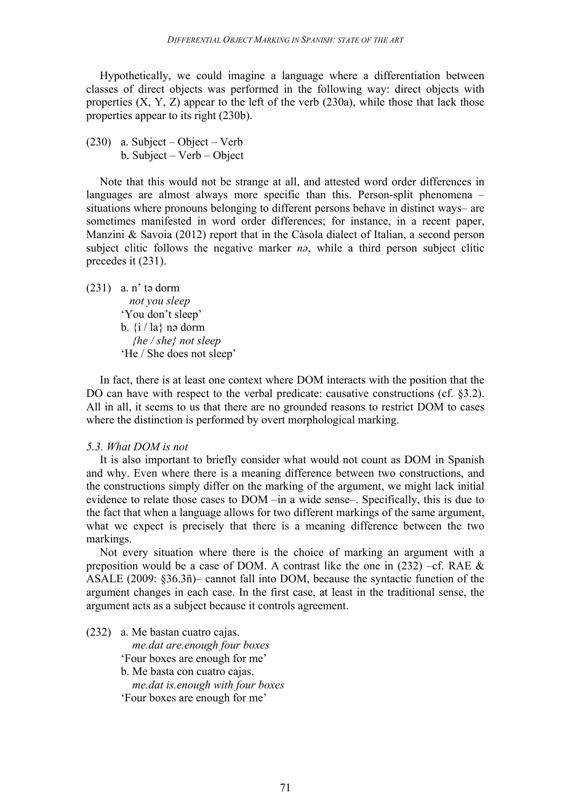Hypothetically, we could imagine a language where a differentiation between classes of direct objects was performed in the following way: direct objects with properties  $(X, Y, Z)$  appear to the left of the verb  $(230a)$ , while those that lack those properties appear to its right (230b).

(230) a. Subject – Object – Verb b. Subject – Verb – Object

Note that this would not be strange at all, and attested word order differences in languages are almost always more specific than this. Person-split phenomena – situations where pronouns belonging to different persons behave in distinct ways– are sometimes manifested in word order differences; for instance, in a recent paper, Manzini & Savoia (2012) report that in the Càsola dialect of Italian, a second person subject clitic follows the negative marker *n*<sup> $\theta$ </sup>, while a third person subject clitic precedes it (231).

 $(231)$  a. n' tǝ dorm  *not you sleep* 'You don't sleep' b.  $\{i / la\}$  nə dorm *{he / she} not sleep* 'He / She does not sleep'

In fact, there is at least one context where DOM interacts with the position that the DO can have with respect to the verbal predicate: causative constructions (cf. §3.2). All in all, it seems to us that there are no grounded reasons to restrict DOM to cases where the distinction is performed by overt morphological marking.

#### *5.3. What DOM is not*

It is also important to briefly consider what would not count as DOM in Spanish and why. Even where there is a meaning difference between two constructions, and the constructions simply differ on the marking of the argument, we might lack initial evidence to relate those cases to DOM –in a wide sense–. Specifically, this is due to the fact that when a language allows for two different markings of the same argument, what we expect is precisely that there is a meaning difference between the two markings.

Not every situation where there is the choice of marking an argument with a preposition would be a case of DOM. A contrast like the one in  $(232)$  –cf. RAE  $\&$ ASALE (2009: §36.3ñ)– cannot fall into DOM, because the syntactic function of the argument changes in each case. In the first case, at least in the traditional sense, the argument acts as a subject because it controls agreement.

(232) a. Me bastan cuatro cajas. *me.dat are.enough four boxes* 'Four boxes are enough for me' b. Me basta con cuatro cajas. *me.dat is.enough with four boxes* 'Four boxes are enough for me'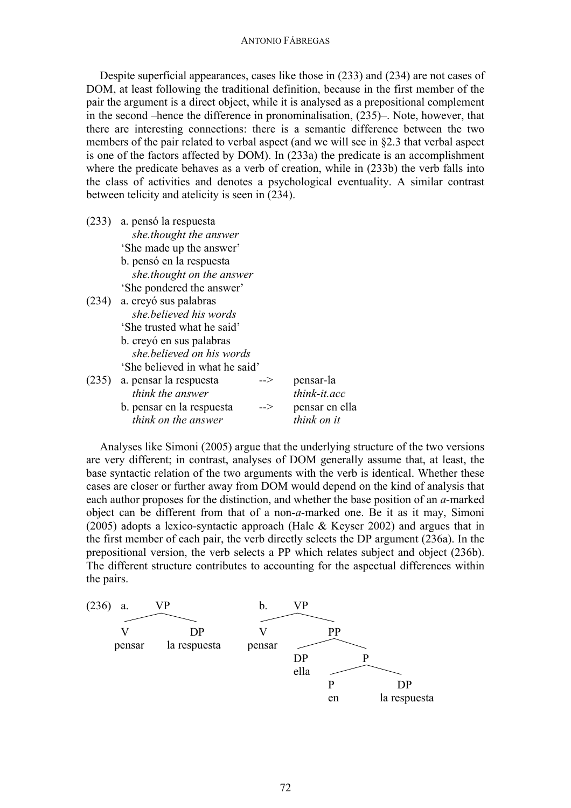#### ANTONIO FÁBREGAS

Despite superficial appearances, cases like those in (233) and (234) are not cases of DOM, at least following the traditional definition, because in the first member of the pair the argument is a direct object, while it is analysed as a prepositional complement in the second –hence the difference in pronominalisation, (235)–. Note, however, that there are interesting connections: there is a semantic difference between the two members of the pair related to verbal aspect (and we will see in §2.3 that verbal aspect is one of the factors affected by DOM). In (233a) the predicate is an accomplishment where the predicate behaves as a verb of creation, while in  $(233b)$  the verb falls into the class of activities and denotes a psychological eventuality. A similar contrast between telicity and atelicity is seen in (234).

| (233) | a. pensó la respuesta<br>she thought the answer |     |                |
|-------|-------------------------------------------------|-----|----------------|
|       | 'She made up the answer'                        |     |                |
|       | b. pensó en la respuesta                        |     |                |
|       | she thought on the answer                       |     |                |
|       | 'She pondered the answer'                       |     |                |
| (234) | a. creyó sus palabras                           |     |                |
|       | she.believed his words                          |     |                |
|       | 'She trusted what he said'                      |     |                |
|       | b. creyó en sus palabras                        |     |                |
|       | she believed on his words                       |     |                |
|       | 'She believed in what he said'                  |     |                |
| (235) | a. pensar la respuesta                          | --> | pensar-la      |
|       | think the answer                                |     | think-it.acc   |
|       | b. pensar en la respuesta                       | --> | pensar en ella |
|       | think on the answer                             |     | think on it    |
|       |                                                 |     |                |

Analyses like Simoni (2005) argue that the underlying structure of the two versions are very different; in contrast, analyses of DOM generally assume that, at least, the base syntactic relation of the two arguments with the verb is identical. Whether these cases are closer or further away from DOM would depend on the kind of analysis that each author proposes for the distinction, and whether the base position of an *a-*marked object can be different from that of a non-*a-*marked one. Be it as it may, Simoni (2005) adopts a lexico-syntactic approach (Hale & Keyser 2002) and argues that in the first member of each pair, the verb directly selects the DP argument (236a). In the prepositional version, the verb selects a PP which relates subject and object (236b). The different structure contributes to accounting for the aspectual differences within the pairs.

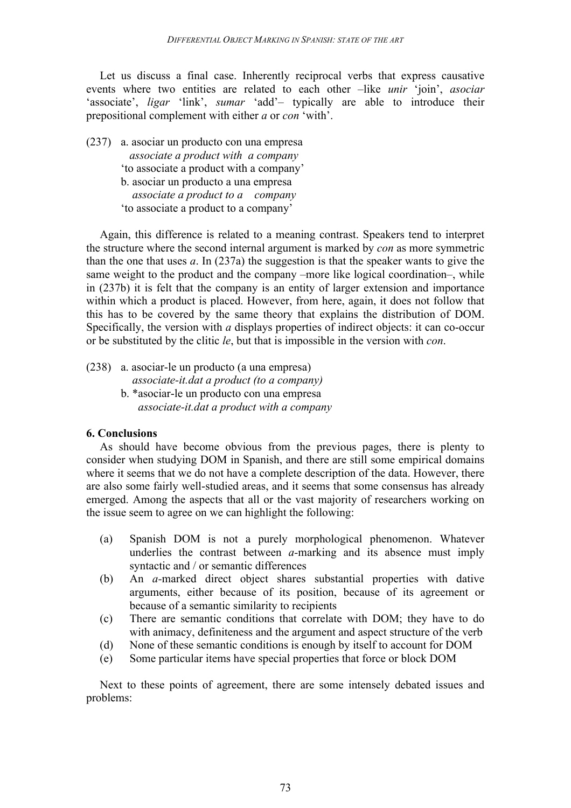Let us discuss a final case. Inherently reciprocal verbs that express causative events where two entities are related to each other –like *unir* 'join', *asociar* 'associate', *ligar* 'link', *sumar* 'add'- typically are able to introduce their prepositional complement with either *a* or *con* 'with'.

(237) a. asociar un producto con una empresa *associate a product with a company* 'to associate a product with a company' b. asociar un producto a una empresa  *associate a product to a company* 'to associate a product to a company'

Again, this difference is related to a meaning contrast. Speakers tend to interpret the structure where the second internal argument is marked by *con* as more symmetric than the one that uses *a*. In (237a) the suggestion is that the speaker wants to give the same weight to the product and the company –more like logical coordination–, while in (237b) it is felt that the company is an entity of larger extension and importance within which a product is placed. However, from here, again, it does not follow that this has to be covered by the same theory that explains the distribution of DOM. Specifically, the version with *a* displays properties of indirect objects: it can co-occur or be substituted by the clitic *le*, but that is impossible in the version with *con*.

(238) a. asociar-le un producto (a una empresa)

- *associate-it.dat a product (to a company)*
- b. \*asociar-le un producto con una empresa *associate-it.dat a product with a company*

## **6. Conclusions**

As should have become obvious from the previous pages, there is plenty to consider when studying DOM in Spanish, and there are still some empirical domains where it seems that we do not have a complete description of the data. However, there are also some fairly well-studied areas, and it seems that some consensus has already emerged. Among the aspects that all or the vast majority of researchers working on the issue seem to agree on we can highlight the following:

- (a) Spanish DOM is not a purely morphological phenomenon. Whatever underlies the contrast between *a-*marking and its absence must imply syntactic and / or semantic differences
- (b) An *a-*marked direct object shares substantial properties with dative arguments, either because of its position, because of its agreement or because of a semantic similarity to recipients
- (c) There are semantic conditions that correlate with DOM; they have to do with animacy, definiteness and the argument and aspect structure of the verb
- (d) None of these semantic conditions is enough by itself to account for DOM
- (e) Some particular items have special properties that force or block DOM

Next to these points of agreement, there are some intensely debated issues and problems: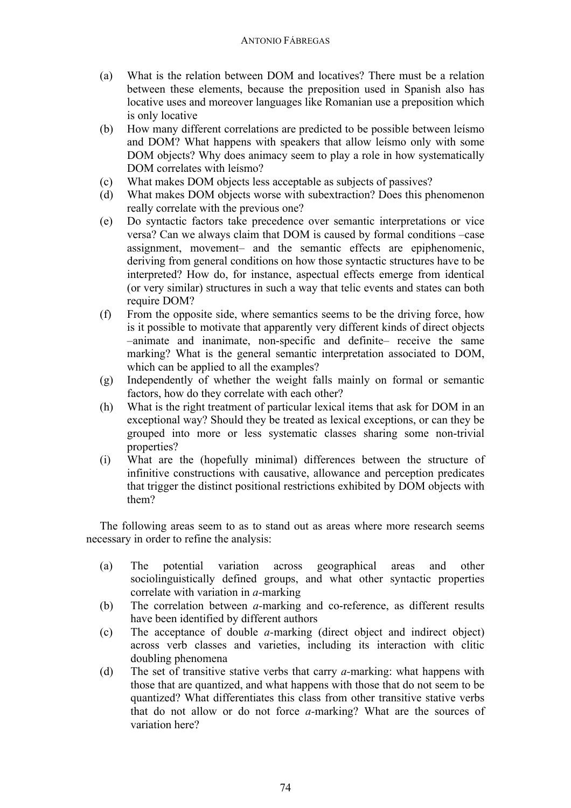## ANTONIO FÁBREGAS

- (a) What is the relation between DOM and locatives? There must be a relation between these elements, because the preposition used in Spanish also has locative uses and moreover languages like Romanian use a preposition which is only locative
- (b) How many different correlations are predicted to be possible between leísmo and DOM? What happens with speakers that allow leísmo only with some DOM objects? Why does animacy seem to play a role in how systematically DOM correlates with leísmo?
- (c) What makes DOM objects less acceptable as subjects of passives?
- (d) What makes DOM objects worse with subextraction? Does this phenomenon really correlate with the previous one?
- (e) Do syntactic factors take precedence over semantic interpretations or vice versa? Can we always claim that DOM is caused by formal conditions –case assignment, movement– and the semantic effects are epiphenomenic, deriving from general conditions on how those syntactic structures have to be interpreted? How do, for instance, aspectual effects emerge from identical (or very similar) structures in such a way that telic events and states can both require DOM?
- (f) From the opposite side, where semantics seems to be the driving force, how is it possible to motivate that apparently very different kinds of direct objects –animate and inanimate, non-specific and definite– receive the same marking? What is the general semantic interpretation associated to DOM, which can be applied to all the examples?
- (g) Independently of whether the weight falls mainly on formal or semantic factors, how do they correlate with each other?
- (h) What is the right treatment of particular lexical items that ask for DOM in an exceptional way? Should they be treated as lexical exceptions, or can they be grouped into more or less systematic classes sharing some non-trivial properties?
- (i) What are the (hopefully minimal) differences between the structure of infinitive constructions with causative, allowance and perception predicates that trigger the distinct positional restrictions exhibited by DOM objects with them?

The following areas seem to as to stand out as areas where more research seems necessary in order to refine the analysis:

- (a) The potential variation across geographical areas and other sociolinguistically defined groups, and what other syntactic properties correlate with variation in *a-*marking
- (b) The correlation between *a-*marking and co-reference, as different results have been identified by different authors
- (c) The acceptance of double *a-*marking (direct object and indirect object) across verb classes and varieties, including its interaction with clitic doubling phenomena
- (d) The set of transitive stative verbs that carry *a-*marking: what happens with those that are quantized, and what happens with those that do not seem to be quantized? What differentiates this class from other transitive stative verbs that do not allow or do not force *a-*marking? What are the sources of variation here?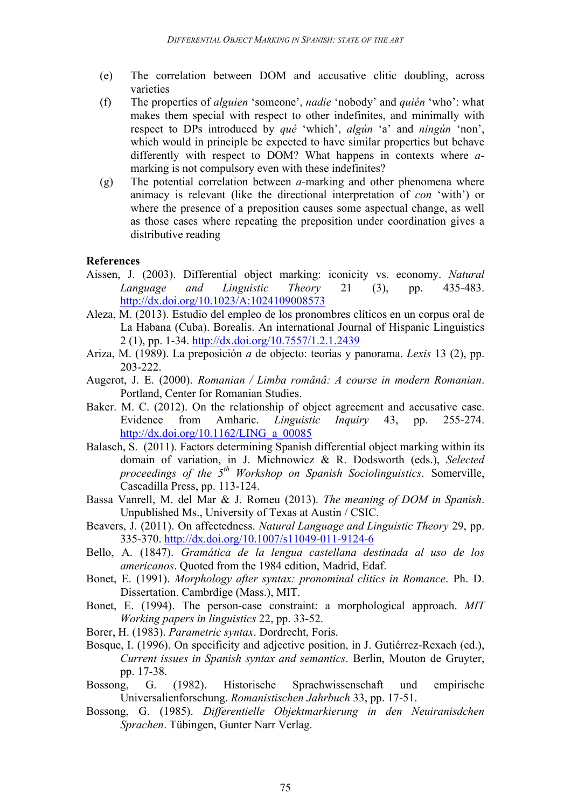- (e) The correlation between DOM and accusative clitic doubling, across varieties
- (f) The properties of *alguien* 'someone', *nadie* 'nobody' and *quién* 'who': what makes them special with respect to other indefinites, and minimally with respect to DPs introduced by *qué* 'which', *algún* 'a' and *ningún* 'non', which would in principle be expected to have similar properties but behave differently with respect to DOM? What happens in contexts where *a*marking is not compulsory even with these indefinites?
- (g) The potential correlation between *a-*marking and other phenomena where animacy is relevant (like the directional interpretation of *con* 'with') or where the presence of a preposition causes some aspectual change, as well as those cases where repeating the preposition under coordination gives a distributive reading

## **References**

- Aissen, J. (2003). Differential object marking: iconicity vs. economy. *Natural Language and Linguistic Theory* 21 (3), pp. 435-483. http://dx.doi.org/10.1023/A:1024109008573
- Aleza, M. (2013). Estudio del empleo de los pronombres clíticos en un corpus oral de La Habana (Cuba). Borealis. An international Journal of Hispanic Linguistics 2 (1), pp. 1-34. http://dx.doi.org/10.7557/1.2.1.2439
- Ariza, M. (1989). La preposición *a* de objecto: teorías y panorama. *Lexis* 13 (2), pp. 203-222.
- Augerot, J. E. (2000). *Romanian / Limba românâ: A course in modern Romanian*. Portland, Center for Romanian Studies.
- Baker. M. C. (2012). On the relationship of object agreement and accusative case. Evidence from Amharic. *Linguistic Inquiry* 43, pp. 255-274. http://dx.doi.org/10.1162/LING\_a\_00085
- Balasch, S. (2011). Factors determining Spanish differential object marking within its domain of variation, in J. Michnowicz & R. Dodsworth (eds.), *Selected proceedings of the 5th Workshop on Spanish Sociolinguistics*. Somerville, Cascadilla Press, pp. 113-124.
- Bassa Vanrell, M. del Mar & J. Romeu (2013). *The meaning of DOM in Spanish*. Unpublished Ms., University of Texas at Austin / CSIC.
- Beavers, J. (2011). On affectedness. *Natural Language and Linguistic Theory* 29, pp. 335-370. http://dx.doi.org/10.1007/s11049-011-9124-6
- Bello, A. (1847). *Gramática de la lengua castellana destinada al uso de los americanos*. Quoted from the 1984 edition, Madrid, Edaf.
- Bonet, E. (1991). *Morphology after syntax: pronominal clitics in Romance*. Ph. D. Dissertation. Cambrdige (Mass.), MIT.
- Bonet, E. (1994). The person-case constraint: a morphological approach. *MIT Working papers in linguistics* 22, pp. 33-52.
- Borer, H. (1983). *Parametric syntax*. Dordrecht, Foris.
- Bosque, I. (1996). On specificity and adjective position, in J. Gutiérrez-Rexach (ed.), *Current issues in Spanish syntax and semantics*. Berlin, Mouton de Gruyter, pp. 17-38.
- Bossong, G. (1982). Historische Sprachwissenschaft und empirische Universalienforschung. *Romanistischen Jahrbuch* 33, pp. 17-51.
- Bossong, G. (1985). *Differentielle Objektmarkierung in den Neuiranisdchen Sprachen*. Tübingen, Gunter Narr Verlag.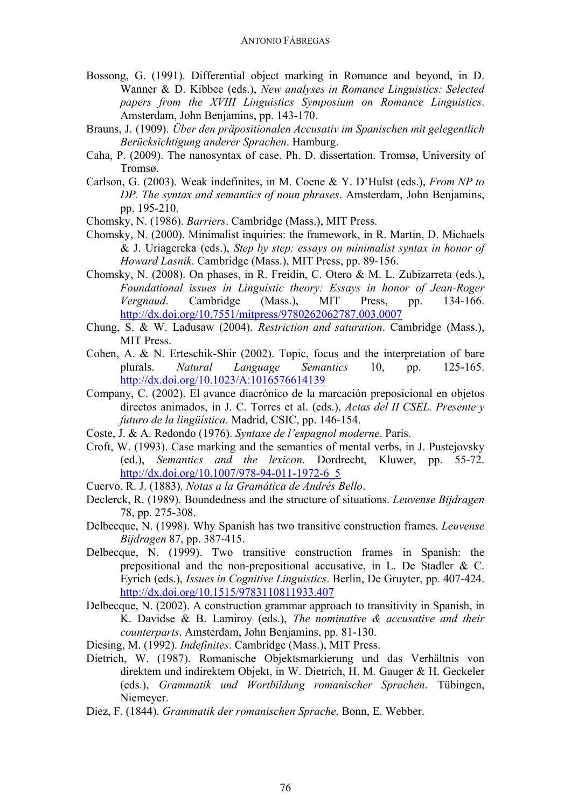- Bossong, G. (1991). Differential object marking in Romance and beyond, in D. Wanner & D. Kibbee (eds.), *New analyses in Romance Linguistics: Selected papers from the XVIII Linguistics Symposium on Romance Linguistics*. Amsterdam, John Benjamins, pp. 143-170.
- Brauns, J. (1909). *Über den präpositionalen Accusativ im Spanischen mit gelegentlich Berücksichtigung anderer Sprachen*. Hamburg.
- Caha, P. (2009). The nanosyntax of case. Ph. D. dissertation. Tromsø, University of Tromsø.
- Carlson, G. (2003). Weak indefinites, in M. Coene & Y. D'Hulst (eds.), *From NP to DP. The syntax and semantics of noun phrases*. Amsterdam, John Benjamins, pp. 195-210.
- Chomsky, N. (1986). *Barriers*. Cambridge (Mass.), MIT Press.
- Chomsky, N. (2000). Minimalist inquiries: the framework, in R. Martin, D. Michaels & J. Uriagereka (eds.), *Step by step: essays on minimalist syntax in honor of Howard Lasnik*. Cambridge (Mass.), MIT Press, pp. 89-156.
- Chomsky, N. (2008). On phases, in R. Freidin, C. Otero & M. L. Zubizarreta (eds.), *Foundational issues in Linguistic theory: Essays in honor of Jean-Roger Vergnaud*. Cambridge (Mass.), MIT Press, pp. 134-166. http://dx.doi.org/10.7551/mitpress/9780262062787.003.0007
- Chung, S. & W. Ladusaw (2004). *Restriction and saturation*. Cambridge (Mass.), MIT Press.
- Cohen, A. & N. Erteschik-Shir (2002). Topic, focus and the interpretation of bare plurals. *Natural Language Semantics* 10, pp. 125-165. http://dx.doi.org/10.1023/A:1016576614139
- Company, C. (2002). El avance diacrónico de la marcación preposicional en objetos directos animados, in J. C. Torres et al. (eds.), *Actas del II CSEL. Presente y futuro de la lingüística*. Madrid, CSIC, pp. 146-154.
- Coste, J. & A. Redondo (1976). *Syntaxe de l'espagnol moderne*. Paris.
- Croft, W. (1993). Case marking and the semantics of mental verbs, in J. Pustejovsky (ed.), *Semantics and the lexicon*. Dordrecht, Kluwer, pp. 55-72. http://dx.doi.org/10.1007/978-94-011-1972-6\_5
- Cuervo, R. J. (1883). *Notas a la Gramática de Andrés Bello*.
- Declerck, R. (1989). Boundedness and the structure of situations. *Leuvense Bijdragen* 78, pp. 275-308.
- Delbecque, N. (1998). Why Spanish has two transitive construction frames. *Leuvense Bijdragen* 87, pp. 387-415.
- Delbecque, N. (1999). Two transitive construction frames in Spanish: the prepositional and the non-prepositional accusative, in L. De Stadler & C. Eyrich (eds.), *Issues in Cognitive Linguistics*. Berlin, De Gruyter, pp. 407-424. http://dx.doi.org/10.1515/9783110811933.407
- Delbecque, N. (2002). A construction grammar approach to transitivity in Spanish, in K. Davidse & B. Lamiroy (eds.), *The nominative & accusative and their counterparts*. Amsterdam, John Benjamins, pp. 81-130.
- Diesing, M. (1992). *Indefinites*. Cambridge (Mass.), MIT Press.
- Dietrich, W. (1987). Romanische Objektsmarkierung und das Verhältnis von direktem und indirektem Objekt, in W. Dietrich, H. M. Gauger & H. Geckeler (eds.), *Grammatik und Wortbildung romanischer Sprachen*. Tübingen, Niemeyer.
- Diez, F. (1844). *Grammatik der romanischen Sprache*. Bonn, E. Webber.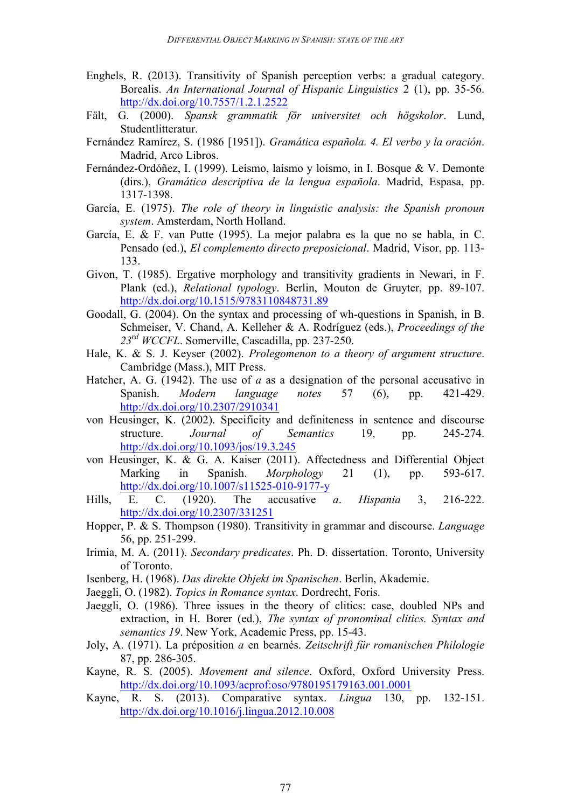- Enghels, R. (2013). Transitivity of Spanish perception verbs: a gradual category. Borealis. *An International Journal of Hispanic Linguistics* 2 (1), pp. 35-56. http://dx.doi.org/10.7557/1.2.1.2522
- Fält, G. (2000). *Spansk grammatik för universitet och högskolor*. Lund, Studentlitteratur.
- Fernández Ramírez, S. (1986 [1951]). *Gramática española. 4. El verbo y la oración*. Madrid, Arco Libros.
- Fernández-Ordóñez, I. (1999). Leísmo, laísmo y loísmo, in I. Bosque & V. Demonte (dirs.), *Gramática descriptiva de la lengua española*. Madrid, Espasa, pp. 1317-1398.
- García, E. (1975). *The role of theory in linguistic analysis: the Spanish pronoun system*. Amsterdam, North Holland.
- García, E. & F. van Putte (1995). La mejor palabra es la que no se habla, in C. Pensado (ed.), *El complemento directo preposicional*. Madrid, Visor, pp. 113- 133.
- Givon, T. (1985). Ergative morphology and transitivity gradients in Newari, in F. Plank (ed.), *Relational typology*. Berlin, Mouton de Gruyter, pp. 89-107. http://dx.doi.org/10.1515/9783110848731.89
- Goodall, G. (2004). On the syntax and processing of wh-questions in Spanish, in B. Schmeiser, V. Chand, A. Kelleher & A. Rodríguez (eds.), *Proceedings of the 23rd WCCFL*. Somerville, Cascadilla, pp. 237-250.
- Hale, K. & S. J. Keyser (2002). *Prolegomenon to a theory of argument structure*. Cambridge (Mass.), MIT Press.
- Hatcher, A. G. (1942). The use of *a* as a designation of the personal accusative in Spanish. *Modern language notes* 57 (6), pp. 421-429. http://dx.doi.org/10.2307/2910341
- von Heusinger, K. (2002). Specificity and definiteness in sentence and discourse structure. *Journal of Semantics* 19, pp. 245-274. http://dx.doi.org/10.1093/jos/19.3.245
- von Heusinger, K. & G. A. Kaiser (2011). Affectedness and Differential Object Marking in Spanish. *Morphology* 21 (1), pp. 593-617. http://dx.doi.org/10.1007/s11525-010-9177-y
- Hills, E. C. (1920). The accusative *a*. *Hispania* 3, 216-222. http://dx.doi.org/10.2307/331251
- Hopper, P. & S. Thompson (1980). Transitivity in grammar and discourse. *Language* 56, pp. 251-299.
- Irimia, M. A. (2011). *Secondary predicates*. Ph. D. dissertation. Toronto, University of Toronto.
- Isenberg, H. (1968). *Das direkte Objekt im Spanischen*. Berlin, Akademie.
- Jaeggli, O. (1982). *Topics in Romance syntax*. Dordrecht, Foris.
- Jaeggli, O. (1986). Three issues in the theory of clitics: case, doubled NPs and extraction, in H. Borer (ed.), *The syntax of pronominal clitics. Syntax and semantics 19*. New York, Academic Press, pp. 15-43.
- Joly, A. (1971). La préposition *a* en bearnés. *Zeitschrift für romanischen Philologie* 87, pp. 286-305.
- Kayne, R. S. (2005). *Movement and silence*. Oxford, Oxford University Press. http://dx.doi.org/10.1093/acprof:oso/9780195179163.001.0001
- Kayne, R. S. (2013). Comparative syntax. *Lingua* 130, pp. 132-151. http://dx.doi.org/10.1016/j.lingua.2012.10.008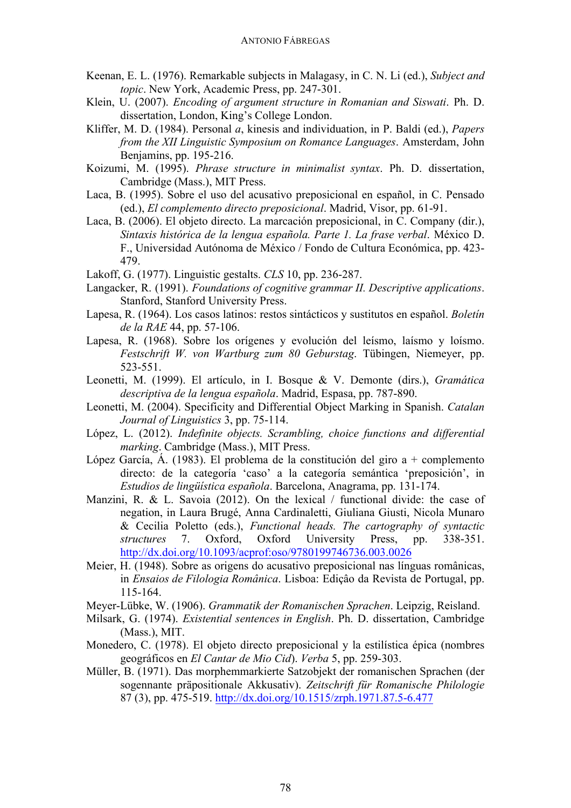- Keenan, E. L. (1976). Remarkable subjects in Malagasy, in C. N. Li (ed.), *Subject and topic*. New York, Academic Press, pp. 247-301.
- Klein, U. (2007). *Encoding of argument structure in Romanian and Siswati*. Ph. D. dissertation, London, King's College London.
- Kliffer, M. D. (1984). Personal *a*, kinesis and individuation, in P. Baldi (ed.), *Papers from the XII Linguistic Symposium on Romance Languages*. Amsterdam, John Benjamins, pp. 195-216.
- Koizumi, M. (1995). *Phrase structure in minimalist syntax*. Ph. D. dissertation, Cambridge (Mass.), MIT Press.
- Laca, B. (1995). Sobre el uso del acusativo preposicional en español, in C. Pensado (ed.), *El complemento directo preposicional*. Madrid, Visor, pp. 61-91.
- Laca, B. (2006). El objeto directo. La marcación preposicional, in C. Company (dir.), *Sintaxis histórica de la lengua española. Parte 1. La frase verbal*. México D. F., Universidad Autónoma de México / Fondo de Cultura Económica, pp. 423- 479.
- Lakoff, G. (1977). Linguistic gestalts. *CLS* 10, pp. 236-287.
- Langacker, R. (1991). *Foundations of cognitive grammar II. Descriptive applications*. Stanford, Stanford University Press.
- Lapesa, R. (1964). Los casos latinos: restos sintácticos y sustitutos en español. *Boletín de la RAE* 44, pp. 57-106.
- Lapesa, R. (1968). Sobre los orígenes y evolución del leísmo, laísmo y loísmo. *Festschrift W. von Wartburg zum 80 Geburstag*. Tübingen, Niemeyer, pp. 523-551.
- Leonetti, M. (1999). El artículo, in I. Bosque & V. Demonte (dirs.), *Gramática descriptiva de la lengua española*. Madrid, Espasa, pp. 787-890.
- Leonetti, M. (2004). Specificity and Differential Object Marking in Spanish. *Catalan Journal of Linguistics* 3, pp. 75-114.
- López, L. (2012). *Indefinite objects. Scrambling, choice functions and differential marking*. Cambridge (Mass.), MIT Press.
- López García, Á. (1983). El problema de la constitución del giro a + complemento directo: de la categoría 'caso' a la categoría semántica 'preposición', in *Estudios de lingüística española*. Barcelona, Anagrama, pp. 131-174.
- Manzini, R. & L. Savoia (2012). On the lexical / functional divide: the case of negation, in Laura Brugé, Anna Cardinaletti, Giuliana Giusti, Nicola Munaro & Cecilia Poletto (eds.), *Functional heads. The cartography of syntactic structures* 7. Oxford, Oxford University Press, pp. 338-351. http://dx.doi.org/10.1093/acprof:oso/9780199746736.003.0026
- Meier, H. (1948). Sobre as origens do acusativo preposicional nas línguas românicas, in *Ensaios de Filologia Românica*. Lisboa: Ediçâo da Revista de Portugal, pp. 115-164.
- Meyer-Lübke, W. (1906). *Grammatik der Romanischen Sprachen*. Leipzig, Reisland.
- Milsark, G. (1974). *Existential sentences in English*. Ph. D. dissertation, Cambridge (Mass.), MIT.
- Monedero, C. (1978). El objeto directo preposicional y la estilística épica (nombres geográficos en *El Cantar de Mio Cid*). *Verba* 5, pp. 259-303.
- Müller, B. (1971). Das morphemmarkierte Satzobjekt der romanischen Sprachen (der sogennante präpositionale Akkusativ). *Zeitschrift für Romanische Philologie* 87 (3), pp. 475-519. http://dx.doi.org/10.1515/zrph.1971.87.5-6.477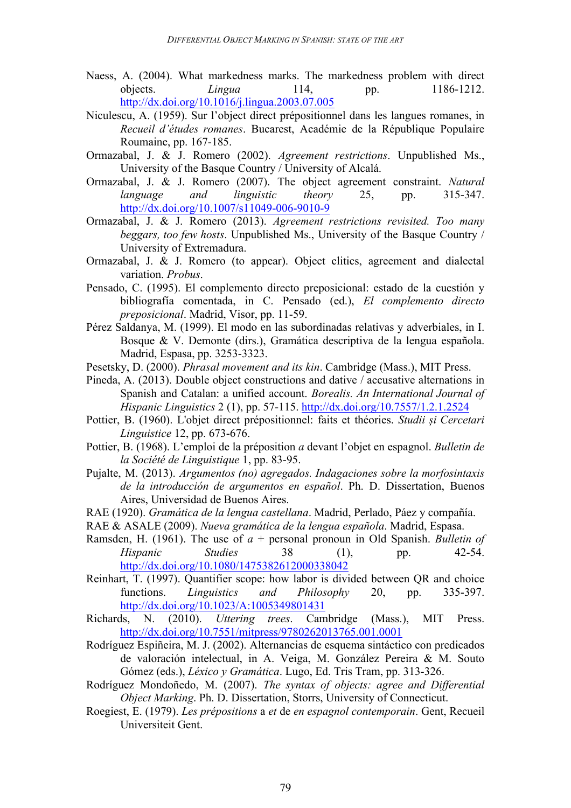- Naess, A. (2004). What markedness marks. The markedness problem with direct objects. *Lingua* 114, pp. 1186-1212. http://dx.doi.org/10.1016/j.lingua.2003.07.005
- Niculescu, A. (1959). Sur l'object direct prépositionnel dans les langues romanes, in *Recueil d'études romanes*. Bucarest, Académie de la République Populaire Roumaine, pp. 167-185.
- Ormazabal, J. & J. Romero (2002). *Agreement restrictions*. Unpublished Ms., University of the Basque Country / University of Alcalá.
- Ormazabal, J. & J. Romero (2007). The object agreement constraint. *Natural language and linguistic theory* 25, pp. 315-347. http://dx.doi.org/10.1007/s11049-006-9010-9
- Ormazabal, J. & J. Romero (2013). *Agreement restrictions revisited. Too many beggars, too few hosts*. Unpublished Ms., University of the Basque Country / University of Extremadura.
- Ormazabal, J. & J. Romero (to appear). Object clitics, agreement and dialectal variation. *Probus*.
- Pensado, C. (1995). El complemento directo preposicional: estado de la cuestión y bibliografía comentada, in C. Pensado (ed.), *El complemento directo preposicional*. Madrid, Visor, pp. 11-59.
- Pérez Saldanya, M. (1999). El modo en las subordinadas relativas y adverbiales, in I. Bosque & V. Demonte (dirs.), Gramática descriptiva de la lengua española. Madrid, Espasa, pp. 3253-3323.
- Pesetsky, D. (2000). *Phrasal movement and its kin*. Cambridge (Mass.), MIT Press.
- Pineda, A. (2013). Double object constructions and dative / accusative alternations in Spanish and Catalan: a unified account. *Borealis. An International Journal of Hispanic Linguistics* 2 (1), pp. 57-115. http://dx.doi.org/10.7557/1.2.1.2524
- Pottier, B. (1960). L'objet direct prépositionnel: faits et théories. *Studii și Cercetari Linguistice* 12, pp. 673-676.
- Pottier, B. (1968). L'emploi de la préposition *a* devant l'objet en espagnol. *Bulletin de la Société de Linguistique* 1, pp. 83-95.
- Pujalte, M. (2013). *Argumentos (no) agregados. Indagaciones sobre la morfosintaxis de la introducción de argumentos en español*. Ph. D. Dissertation, Buenos Aires, Universidad de Buenos Aires.
- RAE (1920). *Gramática de la lengua castellana*. Madrid, Perlado, Páez y compañía.
- RAE & ASALE (2009). *Nueva gramática de la lengua española*. Madrid, Espasa.
- Ramsden, H. (1961). The use of *a* + personal pronoun in Old Spanish. *Bulletin of Hispanic Studies* 38 (1), pp. 42-54. http://dx.doi.org/10.1080/1475382612000338042
- Reinhart, T. (1997). Quantifier scope: how labor is divided between QR and choice functions. *Linguistics and Philosophy* 20, pp. 335-397. http://dx.doi.org/10.1023/A:1005349801431
- Richards, N. (2010). *Uttering trees*. Cambridge (Mass.), MIT Press. http://dx.doi.org/10.7551/mitpress/9780262013765.001.0001
- Rodríguez Espiñeira, M. J. (2002). Alternancias de esquema sintáctico con predicados de valoración intelectual, in A. Veiga, M. González Pereira & M. Souto Gómez (eds.), *Léxico y Gramática*. Lugo, Ed. Tris Tram, pp. 313-326.
- Rodríguez Mondoñedo, M. (2007). *The syntax of objects: agree and Differential Object Marking*. Ph. D. Dissertation, Storrs, University of Connecticut.
- Roegiest, E. (1979). *Les prépositions* a *et* de *en espagnol contemporain*. Gent, Recueil Universiteit Gent.